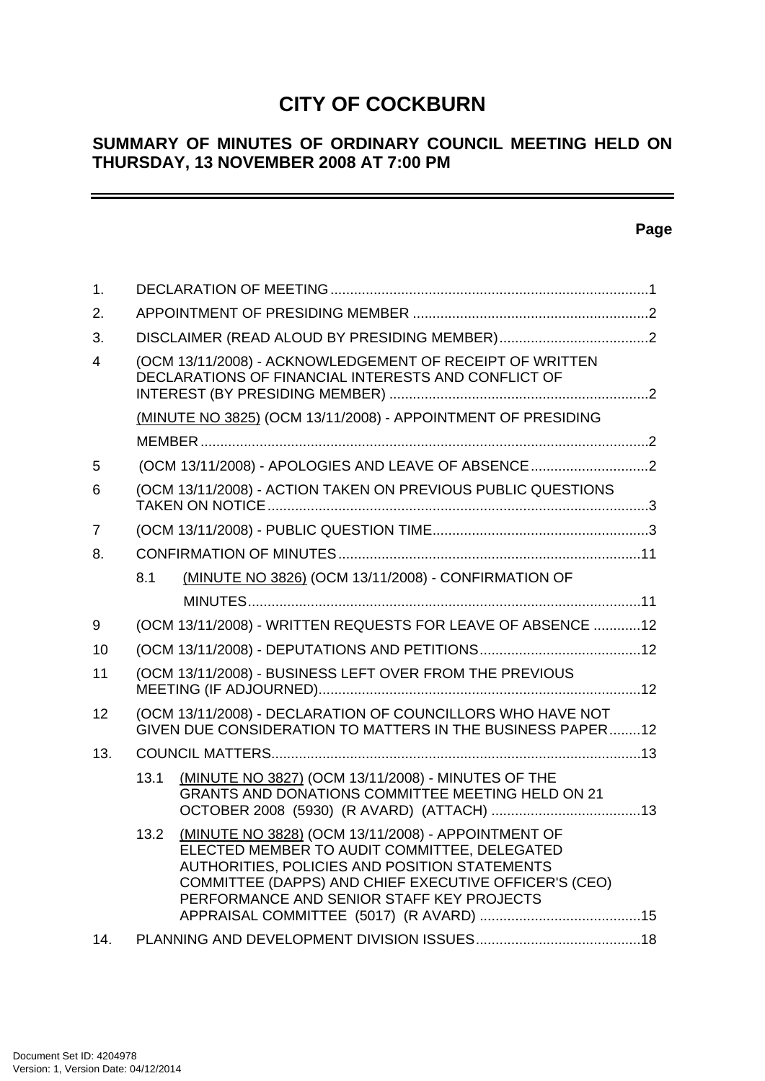# **CITY OF COCKBURN**

# **SUMMARY OF MINUTES OF ORDINARY COUNCIL MEETING HELD ON THURSDAY, 13 NOVEMBER 2008 AT 7:00 PM**

# **Page**

| 1.             |                                                                                                                 |                                                                                                                                                                                                                                                           |  |
|----------------|-----------------------------------------------------------------------------------------------------------------|-----------------------------------------------------------------------------------------------------------------------------------------------------------------------------------------------------------------------------------------------------------|--|
| 2.             |                                                                                                                 |                                                                                                                                                                                                                                                           |  |
| 3.             |                                                                                                                 |                                                                                                                                                                                                                                                           |  |
| $\overline{4}$ | (OCM 13/11/2008) - ACKNOWLEDGEMENT OF RECEIPT OF WRITTEN<br>DECLARATIONS OF FINANCIAL INTERESTS AND CONFLICT OF |                                                                                                                                                                                                                                                           |  |
|                |                                                                                                                 | (MINUTE NO 3825) (OCM 13/11/2008) - APPOINTMENT OF PRESIDING                                                                                                                                                                                              |  |
|                |                                                                                                                 |                                                                                                                                                                                                                                                           |  |
| 5              |                                                                                                                 | (OCM 13/11/2008) - APOLOGIES AND LEAVE OF ABSENCE                                                                                                                                                                                                         |  |
| 6              |                                                                                                                 | (OCM 13/11/2008) - ACTION TAKEN ON PREVIOUS PUBLIC QUESTIONS                                                                                                                                                                                              |  |
| $\overline{7}$ |                                                                                                                 |                                                                                                                                                                                                                                                           |  |
| 8.             |                                                                                                                 |                                                                                                                                                                                                                                                           |  |
|                | 8.1                                                                                                             | (MINUTE NO 3826) (OCM 13/11/2008) - CONFIRMATION OF                                                                                                                                                                                                       |  |
|                |                                                                                                                 |                                                                                                                                                                                                                                                           |  |
| 9              |                                                                                                                 | (OCM 13/11/2008) - WRITTEN REQUESTS FOR LEAVE OF ABSENCE 12                                                                                                                                                                                               |  |
| 10             |                                                                                                                 |                                                                                                                                                                                                                                                           |  |
| 11             |                                                                                                                 | (OCM 13/11/2008) - BUSINESS LEFT OVER FROM THE PREVIOUS                                                                                                                                                                                                   |  |
| 12             |                                                                                                                 | (OCM 13/11/2008) - DECLARATION OF COUNCILLORS WHO HAVE NOT<br>GIVEN DUE CONSIDERATION TO MATTERS IN THE BUSINESS PAPER12                                                                                                                                  |  |
| 13.            |                                                                                                                 |                                                                                                                                                                                                                                                           |  |
|                | 13.1                                                                                                            | (MINUTE NO 3827) (OCM 13/11/2008) - MINUTES OF THE<br><b>GRANTS AND DONATIONS COMMITTEE MEETING HELD ON 21</b>                                                                                                                                            |  |
|                | 13.2                                                                                                            | (MINUTE NO 3828) (OCM 13/11/2008) - APPOINTMENT OF<br>ELECTED MEMBER TO AUDIT COMMITTEE, DELEGATED<br>AUTHORITIES, POLICIES AND POSITION STATEMENTS<br>COMMITTEE (DAPPS) AND CHIEF EXECUTIVE OFFICER'S (CEO)<br>PERFORMANCE AND SENIOR STAFF KEY PROJECTS |  |
| 14.            |                                                                                                                 |                                                                                                                                                                                                                                                           |  |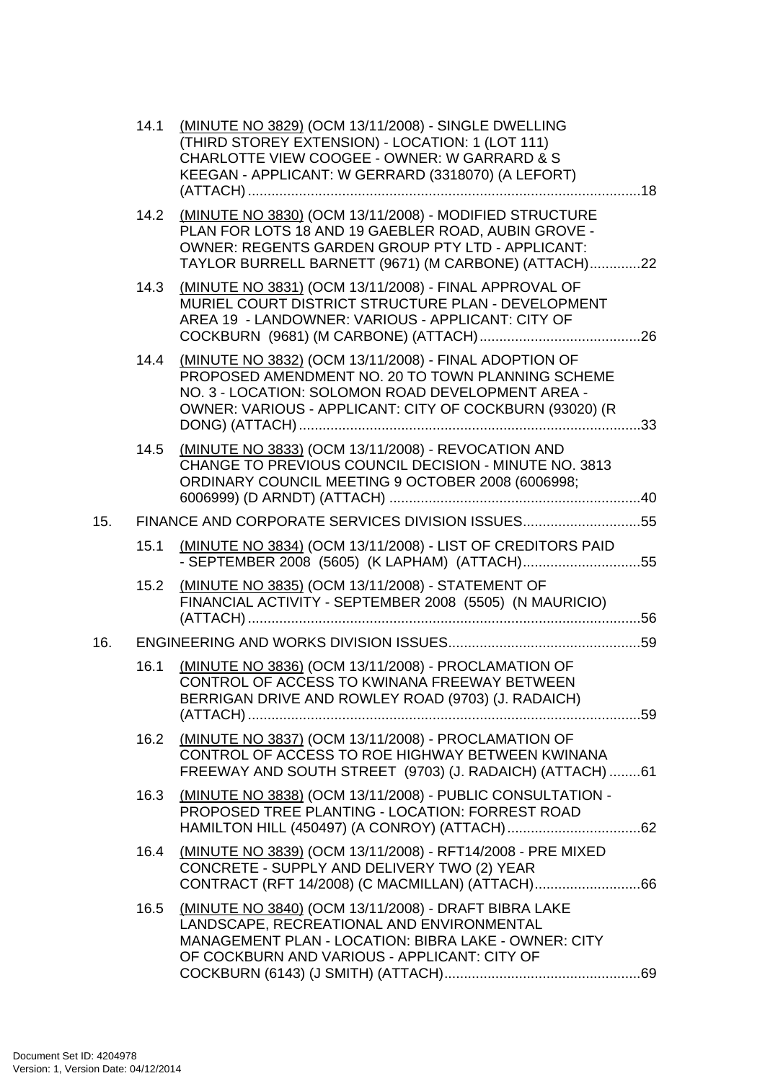|     | 14.1 | (MINUTE NO 3829) (OCM 13/11/2008) - SINGLE DWELLING<br>(THIRD STOREY EXTENSION) - LOCATION: 1 (LOT 111)<br>CHARLOTTE VIEW COOGEE - OWNER: W GARRARD & S<br>KEEGAN - APPLICANT: W GERRARD (3318070) (A LEFORT)                  |  |
|-----|------|--------------------------------------------------------------------------------------------------------------------------------------------------------------------------------------------------------------------------------|--|
|     |      | 14.2 (MINUTE NO 3830) (OCM 13/11/2008) - MODIFIED STRUCTURE<br>PLAN FOR LOTS 18 AND 19 GAEBLER ROAD, AUBIN GROVE -<br>OWNER: REGENTS GARDEN GROUP PTY LTD - APPLICANT:<br>TAYLOR BURRELL BARNETT (9671) (M CARBONE) (ATTACH)22 |  |
|     | 14.3 | (MINUTE NO 3831) (OCM 13/11/2008) - FINAL APPROVAL OF<br>MURIEL COURT DISTRICT STRUCTURE PLAN - DEVELOPMENT<br>AREA 19 - LANDOWNER: VARIOUS - APPLICANT: CITY OF                                                               |  |
|     | 14.4 | (MINUTE NO 3832) (OCM 13/11/2008) - FINAL ADOPTION OF<br>PROPOSED AMENDMENT NO. 20 TO TOWN PLANNING SCHEME<br>NO. 3 - LOCATION: SOLOMON ROAD DEVELOPMENT AREA -<br>OWNER: VARIOUS - APPLICANT: CITY OF COCKBURN (93020) (R     |  |
|     | 14.5 | (MINUTE NO 3833) (OCM 13/11/2008) - REVOCATION AND<br>CHANGE TO PREVIOUS COUNCIL DECISION - MINUTE NO. 3813<br>ORDINARY COUNCIL MEETING 9 OCTOBER 2008 (6006998;                                                               |  |
| 15. |      | FINANCE AND CORPORATE SERVICES DIVISION ISSUES55                                                                                                                                                                               |  |
|     | 15.1 | (MINUTE NO 3834) (OCM 13/11/2008) - LIST OF CREDITORS PAID<br>- SEPTEMBER 2008 (5605) (K LAPHAM) (ATTACH)55                                                                                                                    |  |
|     | 15.2 | (MINUTE NO 3835) (OCM 13/11/2008) - STATEMENT OF<br>FINANCIAL ACTIVITY - SEPTEMBER 2008 (5505) (N MAURICIO)                                                                                                                    |  |
| 16. |      |                                                                                                                                                                                                                                |  |
|     | 16.1 | (MINUTE NO 3836) (OCM 13/11/2008) - PROCLAMATION OF<br>CONTROL OF ACCESS TO KWINANA FREEWAY BETWEEN<br>BERRIGAN DRIVE AND ROWLEY ROAD (9703) (J. RADAICH)                                                                      |  |
|     | 16.2 | (MINUTE NO 3837) (OCM 13/11/2008) - PROCLAMATION OF<br>CONTROL OF ACCESS TO ROE HIGHWAY BETWEEN KWINANA<br>FREEWAY AND SOUTH STREET (9703) (J. RADAICH) (ATTACH) 61                                                            |  |
|     | 16.3 | (MINUTE NO 3838) (OCM 13/11/2008) - PUBLIC CONSULTATION -<br>PROPOSED TREE PLANTING - LOCATION: FORREST ROAD                                                                                                                   |  |
|     | 16.4 | (MINUTE NO 3839) (OCM 13/11/2008) - RFT14/2008 - PRE MIXED<br>CONCRETE - SUPPLY AND DELIVERY TWO (2) YEAR<br>CONTRACT (RFT 14/2008) (C MACMILLAN) (ATTACH)66                                                                   |  |
|     | 16.5 | (MINUTE NO 3840) (OCM 13/11/2008) - DRAFT BIBRA LAKE<br>LANDSCAPE, RECREATIONAL AND ENVIRONMENTAL<br>MANAGEMENT PLAN - LOCATION: BIBRA LAKE - OWNER: CITY<br>OF COCKBURN AND VARIOUS - APPLICANT: CITY OF                      |  |
|     |      |                                                                                                                                                                                                                                |  |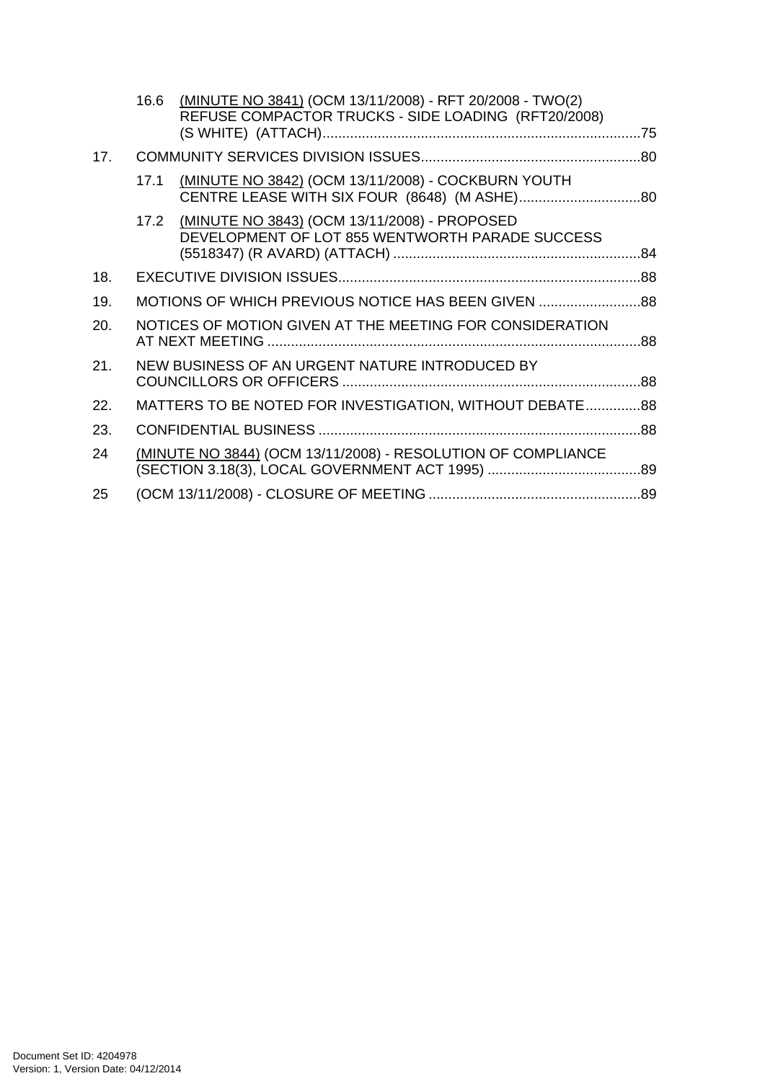|                 | 16.6 | (MINUTE NO 3841) (OCM 13/11/2008) - RFT 20/2008 - TWO(2)<br>REFUSE COMPACTOR TRUCKS - SIDE LOADING (RFT20/2008) |  |
|-----------------|------|-----------------------------------------------------------------------------------------------------------------|--|
| 17.             |      |                                                                                                                 |  |
|                 | 17.1 | (MINUTE NO 3842) (OCM 13/11/2008) - COCKBURN YOUTH                                                              |  |
|                 | 17.2 | (MINUTE NO 3843) (OCM 13/11/2008) - PROPOSED<br>DEVELOPMENT OF LOT 855 WENTWORTH PARADE SUCCESS                 |  |
| 18.             |      |                                                                                                                 |  |
| 19.             |      | MOTIONS OF WHICH PREVIOUS NOTICE HAS BEEN GIVEN                                                                 |  |
| 20.             |      | NOTICES OF MOTION GIVEN AT THE MEETING FOR CONSIDERATION                                                        |  |
| 21.             |      | NEW BUSINESS OF AN URGENT NATURE INTRODUCED BY                                                                  |  |
| 22 <sub>1</sub> |      | MATTERS TO BE NOTED FOR INVESTIGATION, WITHOUT DEBATE88                                                         |  |
| 23.             |      |                                                                                                                 |  |
| 24              |      | (MINUTE NO 3844) (OCM 13/11/2008) - RESOLUTION OF COMPLIANCE                                                    |  |
| 25              |      |                                                                                                                 |  |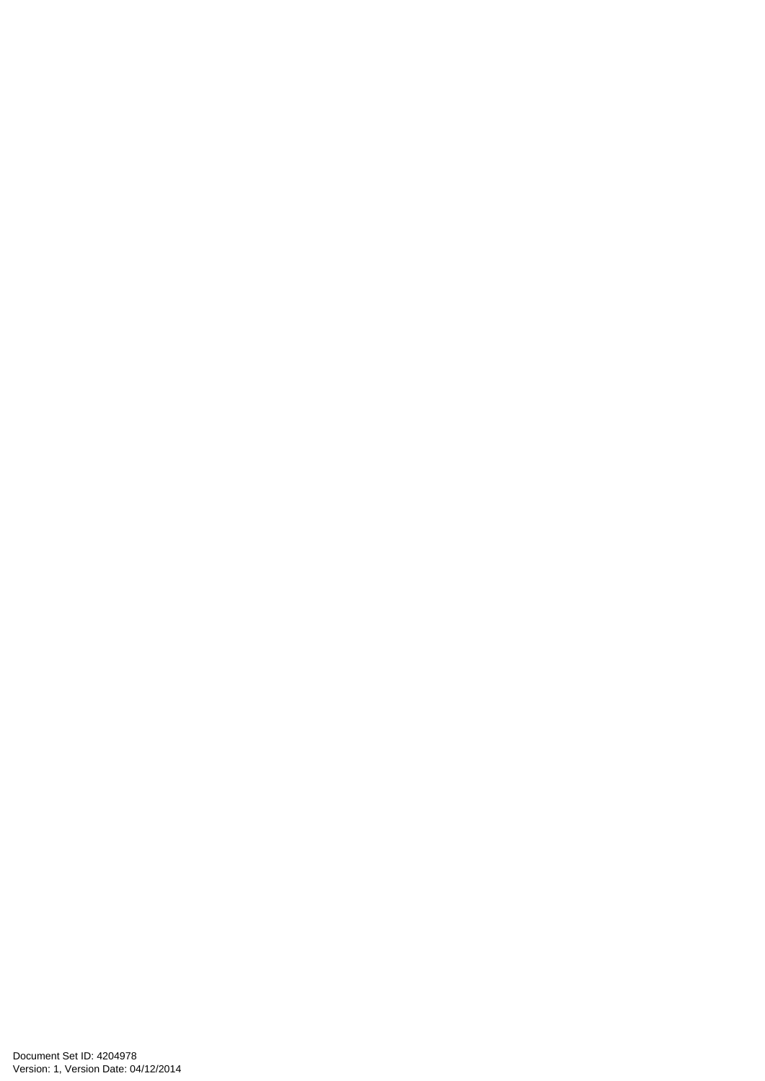Document Set ID: 4204978<br>Version: 1, Version Date: 04/12/2014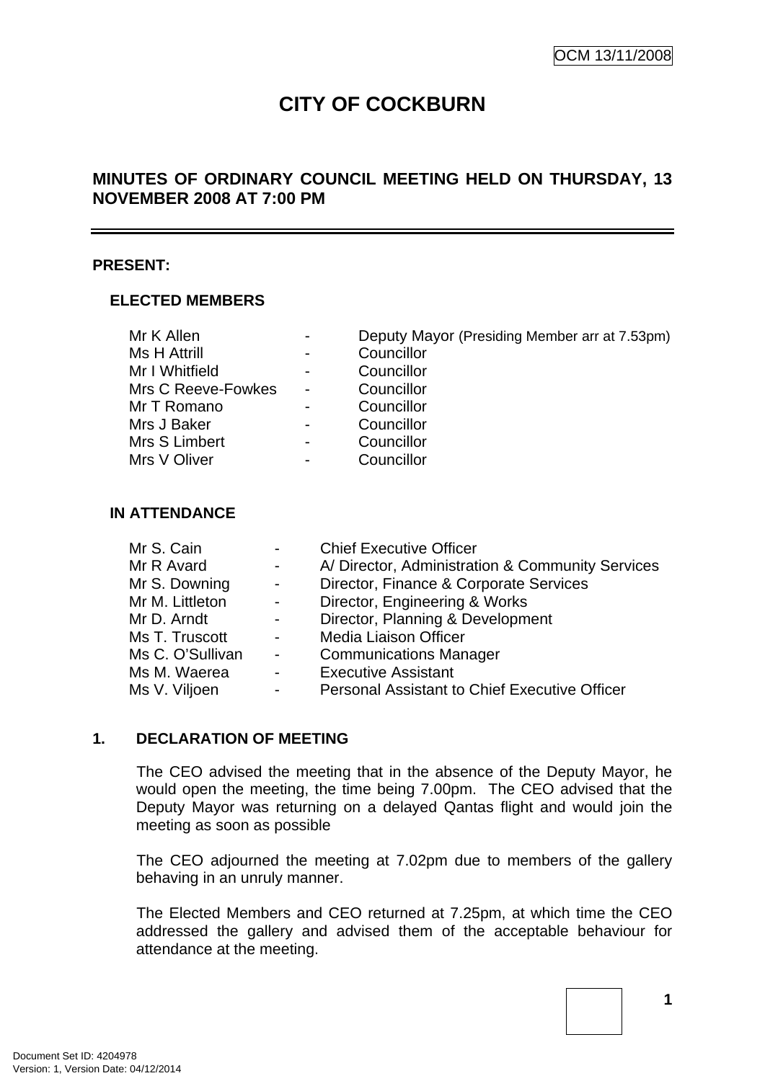# **CITY OF COCKBURN**

# **MINUTES OF ORDINARY COUNCIL MEETING HELD ON THURSDAY, 13 NOVEMBER 2008 AT 7:00 PM**

#### **PRESENT:**

#### **ELECTED MEMBERS**

| Mr K Allen         | $\blacksquare$ | Deputy Mayor (Presiding Member arr at 7.53pm) |
|--------------------|----------------|-----------------------------------------------|
| Ms H Attrill       | $\blacksquare$ | Councillor                                    |
| Mr I Whitfield     | $\blacksquare$ | Councillor                                    |
| Mrs C Reeve-Fowkes | $\blacksquare$ | Councillor                                    |
| Mr T Romano        | $\blacksquare$ | Councillor                                    |
| Mrs J Baker        | $\blacksquare$ | Councillor                                    |
| Mrs S Limbert      | $\blacksquare$ | Councillor                                    |
| Mrs V Oliver       |                | Councillor                                    |

#### **IN ATTENDANCE**

| Mr S. Cain       | $\overline{\phantom{0}}$ | <b>Chief Executive Officer</b>                       |
|------------------|--------------------------|------------------------------------------------------|
| Mr R Avard       | $\sim$                   | A/ Director, Administration & Community Services     |
| Mr S. Downing    | $\sim 10$                | Director, Finance & Corporate Services               |
| Mr M. Littleton  | $\sim$                   | Director, Engineering & Works                        |
| Mr D. Arndt      | $\blacksquare$           | Director, Planning & Development                     |
| Ms T. Truscott   | $\blacksquare$           | <b>Media Liaison Officer</b>                         |
| Ms C. O'Sullivan | $\blacksquare$           | <b>Communications Manager</b>                        |
| Ms M. Waerea     | $\blacksquare$           | <b>Executive Assistant</b>                           |
| Ms V. Viljoen    | $\overline{\phantom{0}}$ | <b>Personal Assistant to Chief Executive Officer</b> |

# <span id="page-4-0"></span>**1. DECLARATION OF MEETING**

The CEO advised the meeting that in the absence of the Deputy Mayor, he would open the meeting, the time being 7.00pm. The CEO advised that the Deputy Mayor was returning on a delayed Qantas flight and would join the meeting as soon as possible

The CEO adjourned the meeting at 7.02pm due to members of the gallery behaving in an unruly manner.

The Elected Members and CEO returned at 7.25pm, at which time the CEO addressed the gallery and advised them of the acceptable behaviour for attendance at the meeting.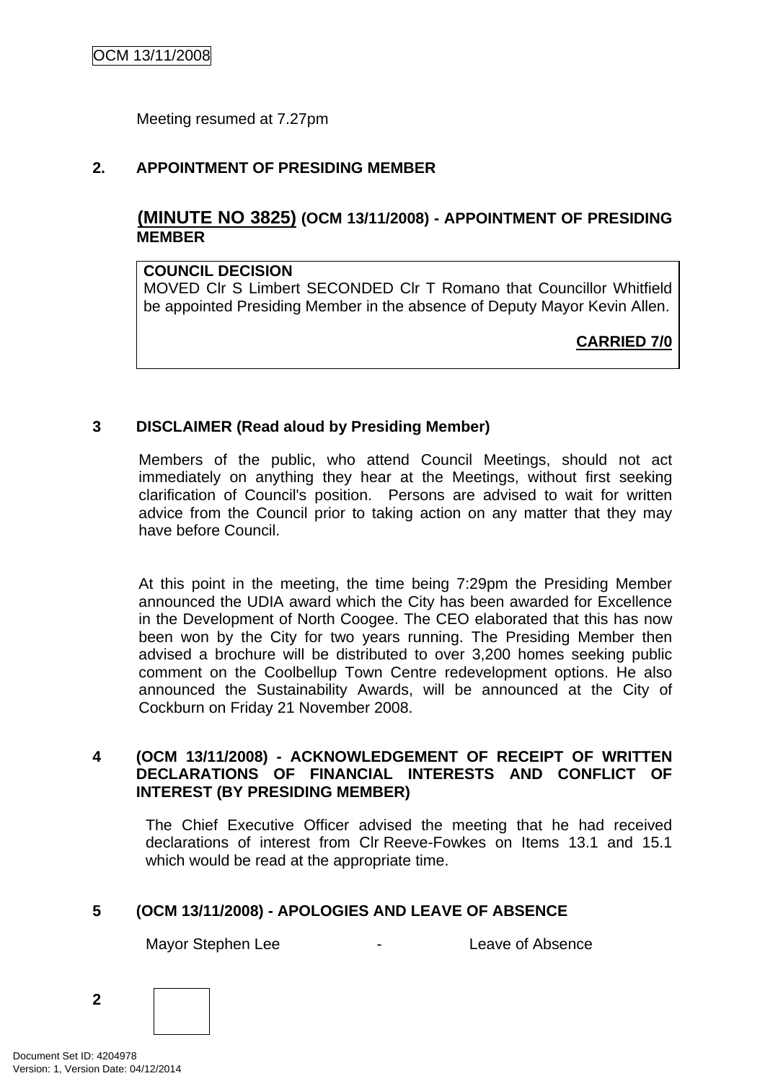Meeting resumed at 7.27pm

# <span id="page-5-3"></span><span id="page-5-0"></span>**2. APPOINTMENT OF PRESIDING MEMBER**

### **(MINUTE NO 3825) (OCM 13/11/2008) - APPOINTMENT OF PRESIDING MEMBER**

#### **COUNCIL DECISION**

MOVED Clr S Limbert SECONDED Clr T Romano that Councillor Whitfield be appointed Presiding Member in the absence of Deputy Mayor Kevin Allen.

# **CARRIED 7/0**

### <span id="page-5-1"></span>**3 DISCLAIMER (Read aloud by Presiding Member)**

Members of the public, who attend Council Meetings, should not act immediately on anything they hear at the Meetings, without first seeking clarification of Council's position. Persons are advised to wait for written advice from the Council prior to taking action on any matter that they may have before Council.

At this point in the meeting, the time being 7:29pm the Presiding Member announced the UDIA award which the City has been awarded for Excellence in the Development of North Coogee. The CEO elaborated that this has now been won by the City for two years running. The Presiding Member then advised a brochure will be distributed to over 3,200 homes seeking public comment on the Coolbellup Town Centre redevelopment options. He also announced the Sustainability Awards, will be announced at the City of Cockburn on Friday 21 November 2008.

#### <span id="page-5-2"></span>**4 (OCM 13/11/2008) - ACKNOWLEDGEMENT OF RECEIPT OF WRITTEN DECLARATIONS OF FINANCIAL INTERESTS AND CONFLICT OF INTEREST (BY PRESIDING MEMBER)**

The Chief Executive Officer advised the meeting that he had received declarations of interest from Clr Reeve-Fowkes on Items 13.1 and 15.1 which would be read at the appropriate time.

#### <span id="page-5-4"></span>**5 (OCM 13/11/2008) - APOLOGIES AND LEAVE OF ABSENCE**

Mayor Stephen Lee **- Accelerate Hart Contract Changes** Leave of Absence

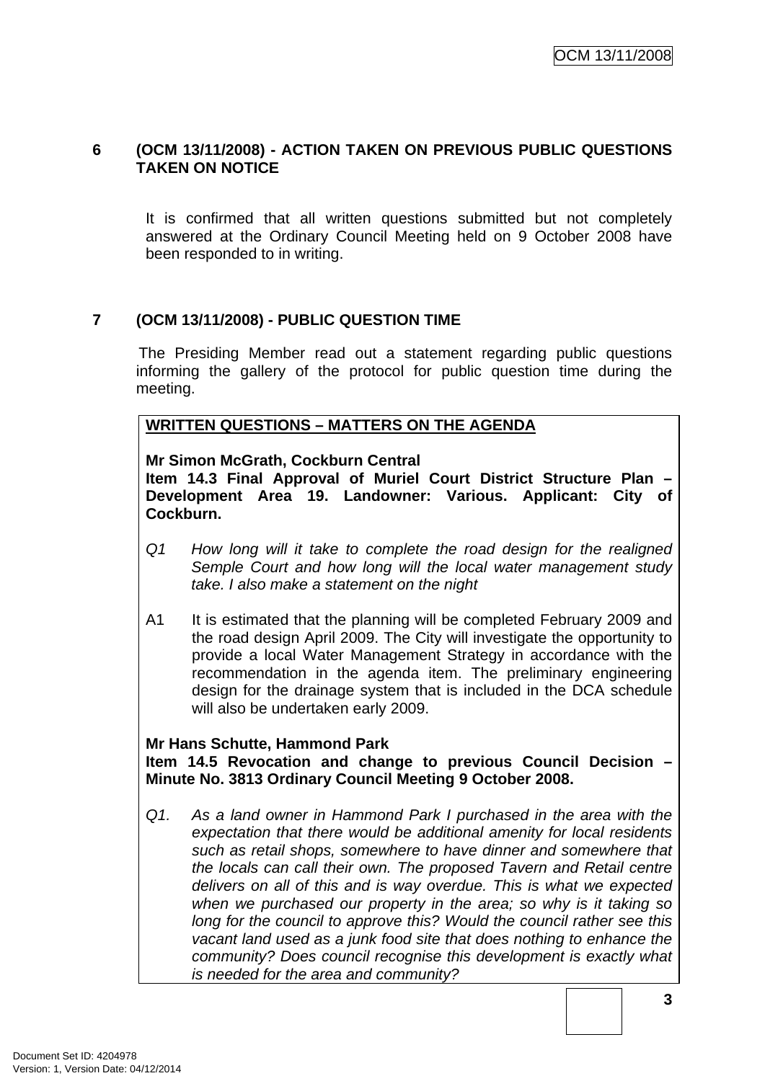### <span id="page-6-0"></span>**6 (OCM 13/11/2008) - ACTION TAKEN ON PREVIOUS PUBLIC QUESTIONS TAKEN ON NOTICE**

It is confirmed that all written questions submitted but not completely answered at the Ordinary Council Meeting held on 9 October 2008 have been responded to in writing.

### <span id="page-6-1"></span>**7 (OCM 13/11/2008) - PUBLIC QUESTION TIME**

The Presiding Member read out a statement regarding public questions informing the gallery of the protocol for public question time during the meeting.

**WRITTEN QUESTIONS – MATTERS ON THE AGENDA**

**Mr Simon McGrath, Cockburn Central** 

**Item 14.3 Final Approval of Muriel Court District Structure Plan – Development Area 19. Landowner: Various. Applicant: City of Cockburn.** 

- *Q1 How long will it take to complete the road design for the realigned Semple Court and how long will the local water management study take. I also make a statement on the night*
- A1 It is estimated that the planning will be completed February 2009 and the road design April 2009. The City will investigate the opportunity to provide a local Water Management Strategy in accordance with the recommendation in the agenda item. The preliminary engineering design for the drainage system that is included in the DCA schedule will also be undertaken early 2009.

#### **Mr Hans Schutte, Hammond Park Item 14.5 Revocation and change to previous Council Decision – Minute No. 3813 Ordinary Council Meeting 9 October 2008.**

*Q1. As a land owner in Hammond Park I purchased in the area with the expectation that there would be additional amenity for local residents such as retail shops, somewhere to have dinner and somewhere that the locals can call their own. The proposed Tavern and Retail centre delivers on all of this and is way overdue. This is what we expected when we purchased our property in the area; so why is it taking so long for the council to approve this? Would the council rather see this vacant land used as a junk food site that does nothing to enhance the community? Does council recognise this development is exactly what is needed for the area and community?*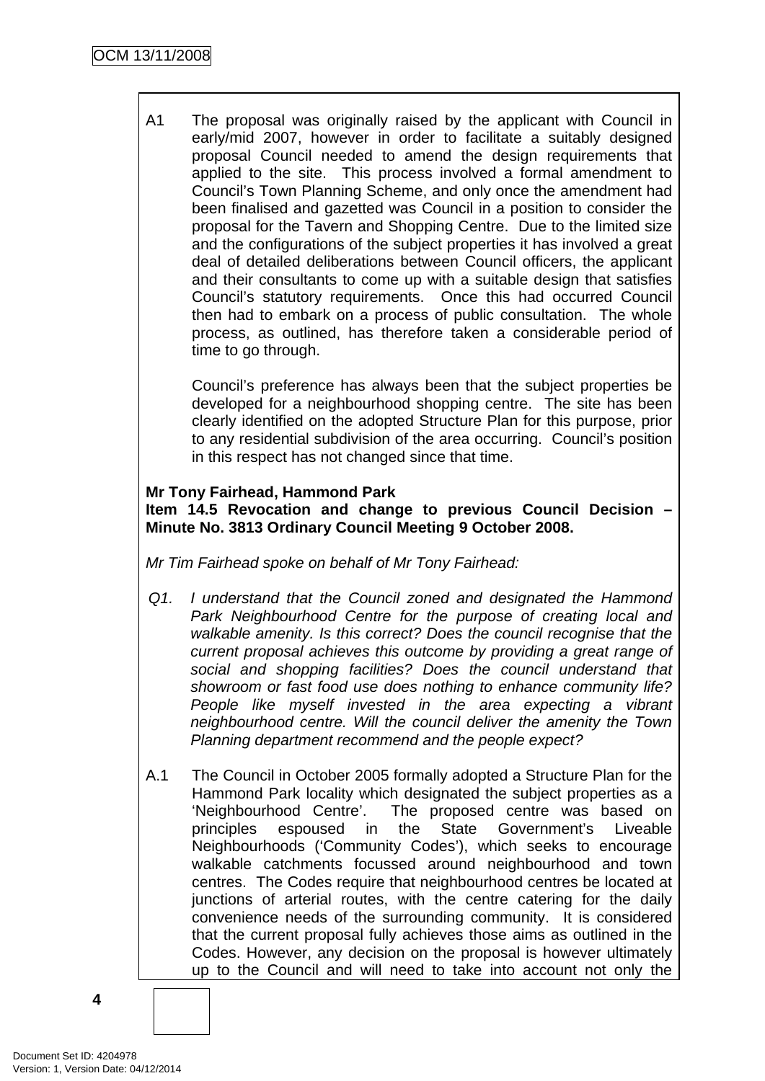A1 The proposal was originally raised by the applicant with Council in early/mid 2007, however in order to facilitate a suitably designed proposal Council needed to amend the design requirements that applied to the site. This process involved a formal amendment to Council's Town Planning Scheme, and only once the amendment had been finalised and gazetted was Council in a position to consider the proposal for the Tavern and Shopping Centre. Due to the limited size and the configurations of the subject properties it has involved a great deal of detailed deliberations between Council officers, the applicant and their consultants to come up with a suitable design that satisfies Council's statutory requirements. Once this had occurred Council then had to embark on a process of public consultation. The whole process, as outlined, has therefore taken a considerable period of time to go through.

 Council's preference has always been that the subject properties be developed for a neighbourhood shopping centre. The site has been clearly identified on the adopted Structure Plan for this purpose, prior to any residential subdivision of the area occurring. Council's position in this respect has not changed since that time.

### **Mr Tony Fairhead, Hammond Park**

**Item 14.5 Revocation and change to previous Council Decision – Minute No. 3813 Ordinary Council Meeting 9 October 2008.** 

*Mr Tim Fairhead spoke on behalf of Mr Tony Fairhead:* 

- *Q1. I understand that the Council zoned and designated the Hammond Park Neighbourhood Centre for the purpose of creating local and walkable amenity. Is this correct? Does the council recognise that the current proposal achieves this outcome by providing a great range of social and shopping facilities? Does the council understand that showroom or fast food use does nothing to enhance community life? People like myself invested in the area expecting a vibrant neighbourhood centre. Will the council deliver the amenity the Town Planning department recommend and the people expect?*
- A.1 The Council in October 2005 formally adopted a Structure Plan for the Hammond Park locality which designated the subject properties as a 'Neighbourhood Centre'. The proposed centre was based on principles espoused in the State Government's Liveable Neighbourhoods ('Community Codes'), which seeks to encourage walkable catchments focussed around neighbourhood and town centres. The Codes require that neighbourhood centres be located at junctions of arterial routes, with the centre catering for the daily convenience needs of the surrounding community. It is considered that the current proposal fully achieves those aims as outlined in the Codes. However, any decision on the proposal is however ultimately up to the Council and will need to take into account not only the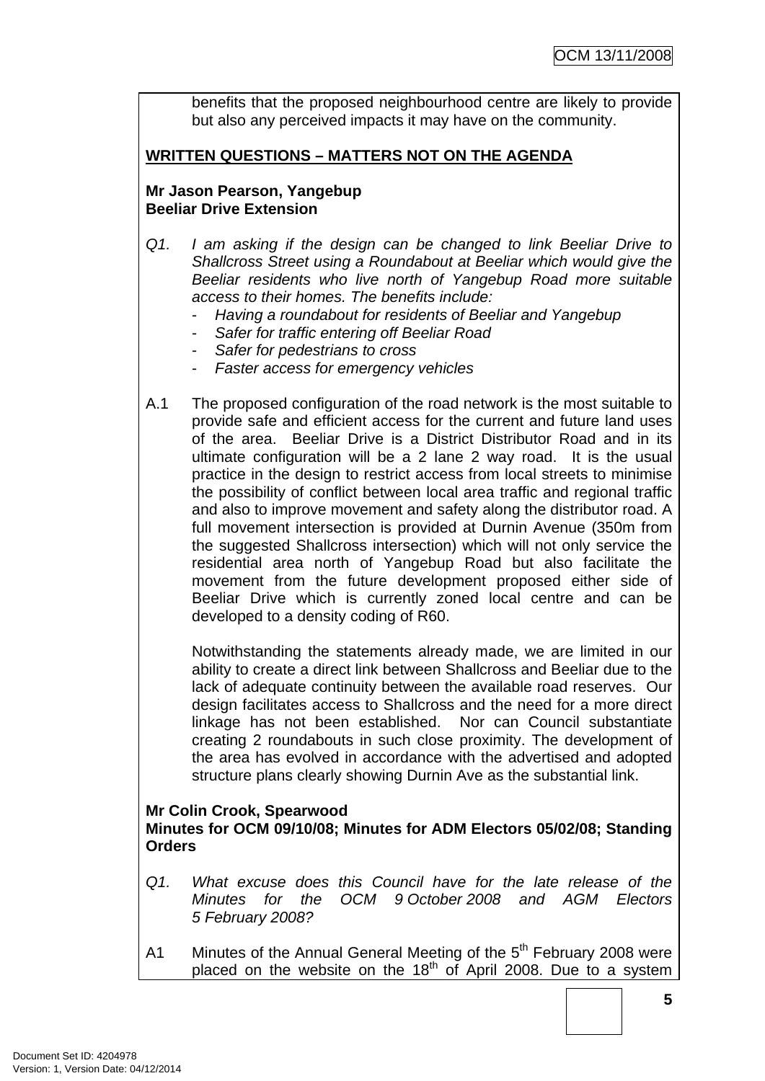benefits that the proposed neighbourhood centre are likely to provide but also any perceived impacts it may have on the community.

**WRITTEN QUESTIONS – MATTERS NOT ON THE AGENDA**

**Mr Jason Pearson, Yangebup Beeliar Drive Extension** 

- *Q1. I am asking if the design can be changed to link Beeliar Drive to Shallcross Street using a Roundabout at Beeliar which would give the Beeliar residents who live north of Yangebup Road more suitable access to their homes. The benefits include:* 
	- *Having a roundabout for residents of Beeliar and Yangebup*
	- *Safer for traffic entering off Beeliar Road*
	- *Safer for pedestrians to cross*
	- *Faster access for emergency vehicles*
- A.1 The proposed configuration of the road network is the most suitable to provide safe and efficient access for the current and future land uses of the area. Beeliar Drive is a District Distributor Road and in its ultimate configuration will be a 2 lane 2 way road. It is the usual practice in the design to restrict access from local streets to minimise the possibility of conflict between local area traffic and regional traffic and also to improve movement and safety along the distributor road. A full movement intersection is provided at Durnin Avenue (350m from the suggested Shallcross intersection) which will not only service the residential area north of Yangebup Road but also facilitate the movement from the future development proposed either side of Beeliar Drive which is currently zoned local centre and can be developed to a density coding of R60.

Notwithstanding the statements already made, we are limited in our ability to create a direct link between Shallcross and Beeliar due to the lack of adequate continuity between the available road reserves. Our design facilitates access to Shallcross and the need for a more direct linkage has not been established. Nor can Council substantiate creating 2 roundabouts in such close proximity. The development of the area has evolved in accordance with the advertised and adopted structure plans clearly showing Durnin Ave as the substantial link.

# **Mr Colin Crook, Spearwood**

### **Minutes for OCM 09/10/08; Minutes for ADM Electors 05/02/08; Standing Orders**

- *Q1. What excuse does this Council have for the late release of the Minutes for the OCM 9 October 2008 and AGM Electors 5 February 2008?*
- A1 Minutes of the Annual General Meeting of the  $5<sup>th</sup>$  February 2008 were placed on the website on the 18<sup>th</sup> of April 2008. Due to a system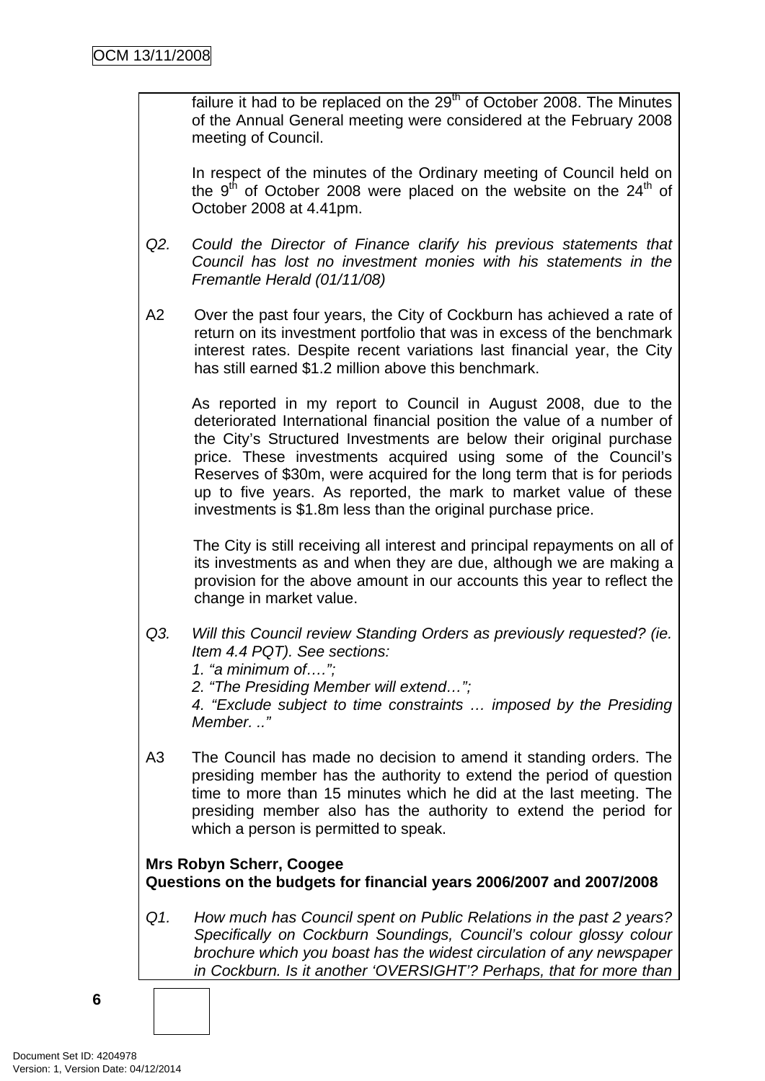failure it had to be replaced on the  $29<sup>th</sup>$  of October 2008. The Minutes of the Annual General meeting were considered at the February 2008 meeting of Council.

 In respect of the minutes of the Ordinary meeting of Council held on the 9<sup>th</sup> of October 2008 were placed on the website on the  $24<sup>th</sup>$  of October 2008 at 4.41pm.

- *Q2. Could the Director of Finance clarify his previous statements that Council has lost no investment monies with his statements in the Fremantle Herald (01/11/08)*
- A2 Over the past four years, the City of Cockburn has achieved a rate of return on its investment portfolio that was in excess of the benchmark interest rates. Despite recent variations last financial year, the City has still earned \$1.2 million above this benchmark.

As reported in my report to Council in August 2008, due to the deteriorated International financial position the value of a number of the City's Structured Investments are below their original purchase price. These investments acquired using some of the Council's Reserves of \$30m, were acquired for the long term that is for periods up to five years. As reported, the mark to market value of these investments is \$1.8m less than the original purchase price.

The City is still receiving all interest and principal repayments on all of its investments as and when they are due, although we are making a provision for the above amount in our accounts this year to reflect the change in market value.

*Q3. Will this Council review Standing Orders as previously requested? (ie. Item 4.4 PQT). See sections:* 

*1. "a minimum of….";* 

*2. "The Presiding Member will extend…";* 

*4. "Exclude subject to time constraints … imposed by the Presiding Member. .."* 

A3 The Council has made no decision to amend it standing orders. The presiding member has the authority to extend the period of question time to more than 15 minutes which he did at the last meeting. The presiding member also has the authority to extend the period for which a person is permitted to speak.

# **Mrs Robyn Scherr, Coogee Questions on the budgets for financial years 2006/2007 and 2007/2008**

*Q1. How much has Council spent on Public Relations in the past 2 years? Specifically on Cockburn Soundings, Council's colour glossy colour brochure which you boast has the widest circulation of any newspaper in Cockburn. Is it another 'OVERSIGHT'? Perhaps, that for more than*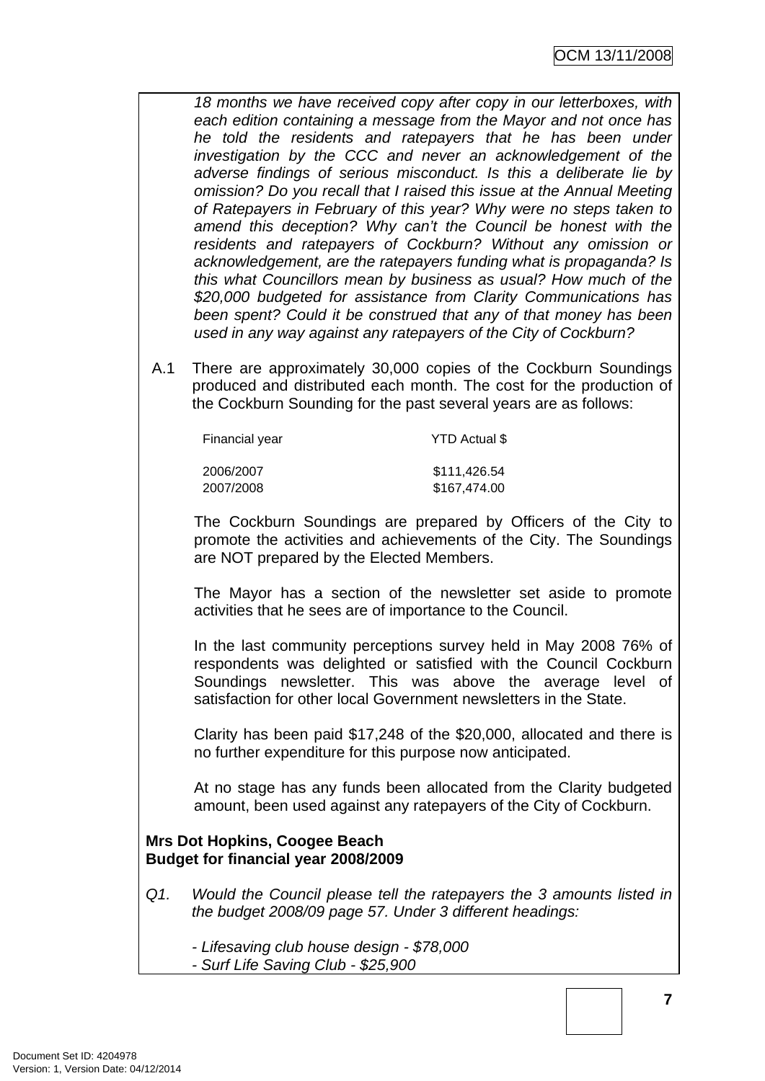*18 months we have received copy after copy in our letterboxes, with each edition containing a message from the Mayor and not once has he told the residents and ratepayers that he has been under investigation by the CCC and never an acknowledgement of the adverse findings of serious misconduct. Is this a deliberate lie by omission? Do you recall that I raised this issue at the Annual Meeting of Ratepayers in February of this year? Why were no steps taken to amend this deception? Why can't the Council be honest with the residents and ratepayers of Cockburn? Without any omission or acknowledgement, are the ratepayers funding what is propaganda? Is this what Councillors mean by business as usual? How much of the \$20,000 budgeted for assistance from Clarity Communications has been spent? Could it be construed that any of that money has been used in any way against any ratepayers of the City of Cockburn?*

A.1 There are approximately 30,000 copies of the Cockburn Soundings produced and distributed each month. The cost for the production of the Cockburn Sounding for the past several years are as follows:

| Financial year | <b>YTD Actual \$</b> |  |
|----------------|----------------------|--|
| 2006/2007      | \$111,426.54         |  |
| 2007/2008      | \$167,474.00         |  |

The Cockburn Soundings are prepared by Officers of the City to promote the activities and achievements of the City. The Soundings are NOT prepared by the Elected Members.

The Mayor has a section of the newsletter set aside to promote activities that he sees are of importance to the Council.

In the last community perceptions survey held in May 2008 76% of respondents was delighted or satisfied with the Council Cockburn Soundings newsletter. This was above the average level of satisfaction for other local Government newsletters in the State.

Clarity has been paid \$17,248 of the \$20,000, allocated and there is no further expenditure for this purpose now anticipated.

At no stage has any funds been allocated from the Clarity budgeted amount, been used against any ratepayers of the City of Cockburn.

### **Mrs Dot Hopkins, Coogee Beach Budget for financial year 2008/2009**

- *Q1. Would the Council please tell the ratepayers the 3 amounts listed in the budget 2008/09 page 57. Under 3 different headings:* 
	- *Lifesaving club house design \$78,000*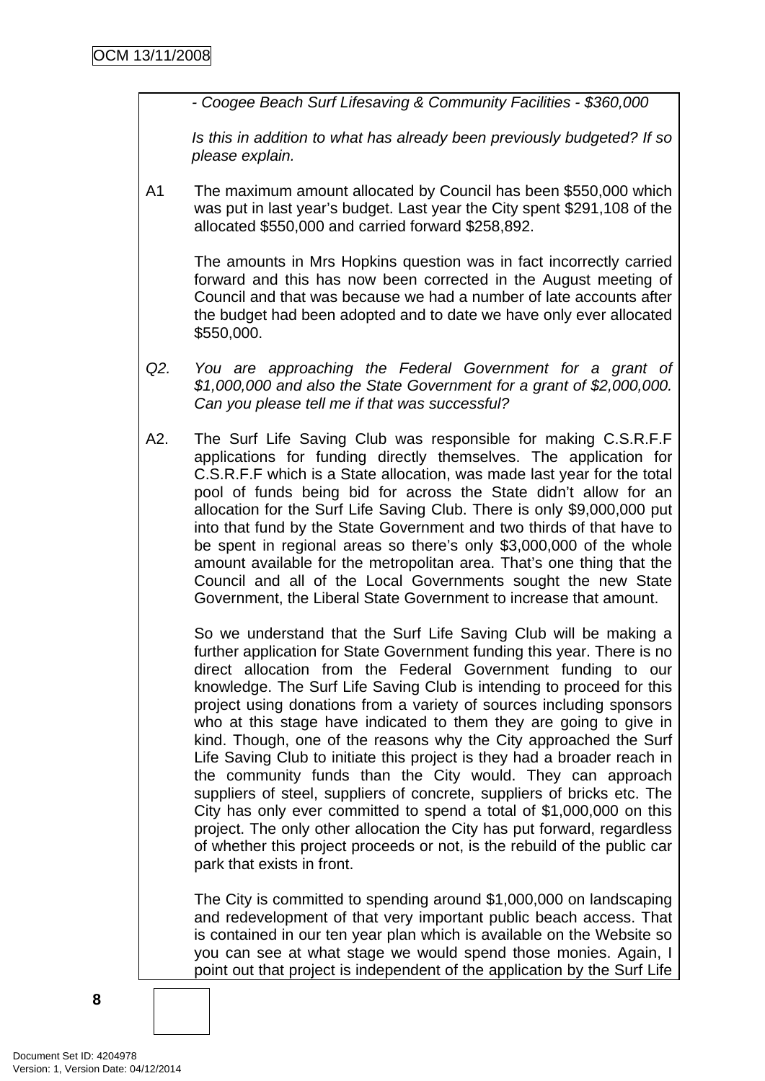*- Coogee Beach Surf Lifesaving & Community Facilities - \$360,000* 

*Is this in addition to what has already been previously budgeted? If so please explain.* 

A1 The maximum amount allocated by Council has been \$550,000 which was put in last year's budget. Last year the City spent \$291,108 of the allocated \$550,000 and carried forward \$258,892.

 The amounts in Mrs Hopkins question was in fact incorrectly carried forward and this has now been corrected in the August meeting of Council and that was because we had a number of late accounts after the budget had been adopted and to date we have only ever allocated \$550,000.

- *Q2. You are approaching the Federal Government for a grant of \$1,000,000 and also the State Government for a grant of \$2,000,000. Can you please tell me if that was successful?*
- A2. The Surf Life Saving Club was responsible for making C.S.R.F.F applications for funding directly themselves. The application for C.S.R.F.F which is a State allocation, was made last year for the total pool of funds being bid for across the State didn't allow for an allocation for the Surf Life Saving Club. There is only \$9,000,000 put into that fund by the State Government and two thirds of that have to be spent in regional areas so there's only \$3,000,000 of the whole amount available for the metropolitan area. That's one thing that the Council and all of the Local Governments sought the new State Government, the Liberal State Government to increase that amount.

 So we understand that the Surf Life Saving Club will be making a further application for State Government funding this year. There is no direct allocation from the Federal Government funding to our knowledge. The Surf Life Saving Club is intending to proceed for this project using donations from a variety of sources including sponsors who at this stage have indicated to them they are going to give in kind. Though, one of the reasons why the City approached the Surf Life Saving Club to initiate this project is they had a broader reach in the community funds than the City would. They can approach suppliers of steel, suppliers of concrete, suppliers of bricks etc. The City has only ever committed to spend a total of \$1,000,000 on this project. The only other allocation the City has put forward, regardless of whether this project proceeds or not, is the rebuild of the public car park that exists in front.

 The City is committed to spending around \$1,000,000 on landscaping and redevelopment of that very important public beach access. That is contained in our ten year plan which is available on the Website so you can see at what stage we would spend those monies. Again, I point out that project is independent of the application by the Surf Life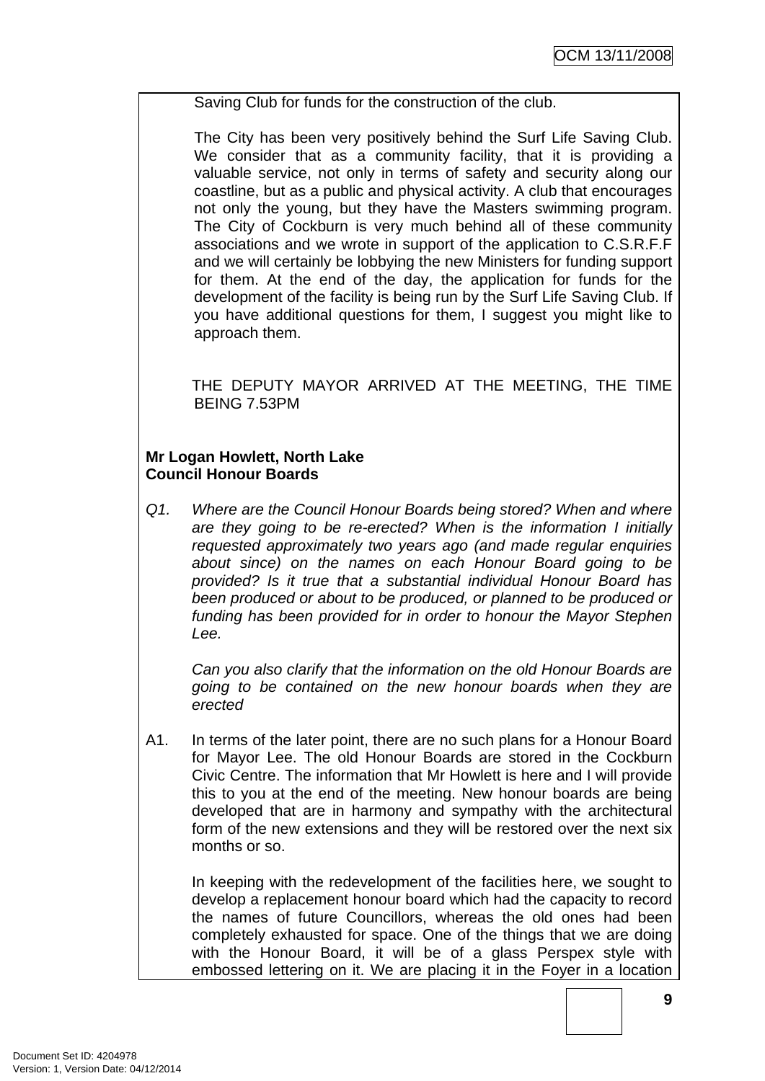Saving Club for funds for the construction of the club.

 The City has been very positively behind the Surf Life Saving Club. We consider that as a community facility, that it is providing a valuable service, not only in terms of safety and security along our coastline, but as a public and physical activity. A club that encourages not only the young, but they have the Masters swimming program. The City of Cockburn is very much behind all of these community associations and we wrote in support of the application to C.S.R.F.F and we will certainly be lobbying the new Ministers for funding support for them. At the end of the day, the application for funds for the development of the facility is being run by the Surf Life Saving Club. If you have additional questions for them, I suggest you might like to approach them.

THE DEPUTY MAYOR ARRIVED AT THE MEETING, THE TIME BEING 7.53PM

### **Mr Logan Howlett, North Lake Council Honour Boards**

*Q1. Where are the Council Honour Boards being stored? When and where are they going to be re-erected? When is the information I initially requested approximately two years ago (and made regular enquiries about since) on the names on each Honour Board going to be provided? Is it true that a substantial individual Honour Board has been produced or about to be produced, or planned to be produced or funding has been provided for in order to honour the Mayor Stephen Lee.* 

 *Can you also clarify that the information on the old Honour Boards are going to be contained on the new honour boards when they are erected* 

A1. In terms of the later point, there are no such plans for a Honour Board for Mayor Lee. The old Honour Boards are stored in the Cockburn Civic Centre. The information that Mr Howlett is here and I will provide this to you at the end of the meeting. New honour boards are being developed that are in harmony and sympathy with the architectural form of the new extensions and they will be restored over the next six months or so.

 In keeping with the redevelopment of the facilities here, we sought to develop a replacement honour board which had the capacity to record the names of future Councillors, whereas the old ones had been completely exhausted for space. One of the things that we are doing with the Honour Board, it will be of a glass Perspex style with embossed lettering on it. We are placing it in the Foyer in a location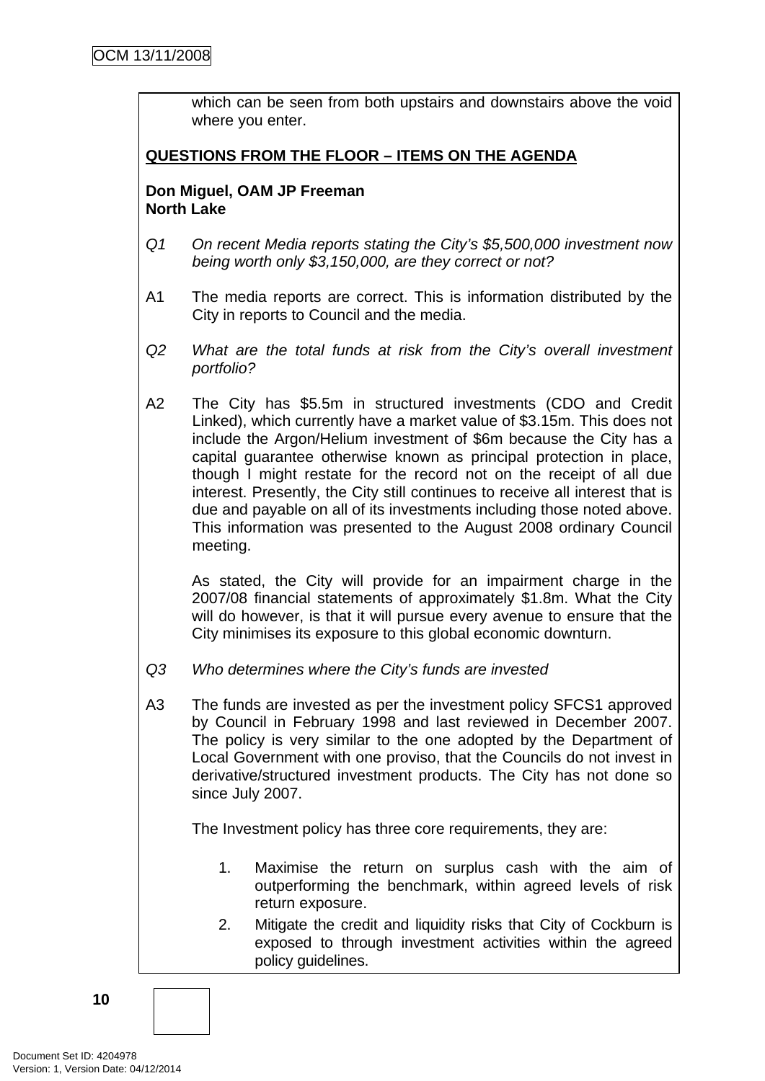which can be seen from both upstairs and downstairs above the void where you enter.

#### **QUESTIONS FROM THE FLOOR – ITEMS ON THE AGENDA**

**Don Miguel, OAM JP Freeman North Lake** 

- *Q1 On recent Media reports stating the City's \$5,500,000 investment now being worth only \$3,150,000, are they correct or not?*
- A1 The media reports are correct. This is information distributed by the City in reports to Council and the media.
- *Q2 What are the total funds at risk from the City's overall investment portfolio?*
- A2 The City has \$5.5m in structured investments (CDO and Credit Linked), which currently have a market value of \$3.15m. This does not include the Argon/Helium investment of \$6m because the City has a capital guarantee otherwise known as principal protection in place, though I might restate for the record not on the receipt of all due interest. Presently, the City still continues to receive all interest that is due and payable on all of its investments including those noted above. This information was presented to the August 2008 ordinary Council meeting.

 As stated, the City will provide for an impairment charge in the 2007/08 financial statements of approximately \$1.8m. What the City will do however, is that it will pursue every avenue to ensure that the City minimises its exposure to this global economic downturn.

- *Q3 Who determines where the City's funds are invested*
- A3 The funds are invested as per the investment policy SFCS1 approved by Council in February 1998 and last reviewed in December 2007. The policy is very similar to the one adopted by the Department of Local Government with one proviso, that the Councils do not invest in derivative/structured investment products. The City has not done so since July 2007.

The Investment policy has three core requirements, they are:

- 1. Maximise the return on surplus cash with the aim of outperforming the benchmark, within agreed levels of risk return exposure.
- 2. Mitigate the credit and liquidity risks that City of Cockburn is exposed to through investment activities within the agreed policy guidelines.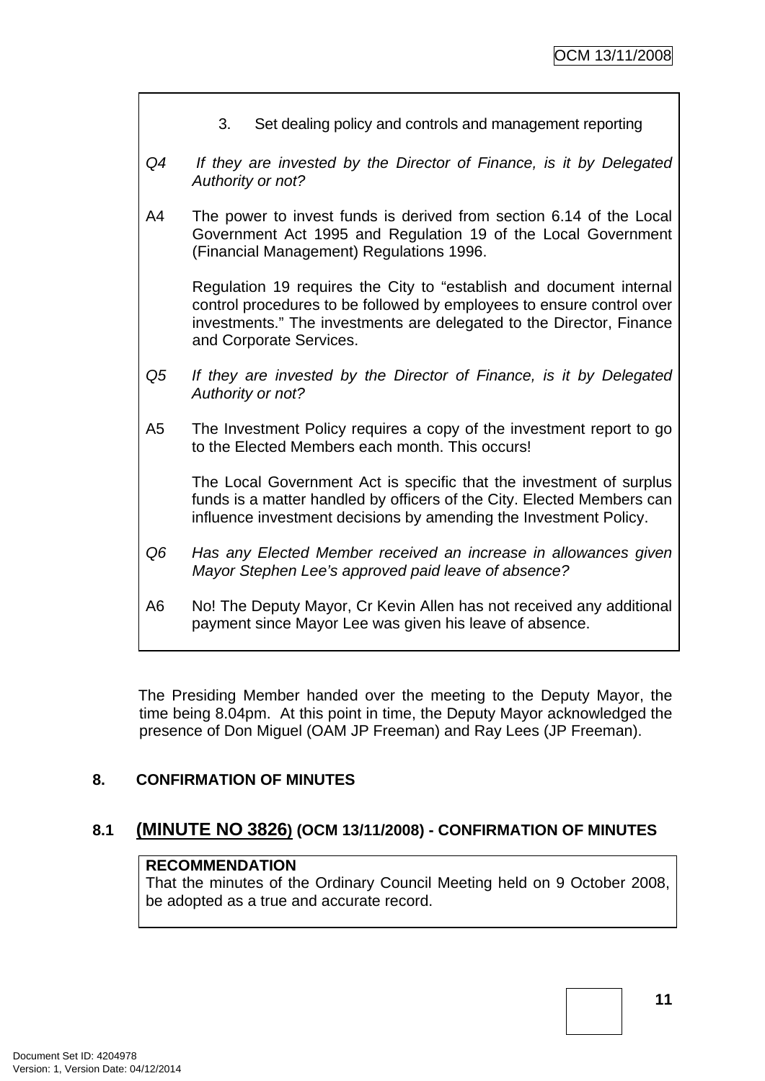- 3. Set dealing policy and controls and management reporting
- *Q4 If they are invested by the Director of Finance, is it by Delegated Authority or not?*
- A4 The power to invest funds is derived from section 6.14 of the Local Government Act 1995 and Regulation 19 of the Local Government (Financial Management) Regulations 1996.

Regulation 19 requires the City to "establish and document internal control procedures to be followed by employees to ensure control over investments." The investments are delegated to the Director, Finance and Corporate Services.

- *Q5 If they are invested by the Director of Finance, is it by Delegated Authority or not?*
- A5 The Investment Policy requires a copy of the investment report to go to the Elected Members each month. This occurs!

The Local Government Act is specific that the investment of surplus funds is a matter handled by officers of the City. Elected Members can influence investment decisions by amending the Investment Policy.

- *Q6 Has any Elected Member received an increase in allowances given Mayor Stephen Lee's approved paid leave of absence?*
- A6 No! The Deputy Mayor, Cr Kevin Allen has not received any additional payment since Mayor Lee was given his leave of absence.

The Presiding Member handed over the meeting to the Deputy Mayor, the time being 8.04pm. At this point in time, the Deputy Mayor acknowledged the presence of Don Miguel (OAM JP Freeman) and Ray Lees (JP Freeman).

# <span id="page-14-0"></span>**8. CONFIRMATION OF MINUTES**

# <span id="page-14-1"></span>**8.1 (MINUTE NO 3826) (OCM 13/11/2008) - CONFIRMATION OF MINUTES**

### **RECOMMENDATION**

That the minutes of the Ordinary Council Meeting held on 9 October 2008, be adopted as a true and accurate record.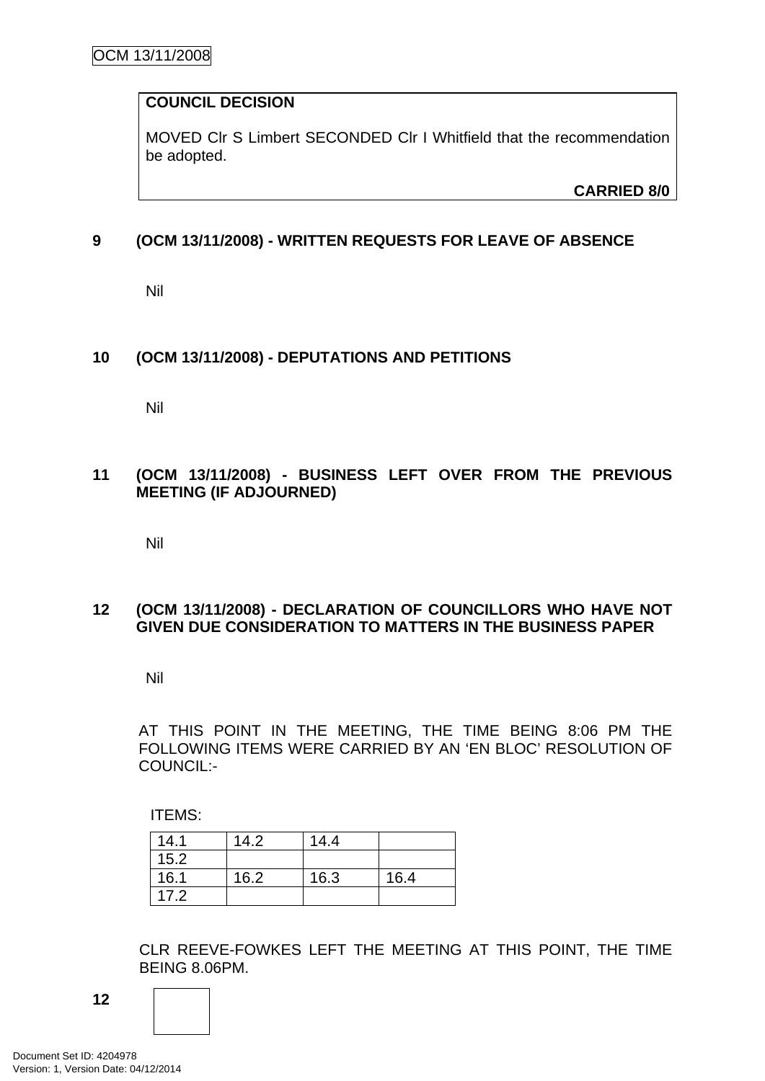# **COUNCIL DECISION**

MOVED Clr S Limbert SECONDED Clr I Whitfield that the recommendation be adopted.

**CARRIED 8/0**

# <span id="page-15-0"></span>**9 (OCM 13/11/2008) - WRITTEN REQUESTS FOR LEAVE OF ABSENCE**

Nil

### <span id="page-15-1"></span>**10 (OCM 13/11/2008) - DEPUTATIONS AND PETITIONS**

Nil

### <span id="page-15-2"></span>**11 (OCM 13/11/2008) - BUSINESS LEFT OVER FROM THE PREVIOUS MEETING (IF ADJOURNED)**

Nil

#### <span id="page-15-3"></span>**12 (OCM 13/11/2008) - DECLARATION OF COUNCILLORS WHO HAVE NOT GIVEN DUE CONSIDERATION TO MATTERS IN THE BUSINESS PAPER**

Nil

AT THIS POINT IN THE MEETING, THE TIME BEING 8:06 PM THE FOLLOWING ITEMS WERE CARRIED BY AN 'EN BLOC' RESOLUTION OF COUNCIL:-

ITEMS:

| 14.1 | 14.2 | 14.4 |      |
|------|------|------|------|
| 15.2 |      |      |      |
| 16.1 | 16.2 | 16.3 | 16.4 |
| 17.2 |      |      |      |

CLR REEVE-FOWKES LEFT THE MEETING AT THIS POINT, THE TIME BEING 8.06PM.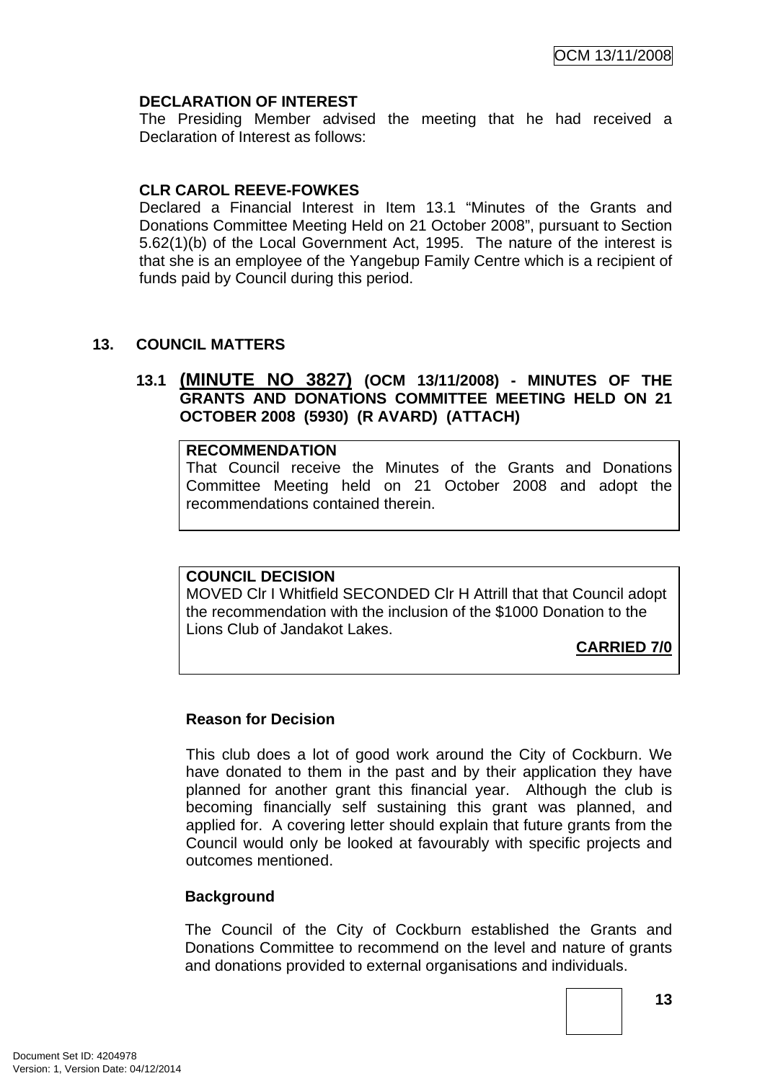### **DECLARATION OF INTEREST**

The Presiding Member advised the meeting that he had received a Declaration of Interest as follows:

### **CLR CAROL REEVE-FOWKES**

Declared a Financial Interest in Item 13.1 "Minutes of the Grants and Donations Committee Meeting Held on 21 October 2008", pursuant to Section 5.62(1)(b) of the Local Government Act, 1995. The nature of the interest is that she is an employee of the Yangebup Family Centre which is a recipient of funds paid by Council during this period.

### <span id="page-16-1"></span><span id="page-16-0"></span>**13. COUNCIL MATTERS**

### **13.1 (MINUTE NO 3827) (OCM 13/11/2008) - MINUTES OF THE GRANTS AND DONATIONS COMMITTEE MEETING HELD ON 21 OCTOBER 2008 (5930) (R AVARD) (ATTACH)**

#### **RECOMMENDATION**

That Council receive the Minutes of the Grants and Donations Committee Meeting held on 21 October 2008 and adopt the recommendations contained therein.

#### **COUNCIL DECISION**

MOVED Clr I Whitfield SECONDED Clr H Attrill that that Council adopt the recommendation with the inclusion of the \$1000 Donation to the Lions Club of Jandakot Lakes.

# **CARRIED 7/0**

#### **Reason for Decision**

This club does a lot of good work around the City of Cockburn. We have donated to them in the past and by their application they have planned for another grant this financial year. Although the club is becoming financially self sustaining this grant was planned, and applied for. A covering letter should explain that future grants from the Council would only be looked at favourably with specific projects and outcomes mentioned.

#### **Background**

The Council of the City of Cockburn established the Grants and Donations Committee to recommend on the level and nature of grants and donations provided to external organisations and individuals.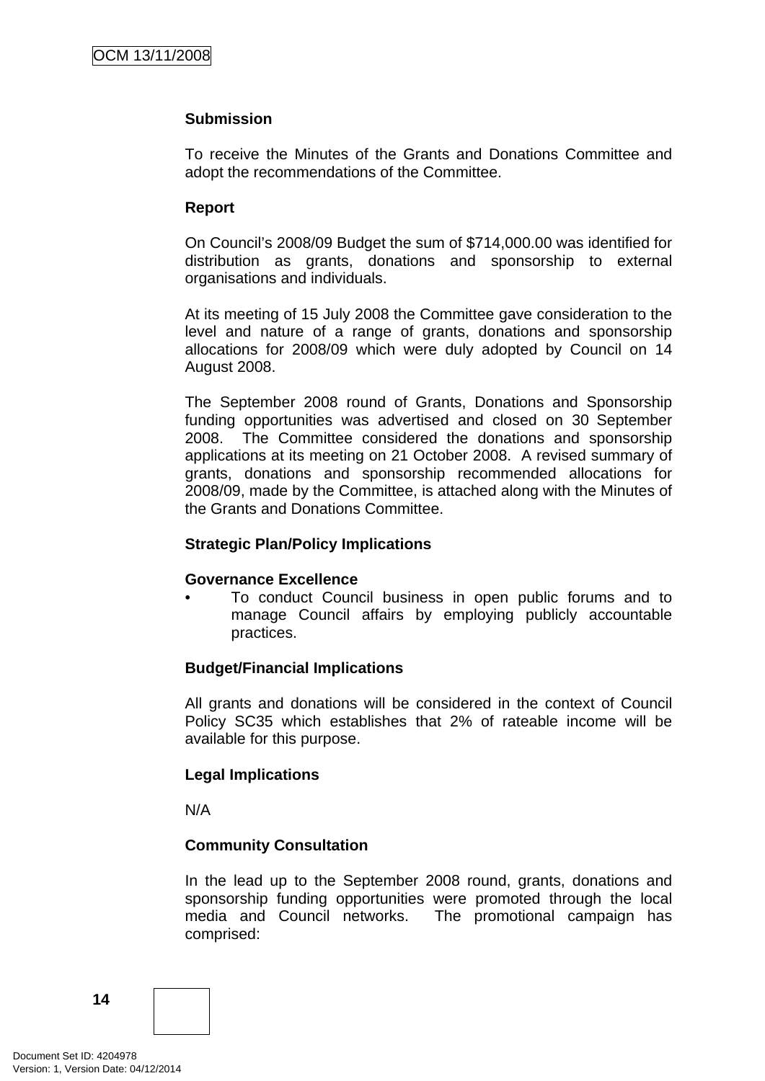#### **Submission**

To receive the Minutes of the Grants and Donations Committee and adopt the recommendations of the Committee.

#### **Report**

On Council's 2008/09 Budget the sum of \$714,000.00 was identified for distribution as grants, donations and sponsorship to external organisations and individuals.

At its meeting of 15 July 2008 the Committee gave consideration to the level and nature of a range of grants, donations and sponsorship allocations for 2008/09 which were duly adopted by Council on 14 August 2008.

The September 2008 round of Grants, Donations and Sponsorship funding opportunities was advertised and closed on 30 September 2008. The Committee considered the donations and sponsorship applications at its meeting on 21 October 2008. A revised summary of grants, donations and sponsorship recommended allocations for 2008/09, made by the Committee, is attached along with the Minutes of the Grants and Donations Committee.

#### **Strategic Plan/Policy Implications**

#### **Governance Excellence**

• To conduct Council business in open public forums and to manage Council affairs by employing publicly accountable practices.

#### **Budget/Financial Implications**

All grants and donations will be considered in the context of Council Policy SC35 which establishes that 2% of rateable income will be available for this purpose.

#### **Legal Implications**

N/A

#### **Community Consultation**

In the lead up to the September 2008 round, grants, donations and sponsorship funding opportunities were promoted through the local media and Council networks. The promotional campaign has comprised: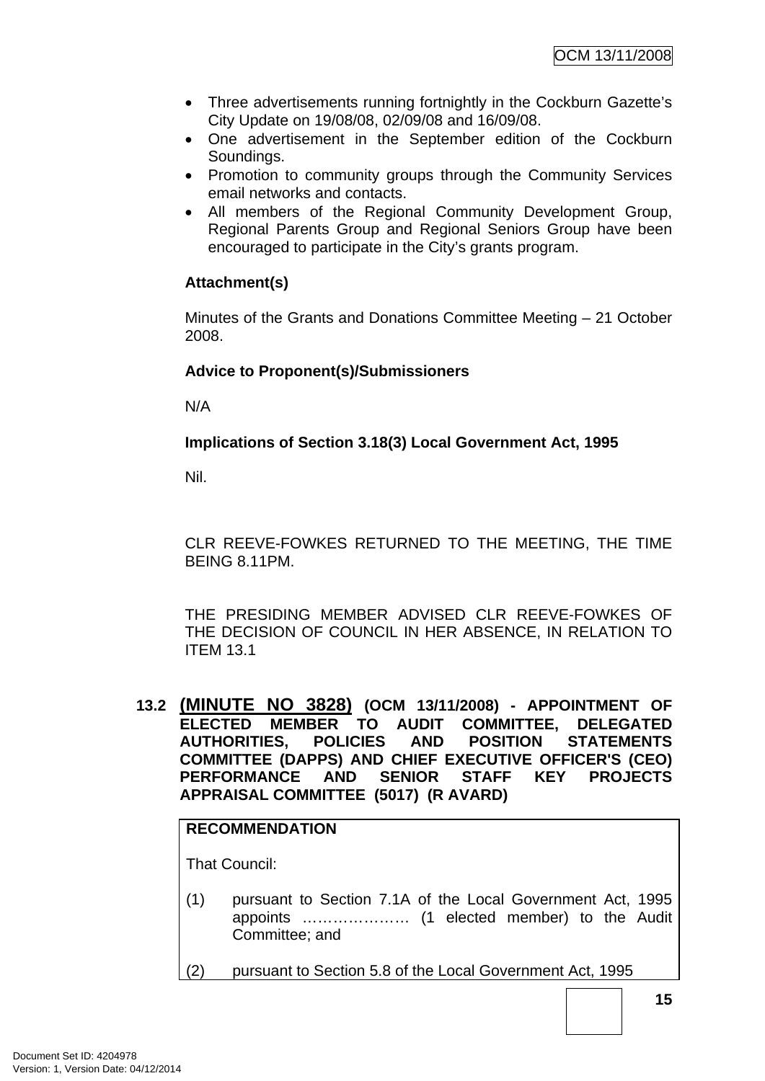- Three advertisements running fortnightly in the Cockburn Gazette's City Update on 19/08/08, 02/09/08 and 16/09/08.
- One advertisement in the September edition of the Cockburn Soundings.
- Promotion to community groups through the Community Services email networks and contacts.
- All members of the Regional Community Development Group, Regional Parents Group and Regional Seniors Group have been encouraged to participate in the City's grants program.

# **Attachment(s)**

Minutes of the Grants and Donations Committee Meeting – 21 October 2008.

### **Advice to Proponent(s)/Submissioners**

N/A

### **Implications of Section 3.18(3) Local Government Act, 1995**

Nil.

CLR REEVE-FOWKES RETURNED TO THE MEETING, THE TIME BEING 8.11PM.

THE PRESIDING MEMBER ADVISED CLR REEVE-FOWKES OF THE DECISION OF COUNCIL IN HER ABSENCE, IN RELATION TO ITEM 13.1

<span id="page-18-0"></span>**13.2 (MINUTE NO 3828) (OCM 13/11/2008) - APPOINTMENT OF ELECTED MEMBER TO AUDIT COMMITTEE, DELEGATED AUTHORITIES, POLICIES AND POSITION STATEMENTS COMMITTEE (DAPPS) AND CHIEF EXECUTIVE OFFICER'S (CEO) PERFORMANCE AND SENIOR STAFF KEY PROJECTS APPRAISAL COMMITTEE (5017) (R AVARD)** 

# **RECOMMENDATION**

That Council:

- (1) pursuant to Section 7.1A of the Local Government Act, 1995 appoints ………………… (1 elected member) to the Audit Committee; and
- (2) pursuant to Section 5.8 of the Local Government Act, 1995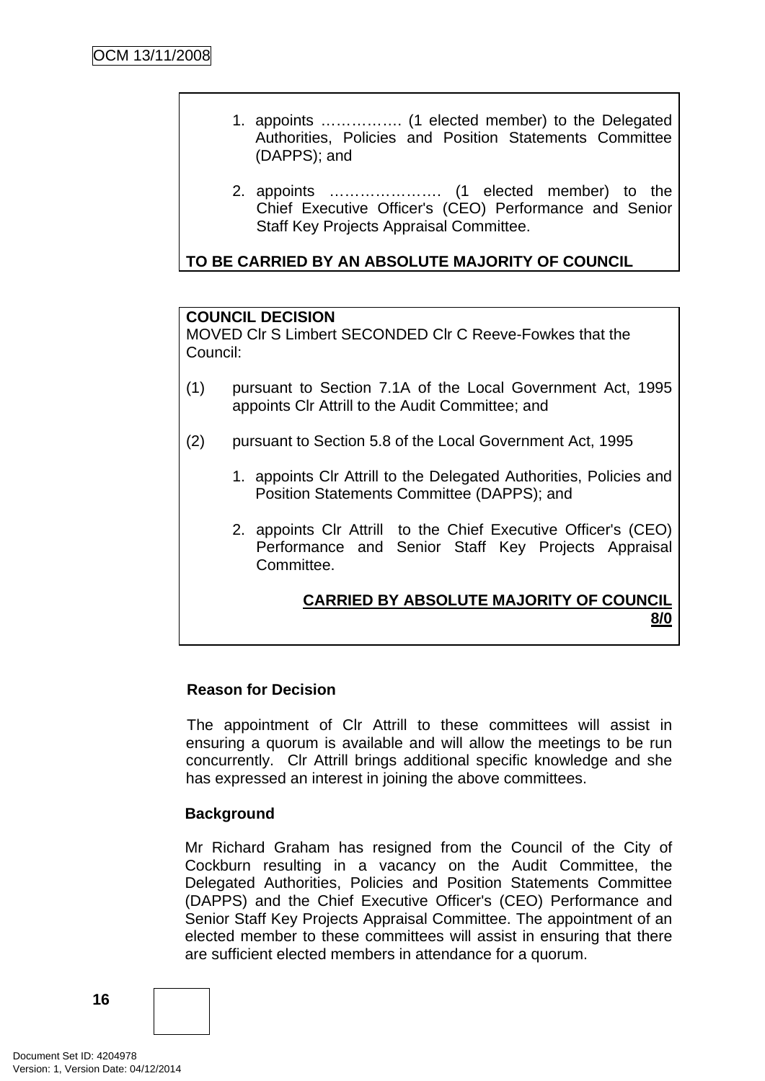- 1. appoints ……………. (1 elected member) to the Delegated Authorities, Policies and Position Statements Committee (DAPPS); and
- 2. appoints …………………. (1 elected member) to the Chief Executive Officer's (CEO) Performance and Senior Staff Key Projects Appraisal Committee.

# **TO BE CARRIED BY AN ABSOLUTE MAJORITY OF COUNCIL**

### **COUNCIL DECISION**

MOVED Clr S Limbert SECONDED Clr C Reeve-Fowkes that the Council:

- (1) pursuant to Section 7.1A of the Local Government Act, 1995 appoints Clr Attrill to the Audit Committee; and
- (2) pursuant to Section 5.8 of the Local Government Act, 1995
	- 1. appoints Clr Attrill to the Delegated Authorities, Policies and Position Statements Committee (DAPPS); and
	- 2. appoints Clr Attrill to the Chief Executive Officer's (CEO) Performance and Senior Staff Key Projects Appraisal Committee.

#### **CARRIED BY ABSOLUTE MAJORITY OF COUNCIL 8/0**

#### **Reason for Decision**

The appointment of Clr Attrill to these committees will assist in ensuring a quorum is available and will allow the meetings to be run concurrently. Clr Attrill brings additional specific knowledge and she has expressed an interest in joining the above committees.

#### **Background**

Mr Richard Graham has resigned from the Council of the City of Cockburn resulting in a vacancy on the Audit Committee, the Delegated Authorities, Policies and Position Statements Committee (DAPPS) and the Chief Executive Officer's (CEO) Performance and Senior Staff Key Projects Appraisal Committee. The appointment of an elected member to these committees will assist in ensuring that there are sufficient elected members in attendance for a quorum.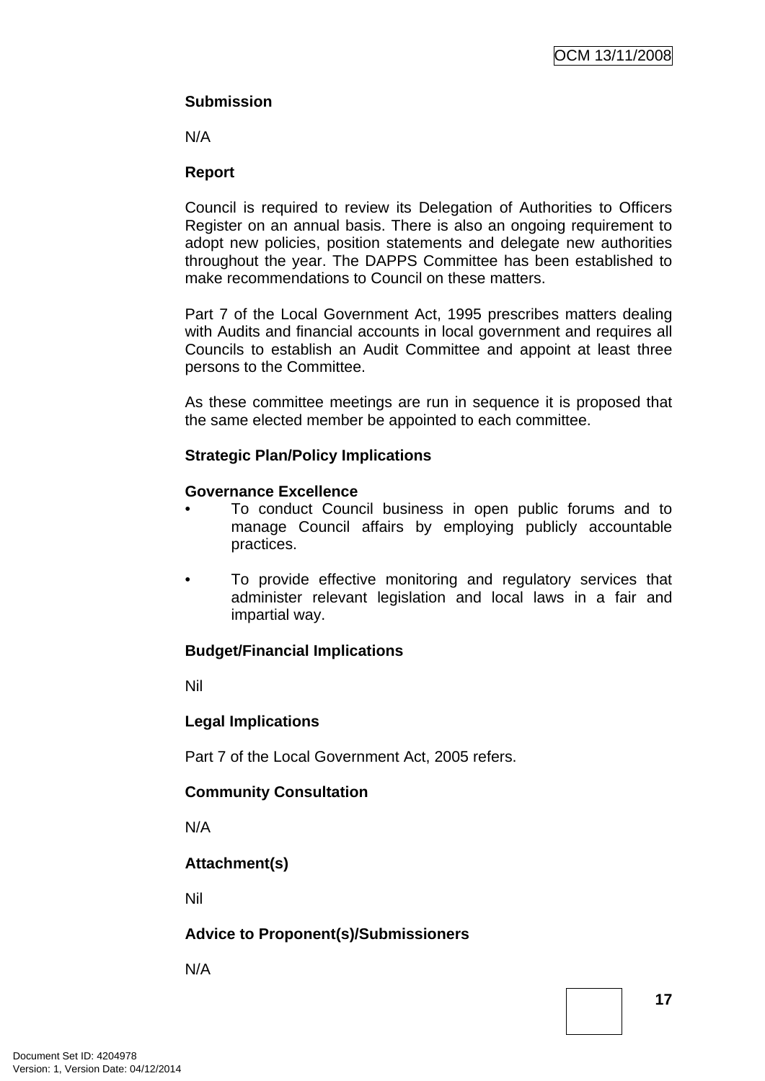# **Submission**

N/A

# **Report**

Council is required to review its Delegation of Authorities to Officers Register on an annual basis. There is also an ongoing requirement to adopt new policies, position statements and delegate new authorities throughout the year. The DAPPS Committee has been established to make recommendations to Council on these matters.

Part 7 of the Local Government Act, 1995 prescribes matters dealing with Audits and financial accounts in local government and requires all Councils to establish an Audit Committee and appoint at least three persons to the Committee.

As these committee meetings are run in sequence it is proposed that the same elected member be appointed to each committee.

# **Strategic Plan/Policy Implications**

# **Governance Excellence**

- To conduct Council business in open public forums and to manage Council affairs by employing publicly accountable practices.
- To provide effective monitoring and regulatory services that administer relevant legislation and local laws in a fair and impartial way.

# **Budget/Financial Implications**

Nil

# **Legal Implications**

Part 7 of the Local Government Act, 2005 refers.

# **Community Consultation**

N/A

**Attachment(s)**

Nil

# **Advice to Proponent(s)/Submissioners**

N/A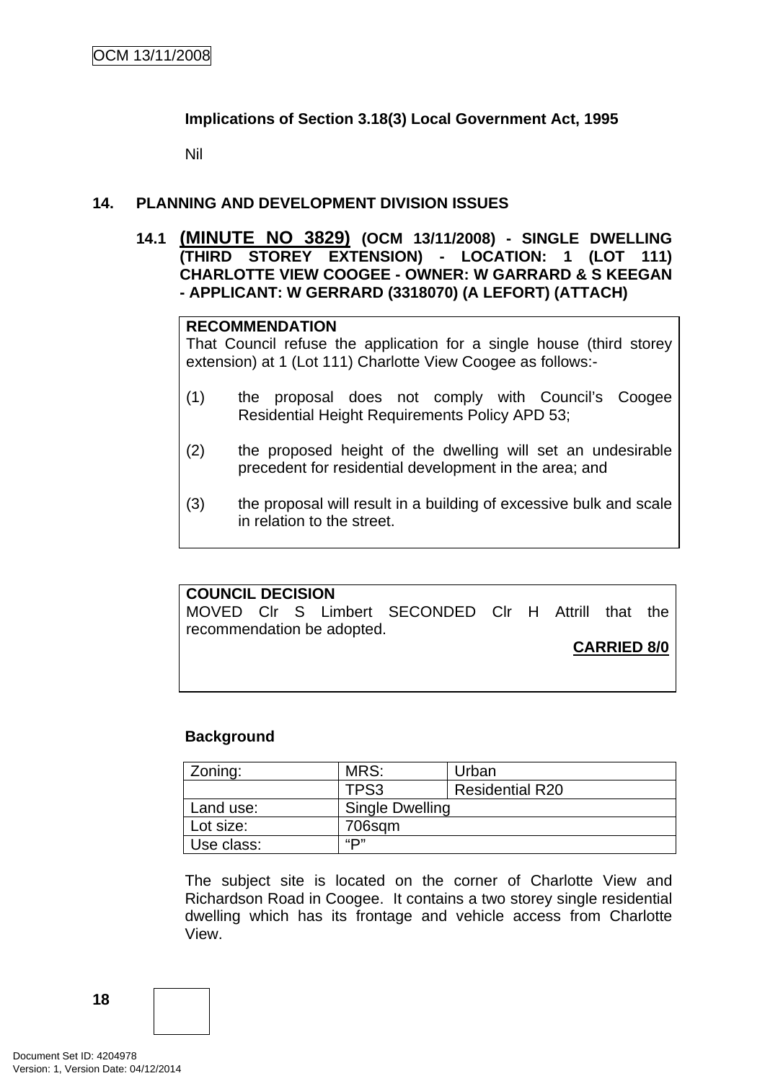### **Implications of Section 3.18(3) Local Government Act, 1995**

Nil

#### <span id="page-21-1"></span><span id="page-21-0"></span>**14. PLANNING AND DEVELOPMENT DIVISION ISSUES**

**14.1 (MINUTE NO 3829) (OCM 13/11/2008) - SINGLE DWELLING (THIRD STOREY EXTENSION) - LOCATION: 1 (LOT 111) CHARLOTTE VIEW COOGEE - OWNER: W GARRARD & S KEEGAN - APPLICANT: W GERRARD (3318070) (A LEFORT) (ATTACH)** 

#### **RECOMMENDATION**

That Council refuse the application for a single house (third storey extension) at 1 (Lot 111) Charlotte View Coogee as follows:-

- (1) the proposal does not comply with Council's Coogee Residential Height Requirements Policy APD 53;
- (2) the proposed height of the dwelling will set an undesirable precedent for residential development in the area; and
- (3) the proposal will result in a building of excessive bulk and scale in relation to the street.

#### **COUNCIL DECISION**

MOVED Clr S Limbert SECONDED Clr H Attrill that the recommendation be adopted.

**CARRIED 8/0**

#### **Background**

| Zoning:    | MRS:                   | Urban                  |
|------------|------------------------|------------------------|
|            | TPS3                   | <b>Residential R20</b> |
| Land use:  | <b>Single Dwelling</b> |                        |
| Lot size:  | 706sam                 |                        |
| Use class: | יים"                   |                        |

The subject site is located on the corner of Charlotte View and Richardson Road in Coogee. It contains a two storey single residential dwelling which has its frontage and vehicle access from Charlotte View.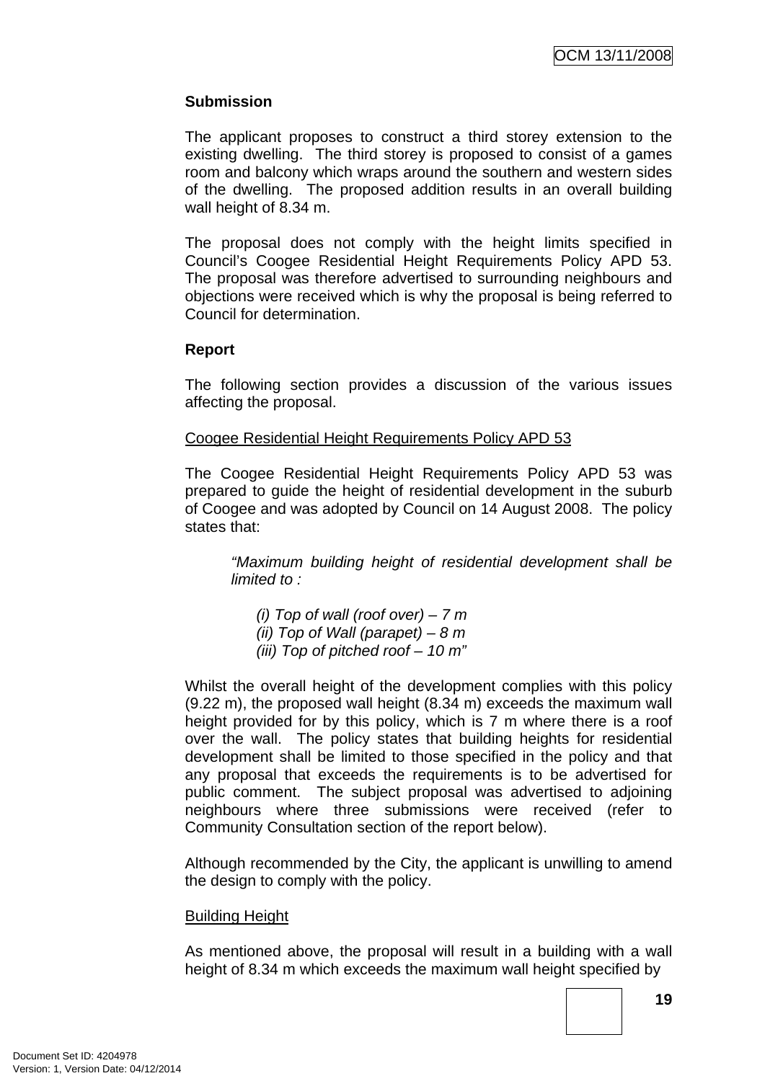### **Submission**

The applicant proposes to construct a third storey extension to the existing dwelling. The third storey is proposed to consist of a games room and balcony which wraps around the southern and western sides of the dwelling. The proposed addition results in an overall building wall height of 8.34 m.

The proposal does not comply with the height limits specified in Council's Coogee Residential Height Requirements Policy APD 53. The proposal was therefore advertised to surrounding neighbours and objections were received which is why the proposal is being referred to Council for determination.

#### **Report**

The following section provides a discussion of the various issues affecting the proposal.

#### Coogee Residential Height Requirements Policy APD 53

The Coogee Residential Height Requirements Policy APD 53 was prepared to guide the height of residential development in the suburb of Coogee and was adopted by Council on 14 August 2008. The policy states that:

*"Maximum building height of residential development shall be limited to :* 

*(i) Top of wall (roof over) – 7 m (ii) Top of Wall (parapet) – 8 m (iii) Top of pitched roof – 10 m"* 

Whilst the overall height of the development complies with this policy (9.22 m), the proposed wall height (8.34 m) exceeds the maximum wall height provided for by this policy, which is 7 m where there is a roof over the wall. The policy states that building heights for residential development shall be limited to those specified in the policy and that any proposal that exceeds the requirements is to be advertised for public comment. The subject proposal was advertised to adjoining neighbours where three submissions were received (refer to Community Consultation section of the report below).

Although recommended by the City, the applicant is unwilling to amend the design to comply with the policy.

#### Building Height

As mentioned above, the proposal will result in a building with a wall height of 8.34 m which exceeds the maximum wall height specified by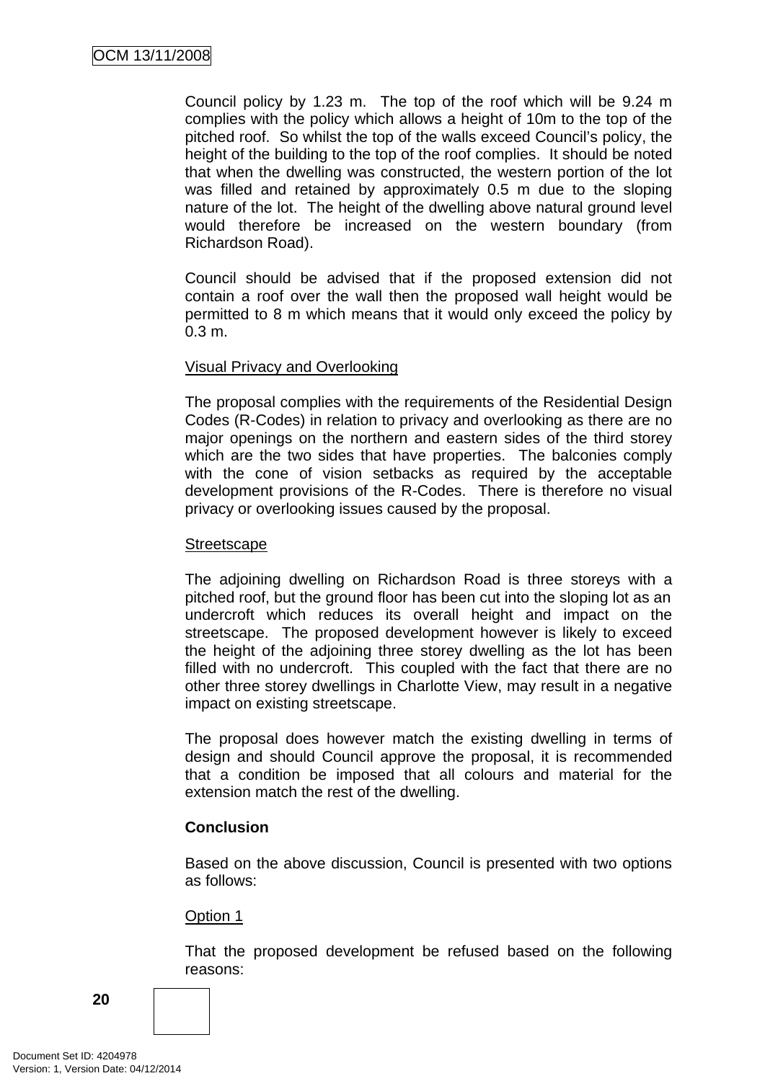Council policy by 1.23 m. The top of the roof which will be 9.24 m complies with the policy which allows a height of 10m to the top of the pitched roof. So whilst the top of the walls exceed Council's policy, the height of the building to the top of the roof complies. It should be noted that when the dwelling was constructed, the western portion of the lot was filled and retained by approximately 0.5 m due to the sloping nature of the lot. The height of the dwelling above natural ground level would therefore be increased on the western boundary (from Richardson Road).

Council should be advised that if the proposed extension did not contain a roof over the wall then the proposed wall height would be permitted to 8 m which means that it would only exceed the policy by 0.3 m.

#### Visual Privacy and Overlooking

The proposal complies with the requirements of the Residential Design Codes (R-Codes) in relation to privacy and overlooking as there are no major openings on the northern and eastern sides of the third storey which are the two sides that have properties. The balconies comply with the cone of vision setbacks as required by the acceptable development provisions of the R-Codes. There is therefore no visual privacy or overlooking issues caused by the proposal.

#### **Streetscape**

The adjoining dwelling on Richardson Road is three storeys with a pitched roof, but the ground floor has been cut into the sloping lot as an undercroft which reduces its overall height and impact on the streetscape. The proposed development however is likely to exceed the height of the adjoining three storey dwelling as the lot has been filled with no undercroft. This coupled with the fact that there are no other three storey dwellings in Charlotte View, may result in a negative impact on existing streetscape.

The proposal does however match the existing dwelling in terms of design and should Council approve the proposal, it is recommended that a condition be imposed that all colours and material for the extension match the rest of the dwelling.

#### **Conclusion**

Based on the above discussion, Council is presented with two options as follows:

#### Option 1

That the proposed development be refused based on the following reasons: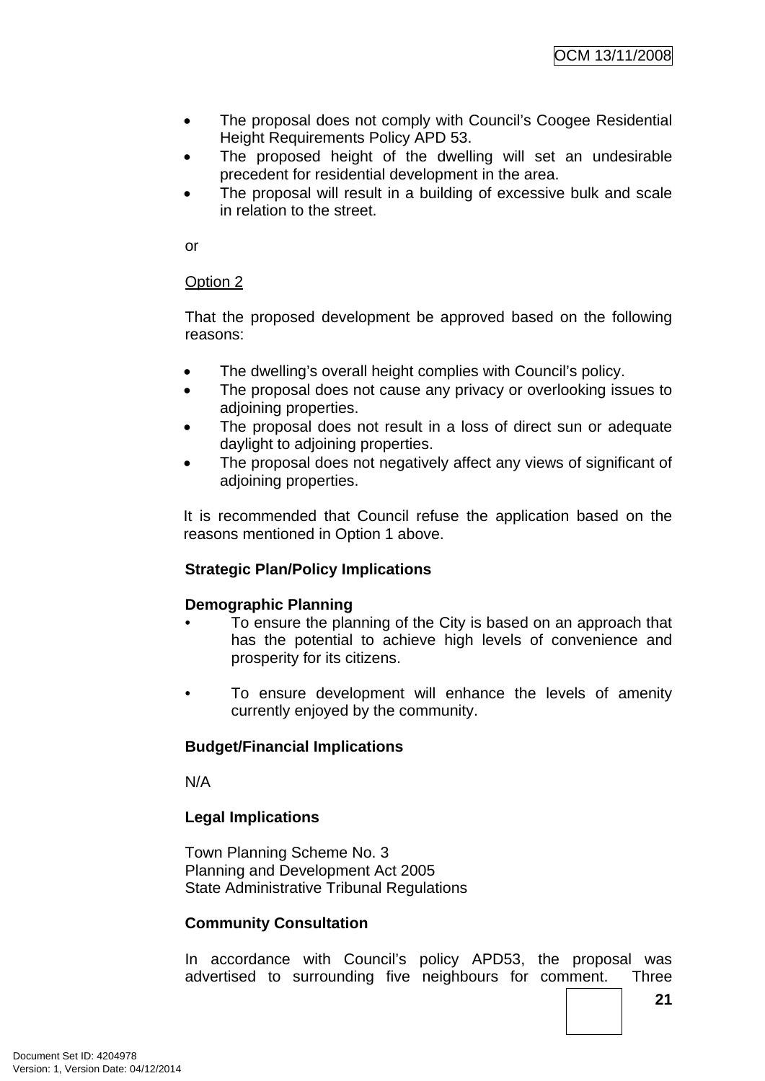- The proposal does not comply with Council's Coogee Residential Height Requirements Policy APD 53.
- The proposed height of the dwelling will set an undesirable precedent for residential development in the area.
- The proposal will result in a building of excessive bulk and scale in relation to the street.

or

# Option 2

That the proposed development be approved based on the following reasons:

- The dwelling's overall height complies with Council's policy.
- The proposal does not cause any privacy or overlooking issues to adjoining properties.
- The proposal does not result in a loss of direct sun or adequate daylight to adjoining properties.
- The proposal does not negatively affect any views of significant of adjoining properties.

It is recommended that Council refuse the application based on the reasons mentioned in Option 1 above.

# **Strategic Plan/Policy Implications**

# **Demographic Planning**

- To ensure the planning of the City is based on an approach that has the potential to achieve high levels of convenience and prosperity for its citizens.
- To ensure development will enhance the levels of amenity currently enjoyed by the community.

#### **Budget/Financial Implications**

N/A

# **Legal Implications**

Town Planning Scheme No. 3 Planning and Development Act 2005 State Administrative Tribunal Regulations

#### **Community Consultation**

In accordance with Council's policy APD53, the proposal was advertised to surrounding five neighbours for comment. Three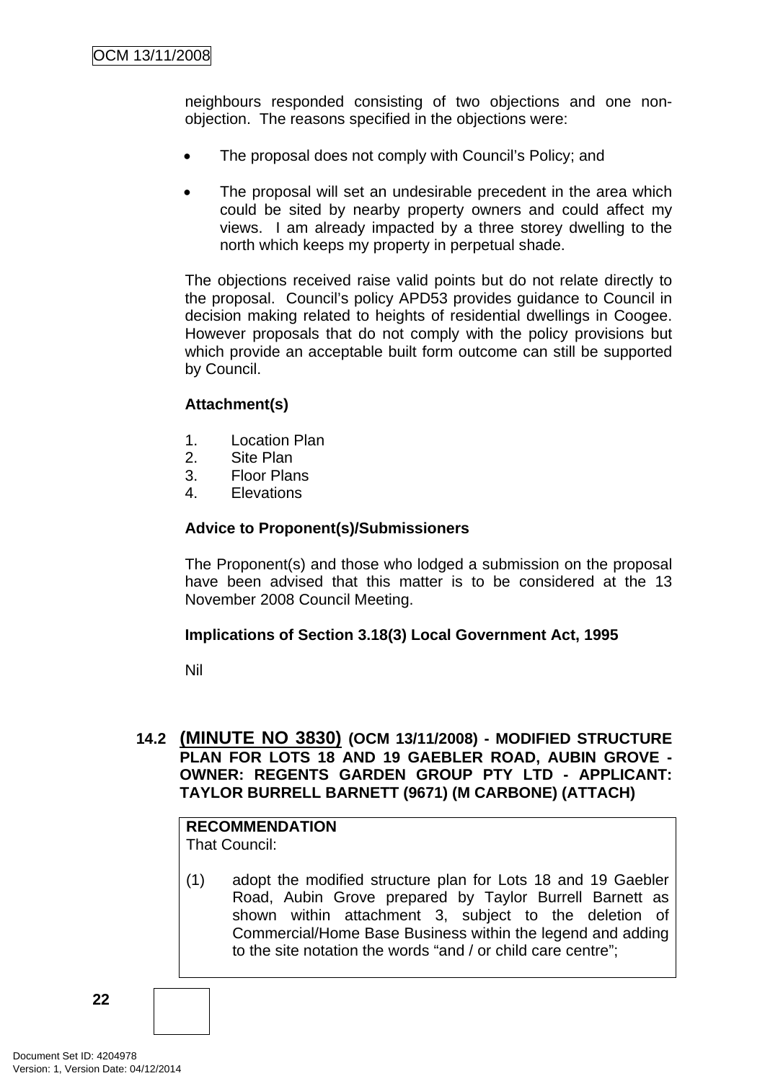neighbours responded consisting of two objections and one nonobjection. The reasons specified in the objections were:

- The proposal does not comply with Council's Policy; and
- The proposal will set an undesirable precedent in the area which could be sited by nearby property owners and could affect my views. I am already impacted by a three storey dwelling to the north which keeps my property in perpetual shade.

The objections received raise valid points but do not relate directly to the proposal. Council's policy APD53 provides guidance to Council in decision making related to heights of residential dwellings in Coogee. However proposals that do not comply with the policy provisions but which provide an acceptable built form outcome can still be supported by Council.

### **Attachment(s)**

- 1. Location Plan
- 2. Site Plan
- 3. Floor Plans
- 4. Elevations

#### **Advice to Proponent(s)/Submissioners**

The Proponent(s) and those who lodged a submission on the proposal have been advised that this matter is to be considered at the 13 November 2008 Council Meeting.

#### **Implications of Section 3.18(3) Local Government Act, 1995**

Nil

### <span id="page-25-0"></span>**14.2 (MINUTE NO 3830) (OCM 13/11/2008) - MODIFIED STRUCTURE PLAN FOR LOTS 18 AND 19 GAEBLER ROAD, AUBIN GROVE - OWNER: REGENTS GARDEN GROUP PTY LTD - APPLICANT: TAYLOR BURRELL BARNETT (9671) (M CARBONE) (ATTACH)**

#### **RECOMMENDATION** That Council:

(1) adopt the modified structure plan for Lots 18 and 19 Gaebler Road, Aubin Grove prepared by Taylor Burrell Barnett as shown within attachment 3, subject to the deletion of Commercial/Home Base Business within the legend and adding to the site notation the words "and / or child care centre";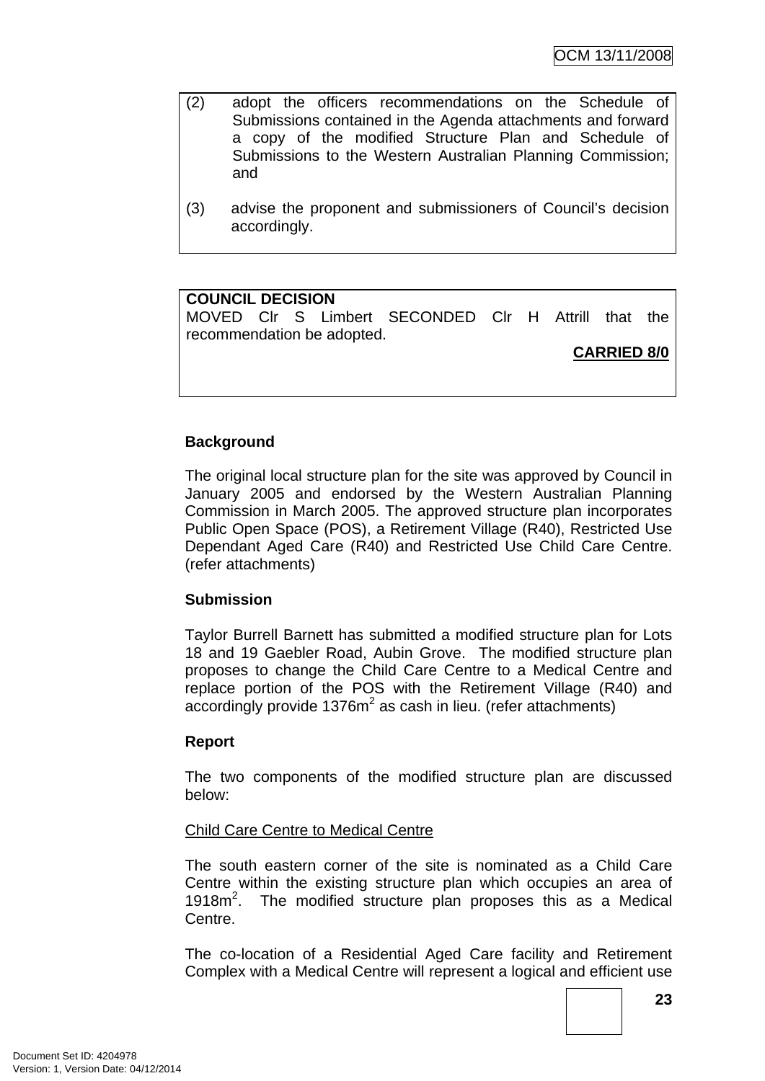- (2) adopt the officers recommendations on the Schedule of Submissions contained in the Agenda attachments and forward a copy of the modified Structure Plan and Schedule of Submissions to the Western Australian Planning Commission; and
- (3) advise the proponent and submissioners of Council's decision accordingly.

### **COUNCIL DECISION**

MOVED Clr S Limbert SECONDED Clr H Attrill that the recommendation be adopted.

**CARRIED 8/0**

# **Background**

The original local structure plan for the site was approved by Council in January 2005 and endorsed by the Western Australian Planning Commission in March 2005. The approved structure plan incorporates Public Open Space (POS), a Retirement Village (R40), Restricted Use Dependant Aged Care (R40) and Restricted Use Child Care Centre. (refer attachments)

#### **Submission**

Taylor Burrell Barnett has submitted a modified structure plan for Lots 18 and 19 Gaebler Road, Aubin Grove. The modified structure plan proposes to change the Child Care Centre to a Medical Centre and replace portion of the POS with the Retirement Village (R40) and accordingly provide 1376 $m<sup>2</sup>$  as cash in lieu. (refer attachments)

# **Report**

The two components of the modified structure plan are discussed below:

#### Child Care Centre to Medical Centre

The south eastern corner of the site is nominated as a Child Care Centre within the existing structure plan which occupies an area of 1918m<sup>2</sup>. The modified structure plan proposes this as a Medical Centre.

The co-location of a Residential Aged Care facility and Retirement Complex with a Medical Centre will represent a logical and efficient use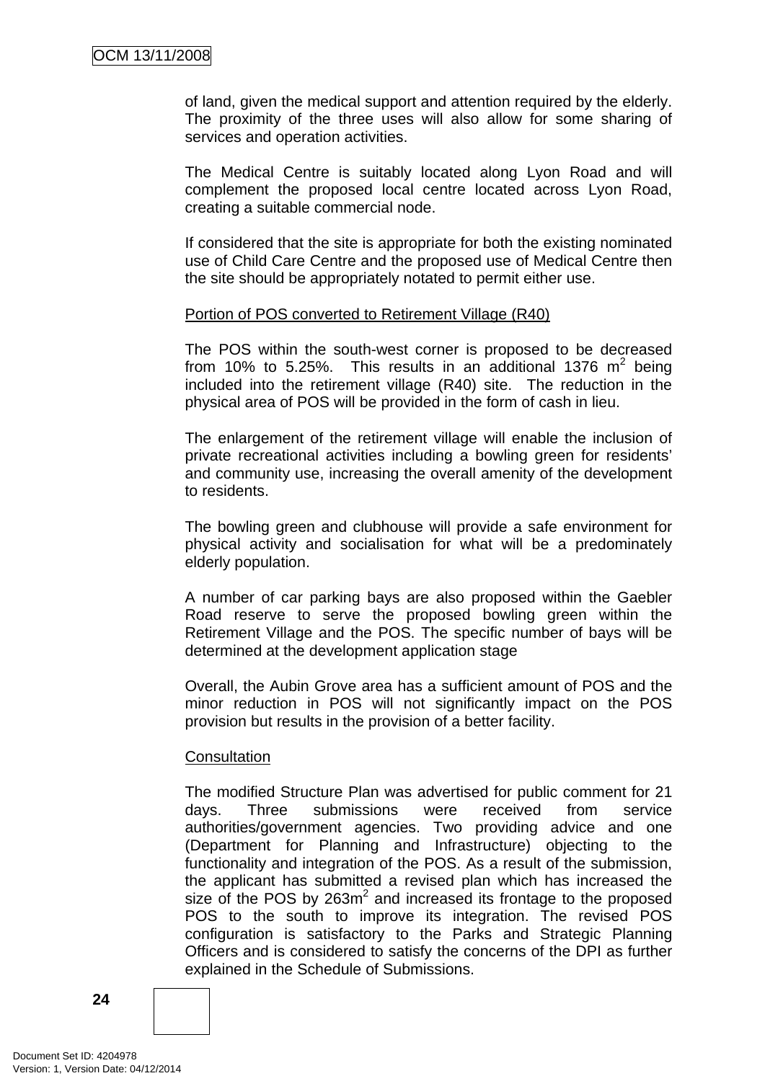of land, given the medical support and attention required by the elderly. The proximity of the three uses will also allow for some sharing of services and operation activities.

The Medical Centre is suitably located along Lyon Road and will complement the proposed local centre located across Lyon Road, creating a suitable commercial node.

If considered that the site is appropriate for both the existing nominated use of Child Care Centre and the proposed use of Medical Centre then the site should be appropriately notated to permit either use.

#### Portion of POS converted to Retirement Village (R40)

The POS within the south-west corner is proposed to be decreased from 10% to 5.25%. This results in an additional 1376  $m^2$  being included into the retirement village (R40) site. The reduction in the physical area of POS will be provided in the form of cash in lieu.

The enlargement of the retirement village will enable the inclusion of private recreational activities including a bowling green for residents' and community use, increasing the overall amenity of the development to residents.

The bowling green and clubhouse will provide a safe environment for physical activity and socialisation for what will be a predominately elderly population.

A number of car parking bays are also proposed within the Gaebler Road reserve to serve the proposed bowling green within the Retirement Village and the POS. The specific number of bays will be determined at the development application stage

Overall, the Aubin Grove area has a sufficient amount of POS and the minor reduction in POS will not significantly impact on the POS provision but results in the provision of a better facility.

#### **Consultation**

The modified Structure Plan was advertised for public comment for 21 days. Three submissions were received from service authorities/government agencies. Two providing advice and one (Department for Planning and Infrastructure) objecting to the functionality and integration of the POS. As a result of the submission, the applicant has submitted a revised plan which has increased the size of the POS by  $263m^2$  and increased its frontage to the proposed POS to the south to improve its integration. The revised POS configuration is satisfactory to the Parks and Strategic Planning Officers and is considered to satisfy the concerns of the DPI as further explained in the Schedule of Submissions.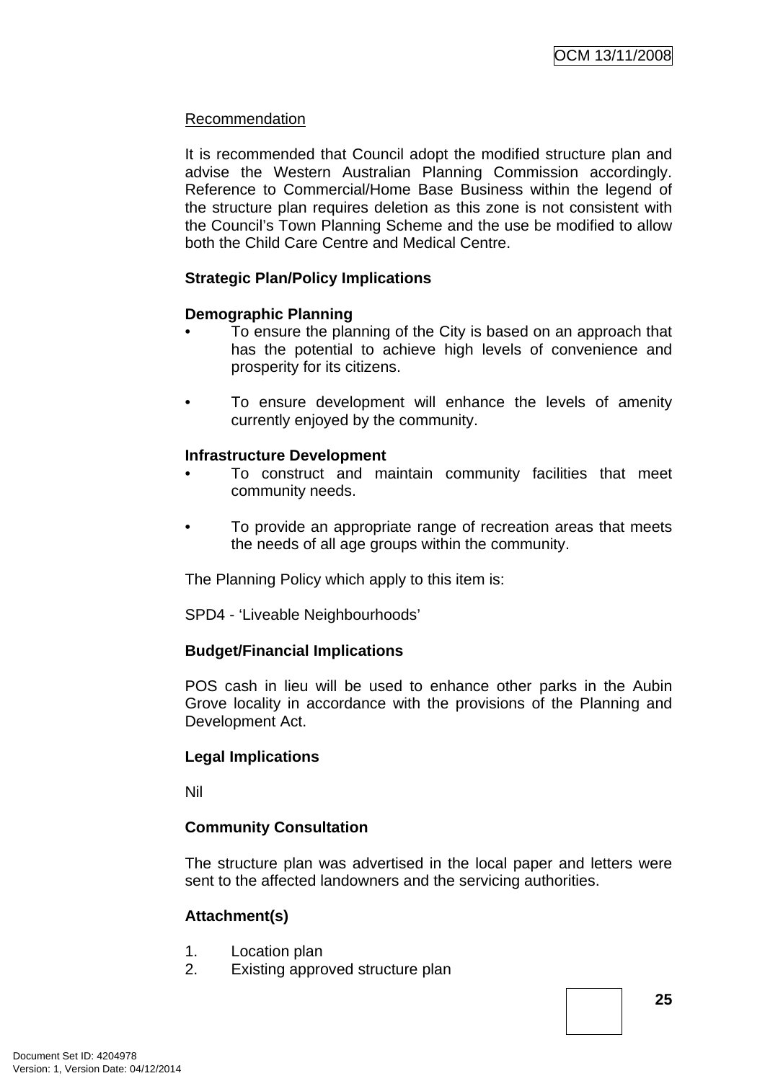### Recommendation

It is recommended that Council adopt the modified structure plan and advise the Western Australian Planning Commission accordingly. Reference to Commercial/Home Base Business within the legend of the structure plan requires deletion as this zone is not consistent with the Council's Town Planning Scheme and the use be modified to allow both the Child Care Centre and Medical Centre.

### **Strategic Plan/Policy Implications**

#### **Demographic Planning**

- To ensure the planning of the City is based on an approach that has the potential to achieve high levels of convenience and prosperity for its citizens.
- To ensure development will enhance the levels of amenity currently enjoyed by the community.

#### **Infrastructure Development**

- To construct and maintain community facilities that meet community needs.
- To provide an appropriate range of recreation areas that meets the needs of all age groups within the community.

The Planning Policy which apply to this item is:

SPD4 - 'Liveable Neighbourhoods'

# **Budget/Financial Implications**

POS cash in lieu will be used to enhance other parks in the Aubin Grove locality in accordance with the provisions of the Planning and Development Act.

# **Legal Implications**

Nil

# **Community Consultation**

The structure plan was advertised in the local paper and letters were sent to the affected landowners and the servicing authorities.

# **Attachment(s)**

- 1. Location plan
- 2. Existing approved structure plan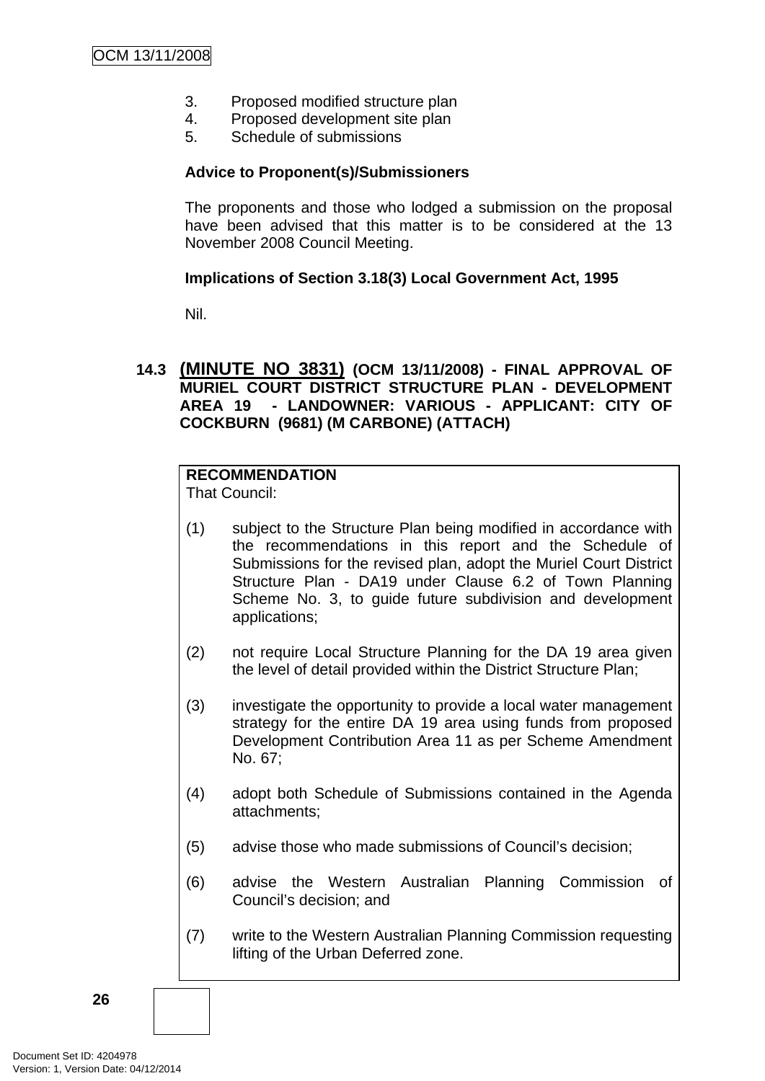- 3. Proposed modified structure plan
- 4. Proposed development site plan
- 5. Schedule of submissions

### **Advice to Proponent(s)/Submissioners**

The proponents and those who lodged a submission on the proposal have been advised that this matter is to be considered at the 13 November 2008 Council Meeting.

### **Implications of Section 3.18(3) Local Government Act, 1995**

Nil.

### <span id="page-29-0"></span>**14.3 (MINUTE NO 3831) (OCM 13/11/2008) - FINAL APPROVAL OF MURIEL COURT DISTRICT STRUCTURE PLAN - DEVELOPMENT AREA 19 - LANDOWNER: VARIOUS - APPLICANT: CITY OF COCKBURN (9681) (M CARBONE) (ATTACH)**

# **RECOMMENDATION**

That Council:

- (1) subject to the Structure Plan being modified in accordance with the recommendations in this report and the Schedule of Submissions for the revised plan, adopt the Muriel Court District Structure Plan - DA19 under Clause 6.2 of Town Planning Scheme No. 3, to guide future subdivision and development applications;
- (2) not require Local Structure Planning for the DA 19 area given the level of detail provided within the District Structure Plan;
- (3) investigate the opportunity to provide a local water management strategy for the entire DA 19 area using funds from proposed Development Contribution Area 11 as per Scheme Amendment No. 67;
- (4) adopt both Schedule of Submissions contained in the Agenda attachments;
- (5) advise those who made submissions of Council's decision;
- (6) advise the Western Australian Planning Commission of Council's decision; and
- (7) write to the Western Australian Planning Commission requesting lifting of the Urban Deferred zone.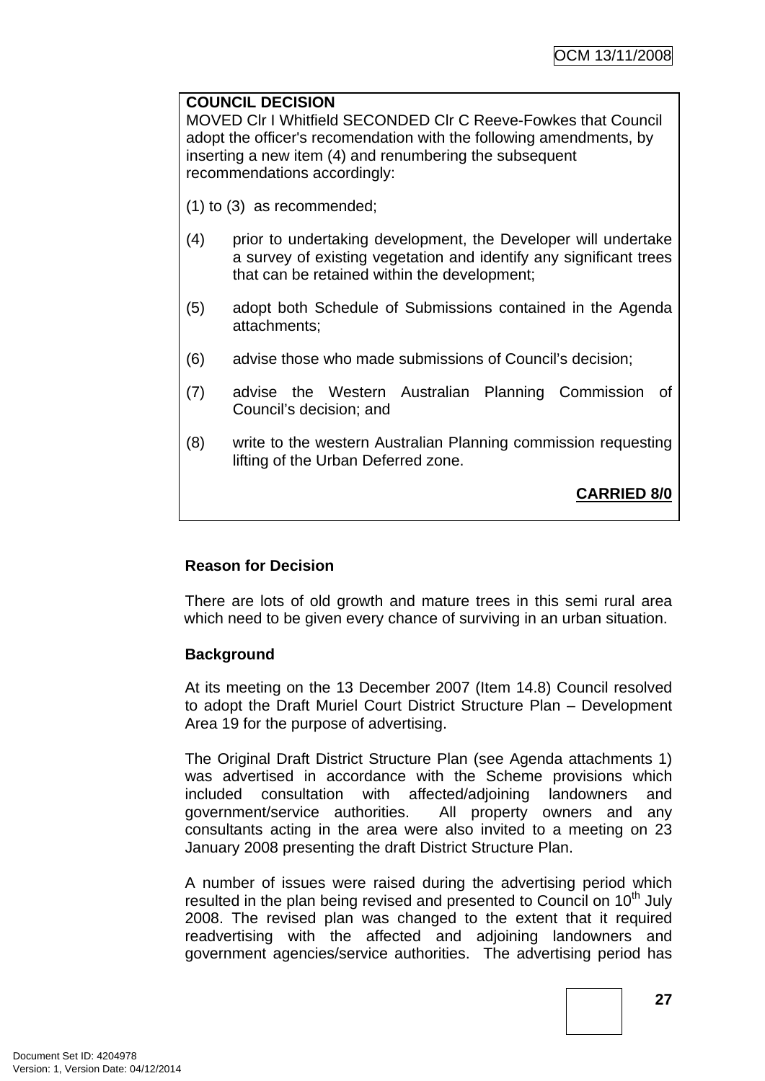### **COUNCIL DECISION**

MOVED Clr I Whitfield SECONDED Clr C Reeve-Fowkes that Council adopt the officer's recomendation with the following amendments, by inserting a new item (4) and renumbering the subsequent recommendations accordingly:

- (1) to (3) as recommended;
- (4) prior to undertaking development, the Developer will undertake a survey of existing vegetation and identify any significant trees that can be retained within the development;
- (5) adopt both Schedule of Submissions contained in the Agenda attachments;
- (6) advise those who made submissions of Council's decision;
- (7) advise the Western Australian Planning Commission of Council's decision; and
- (8) write to the western Australian Planning commission requesting lifting of the Urban Deferred zone.

**CARRIED 8/0**

#### **Reason for Decision**

There are lots of old growth and mature trees in this semi rural area which need to be given every chance of surviving in an urban situation.

#### **Background**

At its meeting on the 13 December 2007 (Item 14.8) Council resolved to adopt the Draft Muriel Court District Structure Plan – Development Area 19 for the purpose of advertising.

The Original Draft District Structure Plan (see Agenda attachments 1) was advertised in accordance with the Scheme provisions which included consultation with affected/adjoining landowners and government/service authorities. All property owners and any consultants acting in the area were also invited to a meeting on 23 January 2008 presenting the draft District Structure Plan.

A number of issues were raised during the advertising period which resulted in the plan being revised and presented to Council on  $10<sup>th</sup>$  July 2008. The revised plan was changed to the extent that it required readvertising with the affected and adjoining landowners and government agencies/service authorities. The advertising period has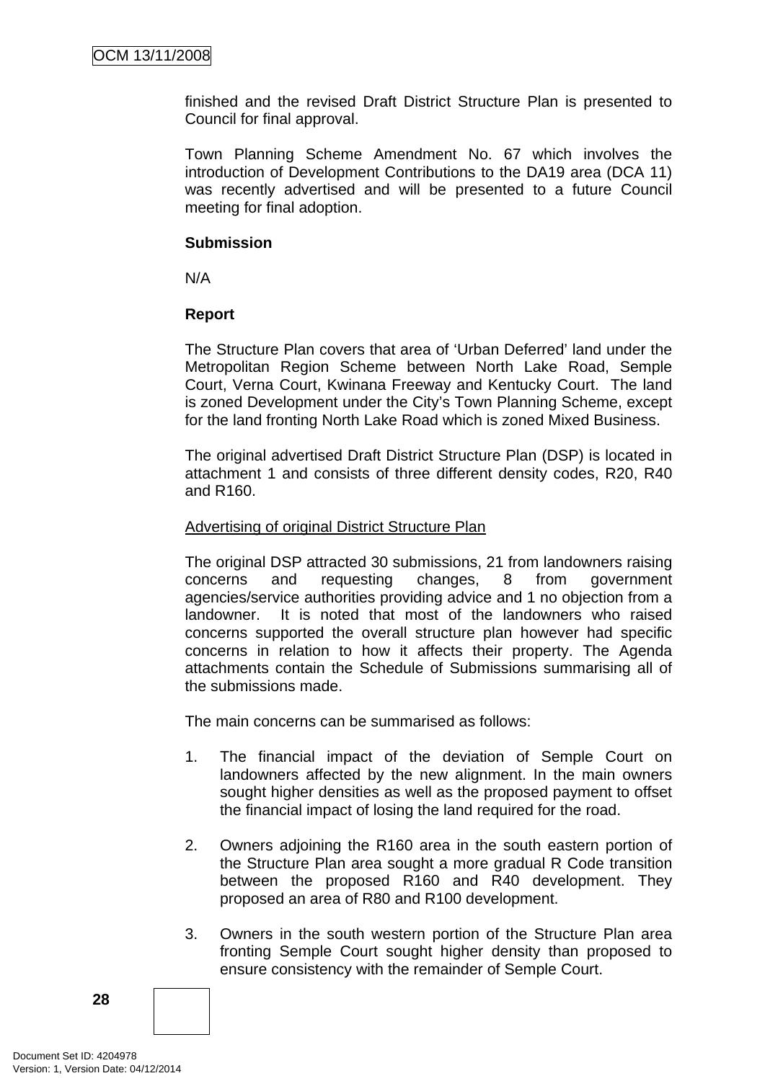finished and the revised Draft District Structure Plan is presented to Council for final approval.

Town Planning Scheme Amendment No. 67 which involves the introduction of Development Contributions to the DA19 area (DCA 11) was recently advertised and will be presented to a future Council meeting for final adoption.

#### **Submission**

N/A

### **Report**

The Structure Plan covers that area of 'Urban Deferred' land under the Metropolitan Region Scheme between North Lake Road, Semple Court, Verna Court, Kwinana Freeway and Kentucky Court. The land is zoned Development under the City's Town Planning Scheme, except for the land fronting North Lake Road which is zoned Mixed Business.

The original advertised Draft District Structure Plan (DSP) is located in attachment 1 and consists of three different density codes, R20, R40 and R160.

#### Advertising of original District Structure Plan

The original DSP attracted 30 submissions, 21 from landowners raising concerns and requesting changes, 8 from government agencies/service authorities providing advice and 1 no objection from a landowner. It is noted that most of the landowners who raised concerns supported the overall structure plan however had specific concerns in relation to how it affects their property. The Agenda attachments contain the Schedule of Submissions summarising all of the submissions made.

The main concerns can be summarised as follows:

- 1. The financial impact of the deviation of Semple Court on landowners affected by the new alignment. In the main owners sought higher densities as well as the proposed payment to offset the financial impact of losing the land required for the road.
- 2. Owners adjoining the R160 area in the south eastern portion of the Structure Plan area sought a more gradual R Code transition between the proposed R160 and R40 development. They proposed an area of R80 and R100 development.
- 3. Owners in the south western portion of the Structure Plan area fronting Semple Court sought higher density than proposed to ensure consistency with the remainder of Semple Court.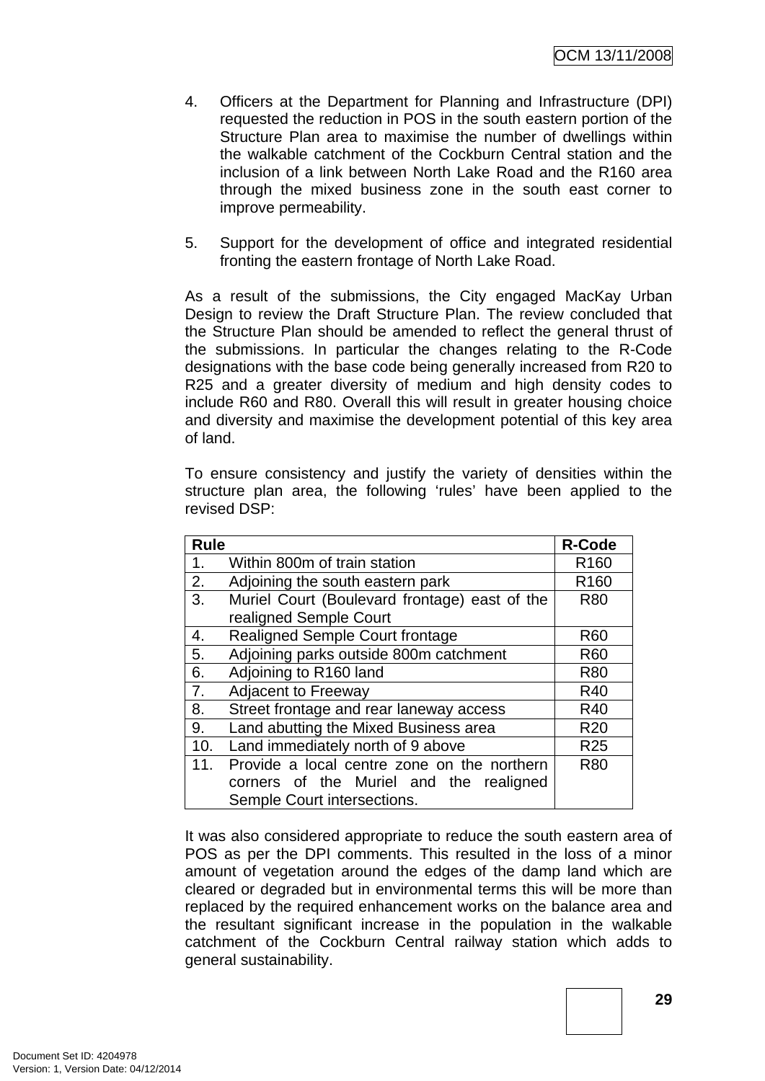- 4. Officers at the Department for Planning and Infrastructure (DPI) requested the reduction in POS in the south eastern portion of the Structure Plan area to maximise the number of dwellings within the walkable catchment of the Cockburn Central station and the inclusion of a link between North Lake Road and the R160 area through the mixed business zone in the south east corner to improve permeability.
- 5. Support for the development of office and integrated residential fronting the eastern frontage of North Lake Road.

As a result of the submissions, the City engaged MacKay Urban Design to review the Draft Structure Plan. The review concluded that the Structure Plan should be amended to reflect the general thrust of the submissions. In particular the changes relating to the R-Code designations with the base code being generally increased from R20 to R25 and a greater diversity of medium and high density codes to include R60 and R80. Overall this will result in greater housing choice and diversity and maximise the development potential of this key area of land.

To ensure consistency and justify the variety of densities within the structure plan area, the following 'rules' have been applied to the revised DSP:

| <b>Rule</b> |                                                | <b>R-Code</b>    |  |
|-------------|------------------------------------------------|------------------|--|
| 1.          | Within 800m of train station                   | R <sub>160</sub> |  |
| 2.          | Adjoining the south eastern park               | R <sub>160</sub> |  |
| 3.          | Muriel Court (Boulevard frontage) east of the  | <b>R80</b>       |  |
|             | realigned Semple Court                         |                  |  |
| 4.          | Realigned Semple Court frontage                | <b>R60</b>       |  |
| 5.          | Adjoining parks outside 800m catchment         | R <sub>60</sub>  |  |
| 6.          | Adjoining to R160 land<br><b>R80</b>           |                  |  |
| 7.          | <b>Adjacent to Freeway</b><br>R40              |                  |  |
| 8.          | Street frontage and rear laneway access<br>R40 |                  |  |
| 9.          | Land abutting the Mixed Business area          | R <sub>20</sub>  |  |
| 10.         | Land immediately north of 9 above              | R <sub>25</sub>  |  |
| 11.         | Provide a local centre zone on the northern    | <b>R80</b>       |  |
|             | corners of the Muriel and the realigned        |                  |  |
|             | Semple Court intersections.                    |                  |  |

It was also considered appropriate to reduce the south eastern area of POS as per the DPI comments. This resulted in the loss of a minor amount of vegetation around the edges of the damp land which are cleared or degraded but in environmental terms this will be more than replaced by the required enhancement works on the balance area and the resultant significant increase in the population in the walkable catchment of the Cockburn Central railway station which adds to general sustainability.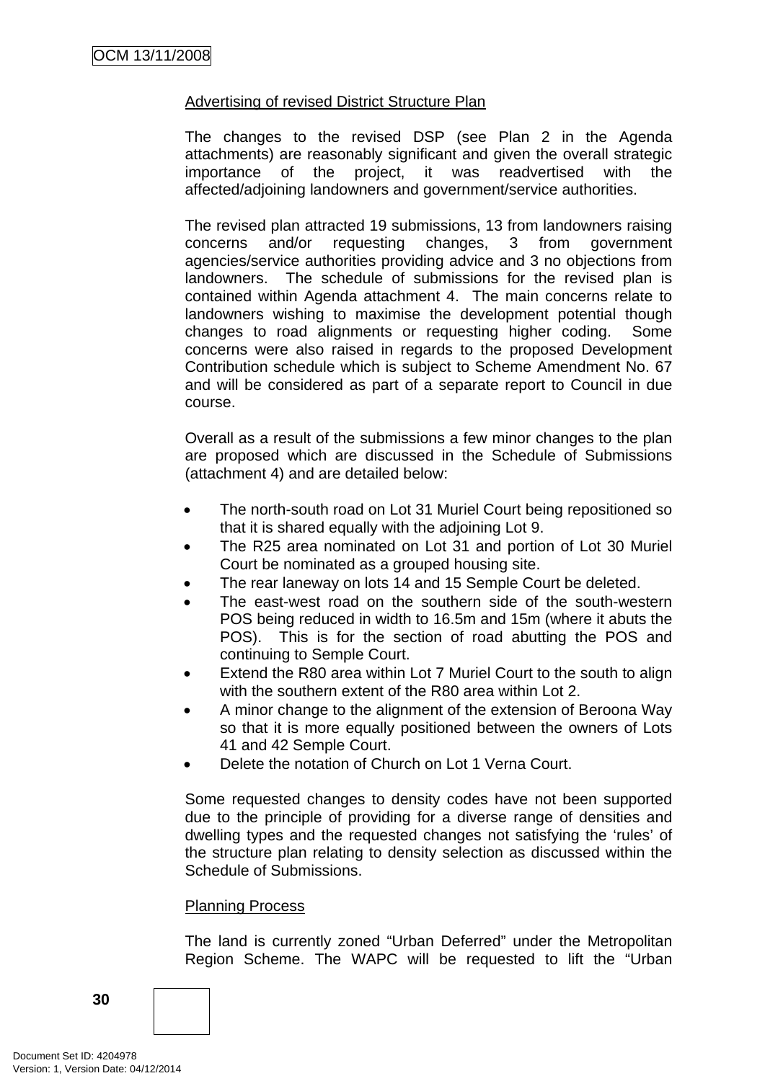### Advertising of revised District Structure Plan

The changes to the revised DSP (see Plan 2 in the Agenda attachments) are reasonably significant and given the overall strategic importance of the project, it was readvertised with the affected/adjoining landowners and government/service authorities.

The revised plan attracted 19 submissions, 13 from landowners raising concerns and/or requesting changes, 3 from government agencies/service authorities providing advice and 3 no objections from landowners. The schedule of submissions for the revised plan is contained within Agenda attachment 4. The main concerns relate to landowners wishing to maximise the development potential though changes to road alignments or requesting higher coding. Some concerns were also raised in regards to the proposed Development Contribution schedule which is subject to Scheme Amendment No. 67 and will be considered as part of a separate report to Council in due course.

Overall as a result of the submissions a few minor changes to the plan are proposed which are discussed in the Schedule of Submissions (attachment 4) and are detailed below:

- The north-south road on Lot 31 Muriel Court being repositioned so that it is shared equally with the adjoining Lot 9.
- The R25 area nominated on Lot 31 and portion of Lot 30 Muriel Court be nominated as a grouped housing site.
- The rear laneway on lots 14 and 15 Semple Court be deleted.
- The east-west road on the southern side of the south-western POS being reduced in width to 16.5m and 15m (where it abuts the POS). This is for the section of road abutting the POS and continuing to Semple Court.
- Extend the R80 area within Lot 7 Muriel Court to the south to align with the southern extent of the R80 area within Lot 2.
- A minor change to the alignment of the extension of Beroona Way so that it is more equally positioned between the owners of Lots 41 and 42 Semple Court.
- Delete the notation of Church on Lot 1 Verna Court.

Some requested changes to density codes have not been supported due to the principle of providing for a diverse range of densities and dwelling types and the requested changes not satisfying the 'rules' of the structure plan relating to density selection as discussed within the Schedule of Submissions.

#### Planning Process

The land is currently zoned "Urban Deferred" under the Metropolitan Region Scheme. The WAPC will be requested to lift the "Urban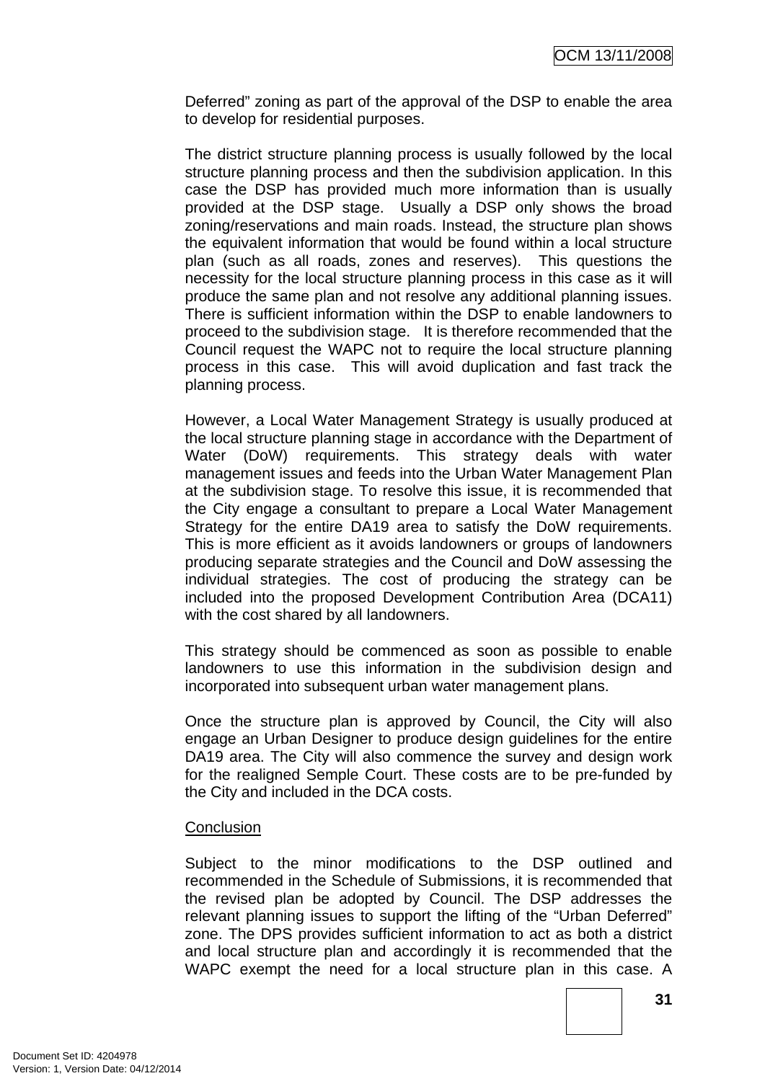Deferred" zoning as part of the approval of the DSP to enable the area to develop for residential purposes.

The district structure planning process is usually followed by the local structure planning process and then the subdivision application. In this case the DSP has provided much more information than is usually provided at the DSP stage. Usually a DSP only shows the broad zoning/reservations and main roads. Instead, the structure plan shows the equivalent information that would be found within a local structure plan (such as all roads, zones and reserves). This questions the necessity for the local structure planning process in this case as it will produce the same plan and not resolve any additional planning issues. There is sufficient information within the DSP to enable landowners to proceed to the subdivision stage. It is therefore recommended that the Council request the WAPC not to require the local structure planning process in this case. This will avoid duplication and fast track the planning process.

However, a Local Water Management Strategy is usually produced at the local structure planning stage in accordance with the Department of Water (DoW) requirements. This strategy deals with water management issues and feeds into the Urban Water Management Plan at the subdivision stage. To resolve this issue, it is recommended that the City engage a consultant to prepare a Local Water Management Strategy for the entire DA19 area to satisfy the DoW requirements. This is more efficient as it avoids landowners or groups of landowners producing separate strategies and the Council and DoW assessing the individual strategies. The cost of producing the strategy can be included into the proposed Development Contribution Area (DCA11) with the cost shared by all landowners.

This strategy should be commenced as soon as possible to enable landowners to use this information in the subdivision design and incorporated into subsequent urban water management plans.

Once the structure plan is approved by Council, the City will also engage an Urban Designer to produce design guidelines for the entire DA19 area. The City will also commence the survey and design work for the realigned Semple Court. These costs are to be pre-funded by the City and included in the DCA costs.

#### **Conclusion**

Subject to the minor modifications to the DSP outlined and recommended in the Schedule of Submissions, it is recommended that the revised plan be adopted by Council. The DSP addresses the relevant planning issues to support the lifting of the "Urban Deferred" zone. The DPS provides sufficient information to act as both a district and local structure plan and accordingly it is recommended that the WAPC exempt the need for a local structure plan in this case. A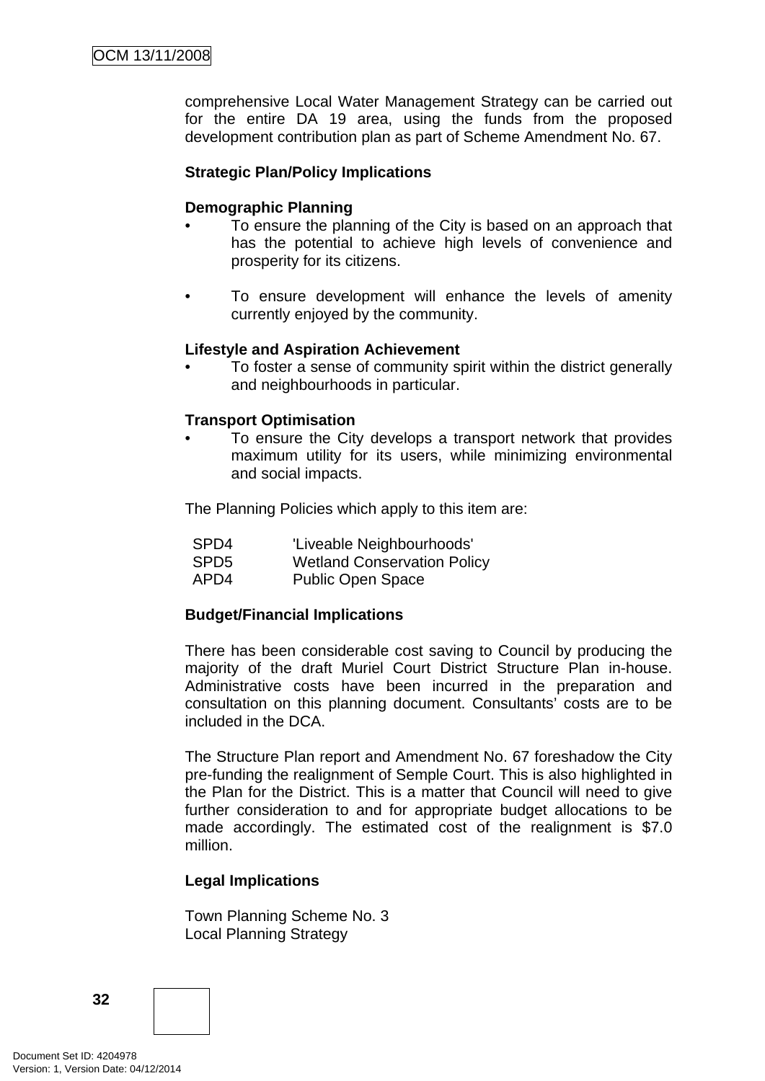comprehensive Local Water Management Strategy can be carried out for the entire DA 19 area, using the funds from the proposed development contribution plan as part of Scheme Amendment No. 67.

### **Strategic Plan/Policy Implications**

#### **Demographic Planning**

- To ensure the planning of the City is based on an approach that has the potential to achieve high levels of convenience and prosperity for its citizens.
- To ensure development will enhance the levels of amenity currently enjoyed by the community.

#### **Lifestyle and Aspiration Achievement**

• To foster a sense of community spirit within the district generally and neighbourhoods in particular.

#### **Transport Optimisation**

• To ensure the City develops a transport network that provides maximum utility for its users, while minimizing environmental and social impacts.

The Planning Policies which apply to this item are:

| SP <sub>D4</sub> | 'Liveable Neighbourhoods'          |
|------------------|------------------------------------|
| SPD <sub>5</sub> | <b>Wetland Conservation Policy</b> |
| APD4             | <b>Public Open Space</b>           |

#### **Budget/Financial Implications**

There has been considerable cost saving to Council by producing the majority of the draft Muriel Court District Structure Plan in-house. Administrative costs have been incurred in the preparation and consultation on this planning document. Consultants' costs are to be included in the DCA.

The Structure Plan report and Amendment No. 67 foreshadow the City pre-funding the realignment of Semple Court. This is also highlighted in the Plan for the District. This is a matter that Council will need to give further consideration to and for appropriate budget allocations to be made accordingly. The estimated cost of the realignment is \$7.0 million.

#### **Legal Implications**

Town Planning Scheme No. 3 Local Planning Strategy

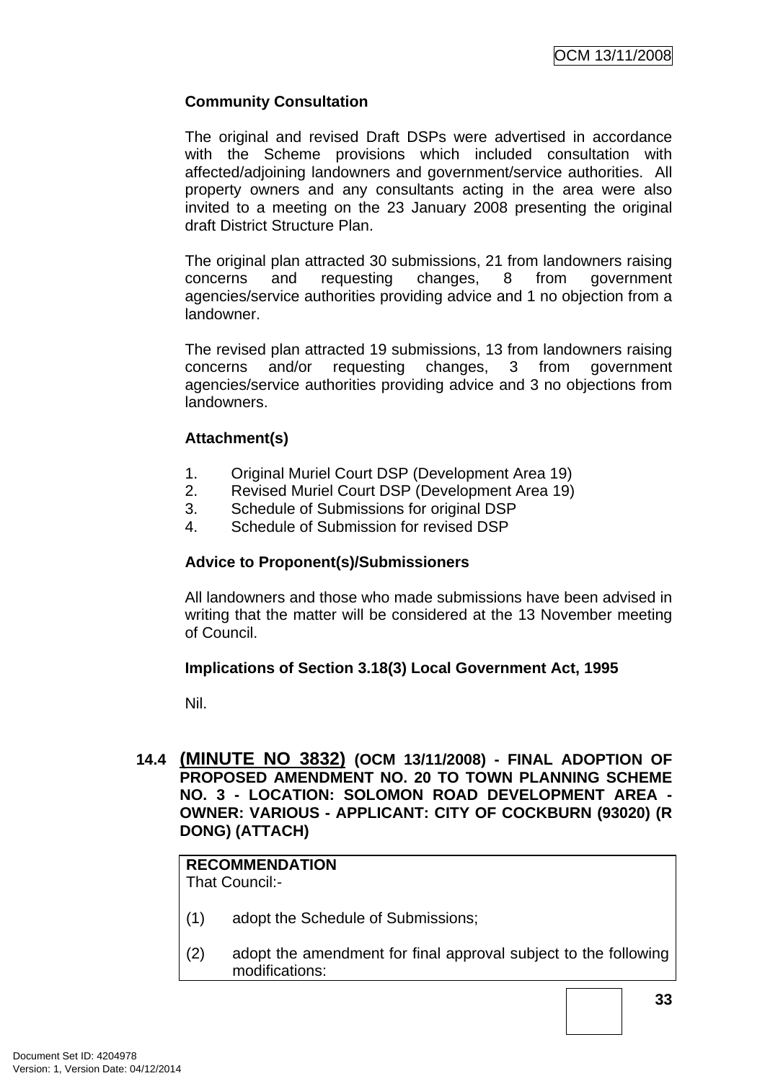# **Community Consultation**

The original and revised Draft DSPs were advertised in accordance with the Scheme provisions which included consultation with affected/adjoining landowners and government/service authorities. All property owners and any consultants acting in the area were also invited to a meeting on the 23 January 2008 presenting the original draft District Structure Plan.

The original plan attracted 30 submissions, 21 from landowners raising concerns and requesting changes, 8 from government agencies/service authorities providing advice and 1 no objection from a landowner.

The revised plan attracted 19 submissions, 13 from landowners raising concerns and/or requesting changes, 3 from government agencies/service authorities providing advice and 3 no objections from landowners.

## **Attachment(s)**

- 1. Original Muriel Court DSP (Development Area 19)
- 2. Revised Muriel Court DSP (Development Area 19)
- 3. Schedule of Submissions for original DSP
- 4. Schedule of Submission for revised DSP

# **Advice to Proponent(s)/Submissioners**

All landowners and those who made submissions have been advised in writing that the matter will be considered at the 13 November meeting of Council.

# **Implications of Section 3.18(3) Local Government Act, 1995**

Nil.

**14.4 (MINUTE NO 3832) (OCM 13/11/2008) - FINAL ADOPTION OF PROPOSED AMENDMENT NO. 20 TO TOWN PLANNING SCHEME NO. 3 - LOCATION: SOLOMON ROAD DEVELOPMENT AREA - OWNER: VARIOUS - APPLICANT: CITY OF COCKBURN (93020) (R DONG) (ATTACH)** 

# **RECOMMENDATION**

That Council:-

- (1) adopt the Schedule of Submissions;
- (2) adopt the amendment for final approval subject to the following modifications: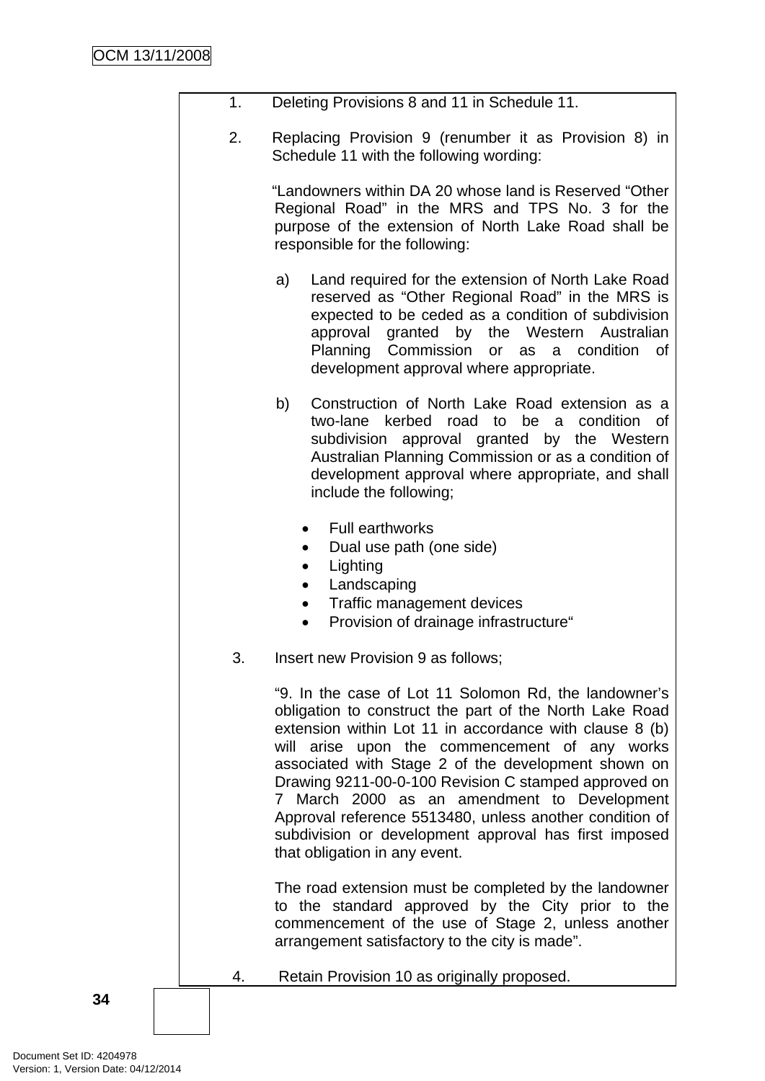|  | 1. | Deleting Provisions 8 and 11 in Schedule 11.                                                                                                                                                                                                                                                                                                                                                                                                                                                                                                    |
|--|----|-------------------------------------------------------------------------------------------------------------------------------------------------------------------------------------------------------------------------------------------------------------------------------------------------------------------------------------------------------------------------------------------------------------------------------------------------------------------------------------------------------------------------------------------------|
|  | 2. | Replacing Provision 9 (renumber it as Provision 8) in<br>Schedule 11 with the following wording:                                                                                                                                                                                                                                                                                                                                                                                                                                                |
|  |    | "Landowners within DA 20 whose land is Reserved "Other<br>Regional Road" in the MRS and TPS No. 3 for the<br>purpose of the extension of North Lake Road shall be<br>responsible for the following:                                                                                                                                                                                                                                                                                                                                             |
|  |    | a)<br>Land required for the extension of North Lake Road<br>reserved as "Other Regional Road" in the MRS is<br>expected to be ceded as a condition of subdivision<br>approval granted by the Western Australian<br>Planning<br>Commission<br>condition of<br>or<br>as<br>a<br>development approval where appropriate.                                                                                                                                                                                                                           |
|  |    | b)<br>Construction of North Lake Road extension as a<br>two-lane kerbed road<br>condition of<br>to<br>be a<br>subdivision approval granted by the Western<br>Australian Planning Commission or as a condition of<br>development approval where appropriate, and shall<br>include the following;                                                                                                                                                                                                                                                 |
|  |    | <b>Full earthworks</b><br>Dual use path (one side)<br>$\bullet$<br>Lighting<br>Landscaping<br>$\bullet$<br>Traffic management devices<br>$\bullet$<br>Provision of drainage infrastructure"<br>$\bullet$                                                                                                                                                                                                                                                                                                                                        |
|  | 3. | Insert new Provision 9 as follows;                                                                                                                                                                                                                                                                                                                                                                                                                                                                                                              |
|  |    | "9. In the case of Lot 11 Solomon Rd, the landowner's<br>obligation to construct the part of the North Lake Road<br>extension within Lot 11 in accordance with clause 8 (b)<br>will arise upon the commencement of any works<br>associated with Stage 2 of the development shown on<br>Drawing 9211-00-0-100 Revision C stamped approved on<br>7 March 2000 as an amendment to Development<br>Approval reference 5513480, unless another condition of<br>subdivision or development approval has first imposed<br>that obligation in any event. |
|  |    | The road extension must be completed by the landowner<br>to the standard approved by the City prior to the<br>commencement of the use of Stage 2, unless another<br>arrangement satisfactory to the city is made".                                                                                                                                                                                                                                                                                                                              |
|  | 4. | Retain Provision 10 as originally proposed.                                                                                                                                                                                                                                                                                                                                                                                                                                                                                                     |
|  |    |                                                                                                                                                                                                                                                                                                                                                                                                                                                                                                                                                 |

**34**

 $\overline{\phantom{a}}$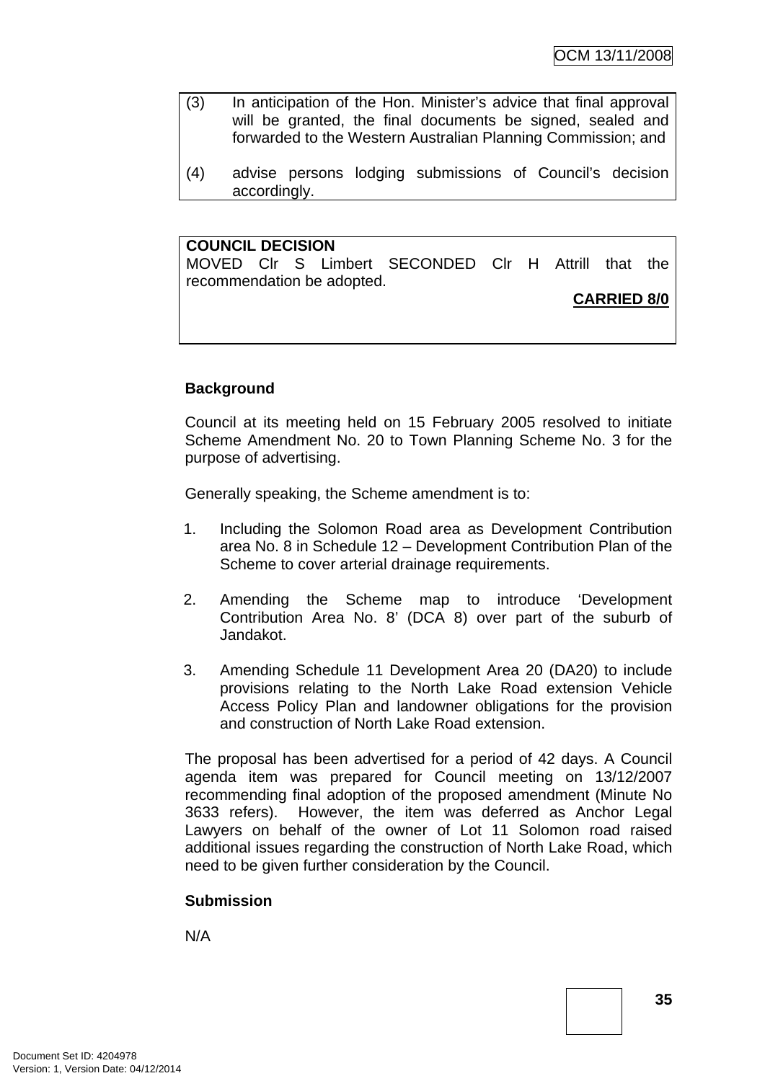- (3) In anticipation of the Hon. Minister's advice that final approval will be granted, the final documents be signed, sealed and forwarded to the Western Australian Planning Commission; and
- (4) advise persons lodging submissions of Council's decision accordingly.

#### **COUNCIL DECISION**

MOVED Clr S Limbert SECONDED Clr H Attrill that the recommendation be adopted.

**CARRIED 8/0**

# **Background**

Council at its meeting held on 15 February 2005 resolved to initiate Scheme Amendment No. 20 to Town Planning Scheme No. 3 for the purpose of advertising.

Generally speaking, the Scheme amendment is to:

- 1. Including the Solomon Road area as Development Contribution area No. 8 in Schedule 12 – Development Contribution Plan of the Scheme to cover arterial drainage requirements.
- 2. Amending the Scheme map to introduce 'Development Contribution Area No. 8' (DCA 8) over part of the suburb of Jandakot.
- 3. Amending Schedule 11 Development Area 20 (DA20) to include provisions relating to the North Lake Road extension Vehicle Access Policy Plan and landowner obligations for the provision and construction of North Lake Road extension.

The proposal has been advertised for a period of 42 days. A Council agenda item was prepared for Council meeting on 13/12/2007 recommending final adoption of the proposed amendment (Minute No 3633 refers). However, the item was deferred as Anchor Legal Lawyers on behalf of the owner of Lot 11 Solomon road raised additional issues regarding the construction of North Lake Road, which need to be given further consideration by the Council.

#### **Submission**

N/A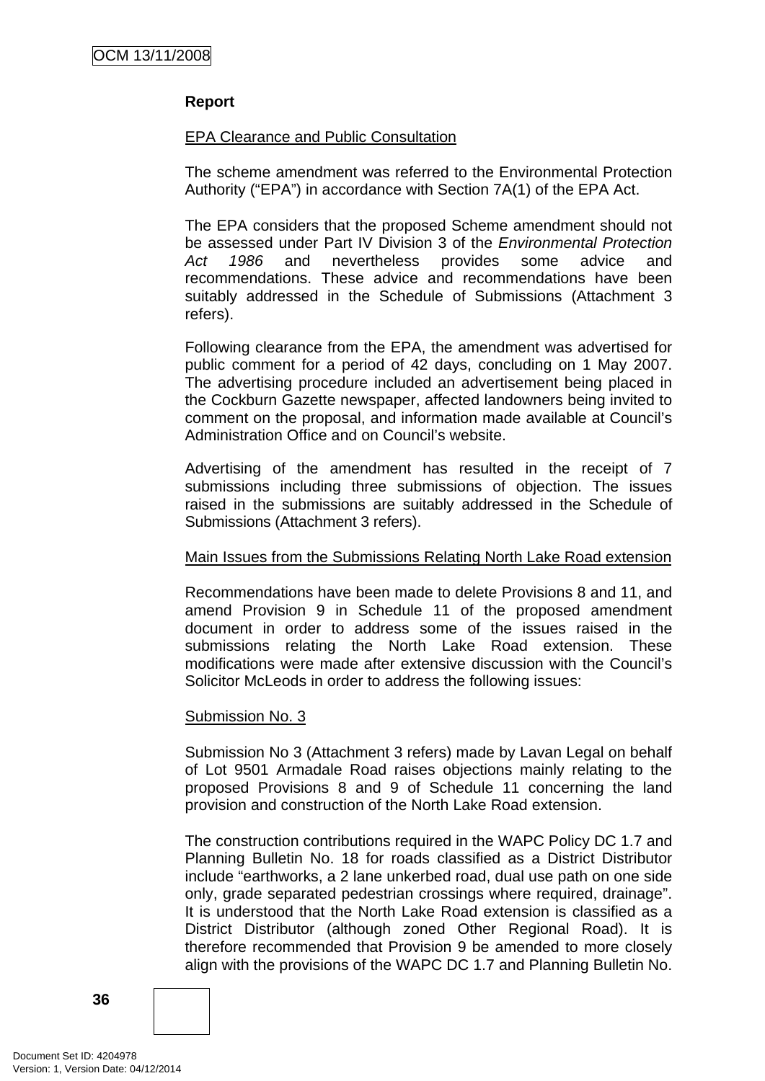## **Report**

#### EPA Clearance and Public Consultation

The scheme amendment was referred to the Environmental Protection Authority ("EPA") in accordance with Section 7A(1) of the EPA Act.

The EPA considers that the proposed Scheme amendment should not be assessed under Part IV Division 3 of the *Environmental Protection Act 1986* and nevertheless provides some advice and recommendations. These advice and recommendations have been suitably addressed in the Schedule of Submissions (Attachment 3 refers).

Following clearance from the EPA, the amendment was advertised for public comment for a period of 42 days, concluding on 1 May 2007. The advertising procedure included an advertisement being placed in the Cockburn Gazette newspaper, affected landowners being invited to comment on the proposal, and information made available at Council's Administration Office and on Council's website.

Advertising of the amendment has resulted in the receipt of 7 submissions including three submissions of objection. The issues raised in the submissions are suitably addressed in the Schedule of Submissions (Attachment 3 refers).

#### Main Issues from the Submissions Relating North Lake Road extension

Recommendations have been made to delete Provisions 8 and 11, and amend Provision 9 in Schedule 11 of the proposed amendment document in order to address some of the issues raised in the submissions relating the North Lake Road extension. These modifications were made after extensive discussion with the Council's Solicitor McLeods in order to address the following issues:

#### Submission No. 3

Submission No 3 (Attachment 3 refers) made by Lavan Legal on behalf of Lot 9501 Armadale Road raises objections mainly relating to the proposed Provisions 8 and 9 of Schedule 11 concerning the land provision and construction of the North Lake Road extension.

The construction contributions required in the WAPC Policy DC 1.7 and Planning Bulletin No. 18 for roads classified as a District Distributor include "earthworks, a 2 lane unkerbed road, dual use path on one side only, grade separated pedestrian crossings where required, drainage". It is understood that the North Lake Road extension is classified as a District Distributor (although zoned Other Regional Road). It is therefore recommended that Provision 9 be amended to more closely align with the provisions of the WAPC DC 1.7 and Planning Bulletin No.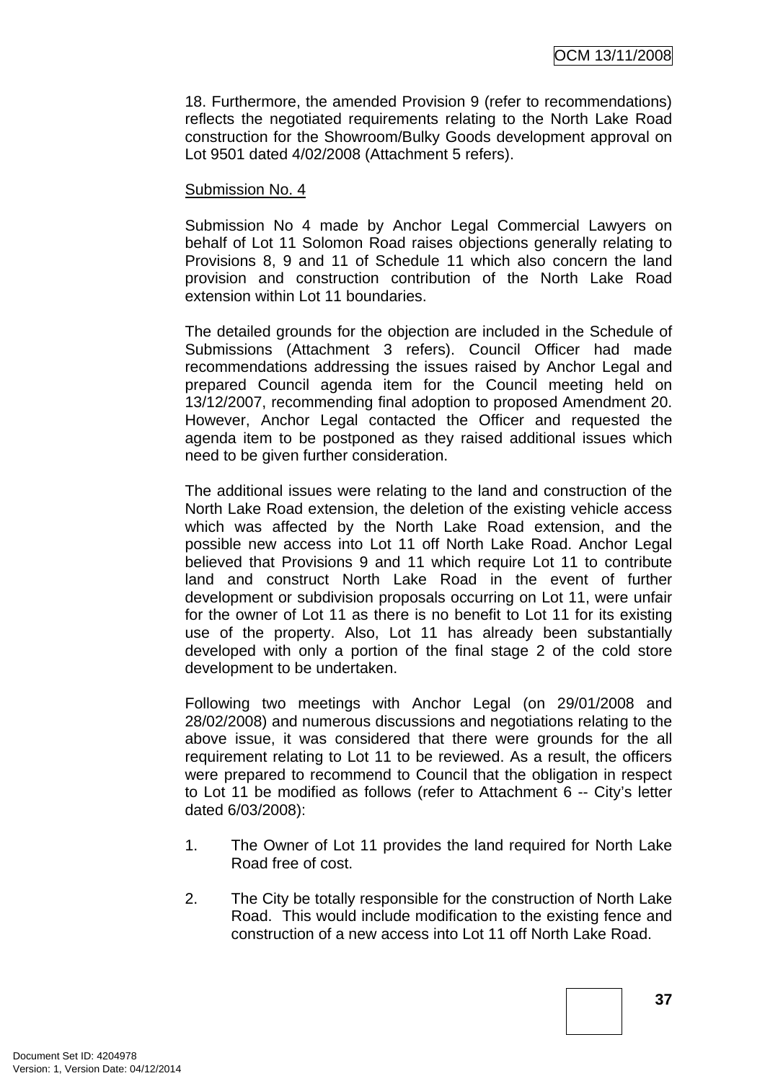18. Furthermore, the amended Provision 9 (refer to recommendations) reflects the negotiated requirements relating to the North Lake Road construction for the Showroom/Bulky Goods development approval on Lot 9501 dated 4/02/2008 (Attachment 5 refers).

#### Submission No. 4

Submission No 4 made by Anchor Legal Commercial Lawyers on behalf of Lot 11 Solomon Road raises objections generally relating to Provisions 8, 9 and 11 of Schedule 11 which also concern the land provision and construction contribution of the North Lake Road extension within Lot 11 boundaries.

The detailed grounds for the objection are included in the Schedule of Submissions (Attachment 3 refers). Council Officer had made recommendations addressing the issues raised by Anchor Legal and prepared Council agenda item for the Council meeting held on 13/12/2007, recommending final adoption to proposed Amendment 20. However, Anchor Legal contacted the Officer and requested the agenda item to be postponed as they raised additional issues which need to be given further consideration.

The additional issues were relating to the land and construction of the North Lake Road extension, the deletion of the existing vehicle access which was affected by the North Lake Road extension, and the possible new access into Lot 11 off North Lake Road. Anchor Legal believed that Provisions 9 and 11 which require Lot 11 to contribute land and construct North Lake Road in the event of further development or subdivision proposals occurring on Lot 11, were unfair for the owner of Lot 11 as there is no benefit to Lot 11 for its existing use of the property. Also, Lot 11 has already been substantially developed with only a portion of the final stage 2 of the cold store development to be undertaken.

Following two meetings with Anchor Legal (on 29/01/2008 and 28/02/2008) and numerous discussions and negotiations relating to the above issue, it was considered that there were grounds for the all requirement relating to Lot 11 to be reviewed. As a result, the officers were prepared to recommend to Council that the obligation in respect to Lot 11 be modified as follows (refer to Attachment 6 -- City's letter dated 6/03/2008):

- 1. The Owner of Lot 11 provides the land required for North Lake Road free of cost.
- 2. The City be totally responsible for the construction of North Lake Road. This would include modification to the existing fence and construction of a new access into Lot 11 off North Lake Road.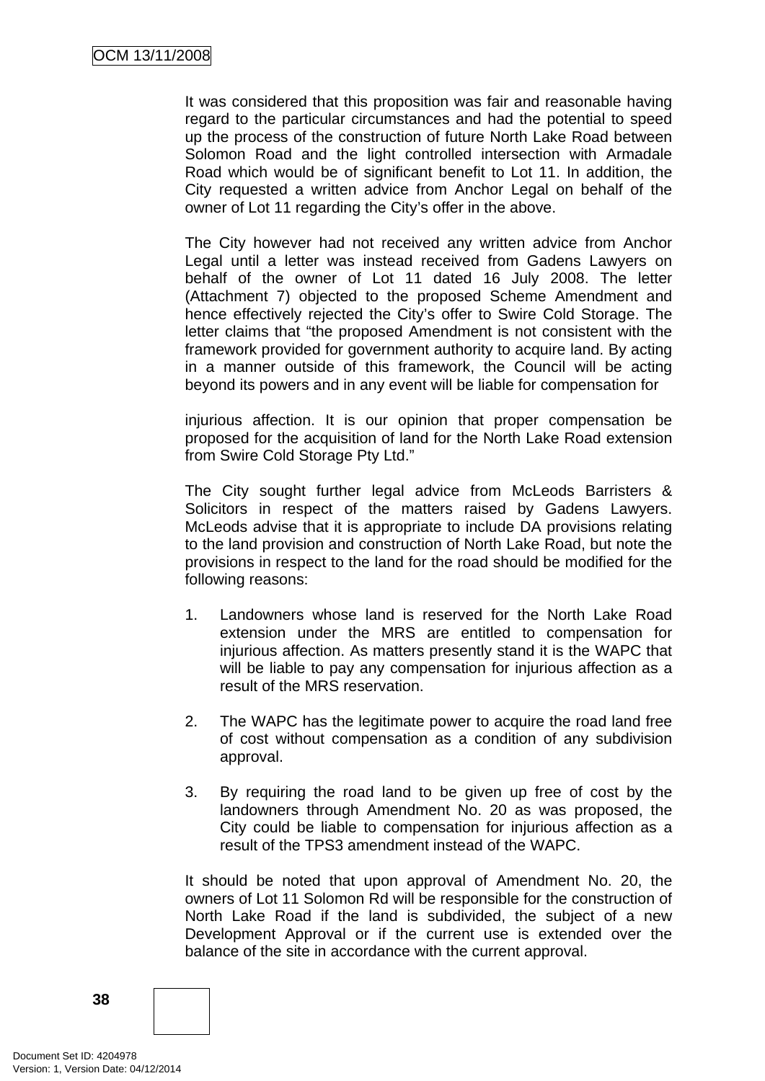It was considered that this proposition was fair and reasonable having regard to the particular circumstances and had the potential to speed up the process of the construction of future North Lake Road between Solomon Road and the light controlled intersection with Armadale Road which would be of significant benefit to Lot 11. In addition, the City requested a written advice from Anchor Legal on behalf of the owner of Lot 11 regarding the City's offer in the above.

The City however had not received any written advice from Anchor Legal until a letter was instead received from Gadens Lawyers on behalf of the owner of Lot 11 dated 16 July 2008. The letter (Attachment 7) objected to the proposed Scheme Amendment and hence effectively rejected the City's offer to Swire Cold Storage. The letter claims that "the proposed Amendment is not consistent with the framework provided for government authority to acquire land. By acting in a manner outside of this framework, the Council will be acting beyond its powers and in any event will be liable for compensation for

injurious affection. It is our opinion that proper compensation be proposed for the acquisition of land for the North Lake Road extension from Swire Cold Storage Pty Ltd."

The City sought further legal advice from McLeods Barristers & Solicitors in respect of the matters raised by Gadens Lawyers. McLeods advise that it is appropriate to include DA provisions relating to the land provision and construction of North Lake Road, but note the provisions in respect to the land for the road should be modified for the following reasons:

- 1. Landowners whose land is reserved for the North Lake Road extension under the MRS are entitled to compensation for injurious affection. As matters presently stand it is the WAPC that will be liable to pay any compensation for injurious affection as a result of the MRS reservation.
- 2. The WAPC has the legitimate power to acquire the road land free of cost without compensation as a condition of any subdivision approval.
- 3. By requiring the road land to be given up free of cost by the landowners through Amendment No. 20 as was proposed, the City could be liable to compensation for injurious affection as a result of the TPS3 amendment instead of the WAPC.

It should be noted that upon approval of Amendment No. 20, the owners of Lot 11 Solomon Rd will be responsible for the construction of North Lake Road if the land is subdivided, the subject of a new Development Approval or if the current use is extended over the balance of the site in accordance with the current approval.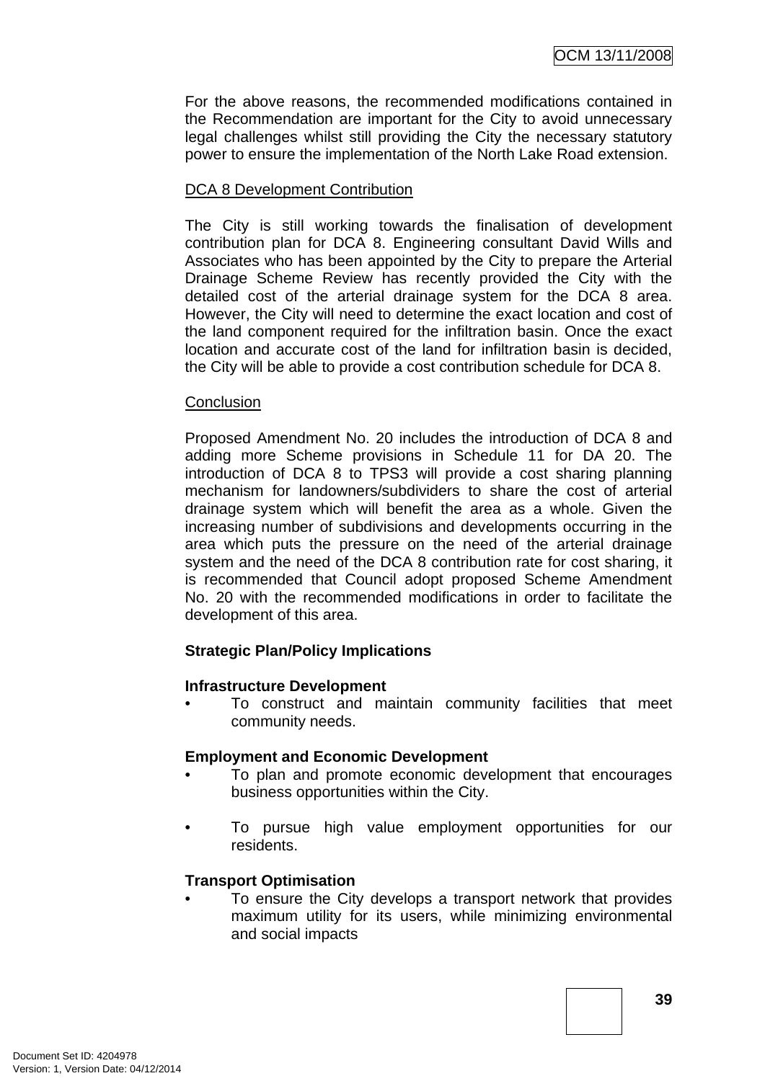For the above reasons, the recommended modifications contained in the Recommendation are important for the City to avoid unnecessary legal challenges whilst still providing the City the necessary statutory power to ensure the implementation of the North Lake Road extension.

## DCA 8 Development Contribution

The City is still working towards the finalisation of development contribution plan for DCA 8. Engineering consultant David Wills and Associates who has been appointed by the City to prepare the Arterial Drainage Scheme Review has recently provided the City with the detailed cost of the arterial drainage system for the DCA 8 area. However, the City will need to determine the exact location and cost of the land component required for the infiltration basin. Once the exact location and accurate cost of the land for infiltration basin is decided, the City will be able to provide a cost contribution schedule for DCA 8.

#### **Conclusion**

Proposed Amendment No. 20 includes the introduction of DCA 8 and adding more Scheme provisions in Schedule 11 for DA 20. The introduction of DCA 8 to TPS3 will provide a cost sharing planning mechanism for landowners/subdividers to share the cost of arterial drainage system which will benefit the area as a whole. Given the increasing number of subdivisions and developments occurring in the area which puts the pressure on the need of the arterial drainage system and the need of the DCA 8 contribution rate for cost sharing, it is recommended that Council adopt proposed Scheme Amendment No. 20 with the recommended modifications in order to facilitate the development of this area.

#### **Strategic Plan/Policy Implications**

#### **Infrastructure Development**

• To construct and maintain community facilities that meet community needs.

#### **Employment and Economic Development**

- To plan and promote economic development that encourages business opportunities within the City.
- To pursue high value employment opportunities for our residents.

#### **Transport Optimisation**

To ensure the City develops a transport network that provides maximum utility for its users, while minimizing environmental and social impacts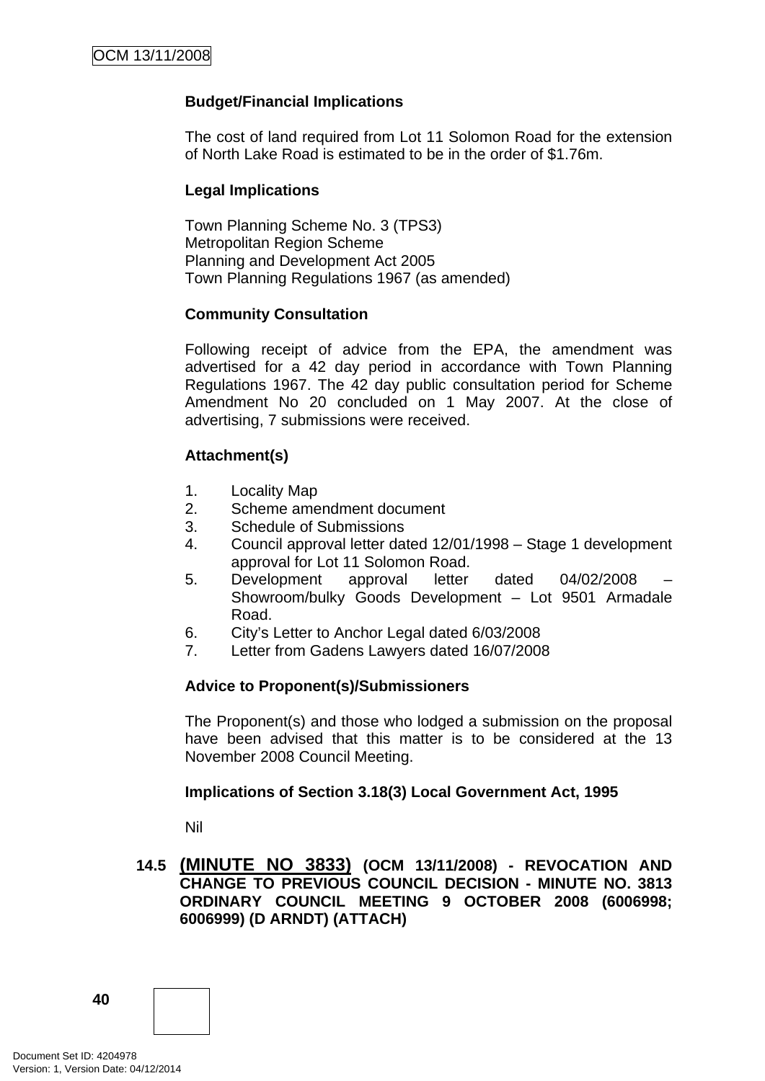## **Budget/Financial Implications**

The cost of land required from Lot 11 Solomon Road for the extension of North Lake Road is estimated to be in the order of \$1.76m.

## **Legal Implications**

Town Planning Scheme No. 3 (TPS3) Metropolitan Region Scheme Planning and Development Act 2005 Town Planning Regulations 1967 (as amended)

## **Community Consultation**

Following receipt of advice from the EPA, the amendment was advertised for a 42 day period in accordance with Town Planning Regulations 1967. The 42 day public consultation period for Scheme Amendment No 20 concluded on 1 May 2007. At the close of advertising, 7 submissions were received.

## **Attachment(s)**

- 1. Locality Map
- 2. Scheme amendment document
- 3. Schedule of Submissions
- 4. Council approval letter dated 12/01/1998 Stage 1 development approval for Lot 11 Solomon Road.
- 5. Development approval letter dated 04/02/2008 Showroom/bulky Goods Development – Lot 9501 Armadale Road.
- 6. City's Letter to Anchor Legal dated 6/03/2008
- 7. Letter from Gadens Lawyers dated 16/07/2008

# **Advice to Proponent(s)/Submissioners**

The Proponent(s) and those who lodged a submission on the proposal have been advised that this matter is to be considered at the 13 November 2008 Council Meeting.

#### **Implications of Section 3.18(3) Local Government Act, 1995**

Nil

## **14.5 (MINUTE NO 3833) (OCM 13/11/2008) - REVOCATION AND CHANGE TO PREVIOUS COUNCIL DECISION - MINUTE NO. 3813 ORDINARY COUNCIL MEETING 9 OCTOBER 2008 (6006998; 6006999) (D ARNDT) (ATTACH)**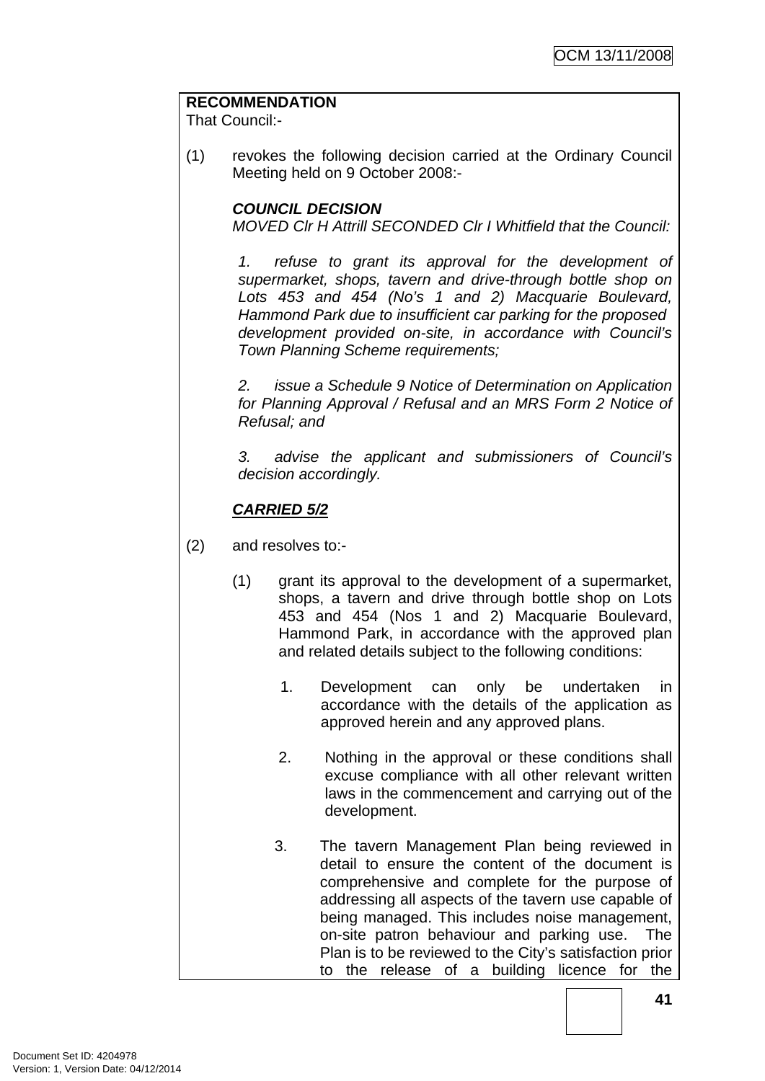## **RECOMMENDATION**

That Council:-

(1) revokes the following decision carried at the Ordinary Council Meeting held on 9 October 2008:-

## *COUNCIL DECISION*

 *MOVED Clr H Attrill SECONDED Clr I Whitfield that the Council:* 

 *1. refuse to grant its approval for the development of supermarket, shops, tavern and drive-through bottle shop on Lots 453 and 454 (No's 1 and 2) Macquarie Boulevard, Hammond Park due to insufficient car parking for the proposed development provided on-site, in accordance with Council's Town Planning Scheme requirements;* 

 *2. issue a Schedule 9 Notice of Determination on Application for Planning Approval / Refusal and an MRS Form 2 Notice of Refusal; and* 

 *3. advise the applicant and submissioners of Council's decision accordingly.* 

# *CARRIED 5/2*

- (2) and resolves to:-
	- (1) grant its approval to the development of a supermarket, shops, a tavern and drive through bottle shop on Lots 453 and 454 (Nos 1 and 2) Macquarie Boulevard, Hammond Park, in accordance with the approved plan and related details subject to the following conditions:
		- 1. Development can only be undertaken in accordance with the details of the application as approved herein and any approved plans.
		- 2. Nothing in the approval or these conditions shall excuse compliance with all other relevant written laws in the commencement and carrying out of the development.
		- 3. The tavern Management Plan being reviewed in detail to ensure the content of the document is comprehensive and complete for the purpose of addressing all aspects of the tavern use capable of being managed. This includes noise management, on-site patron behaviour and parking use. The Plan is to be reviewed to the City's satisfaction prior to the release of a building licence for the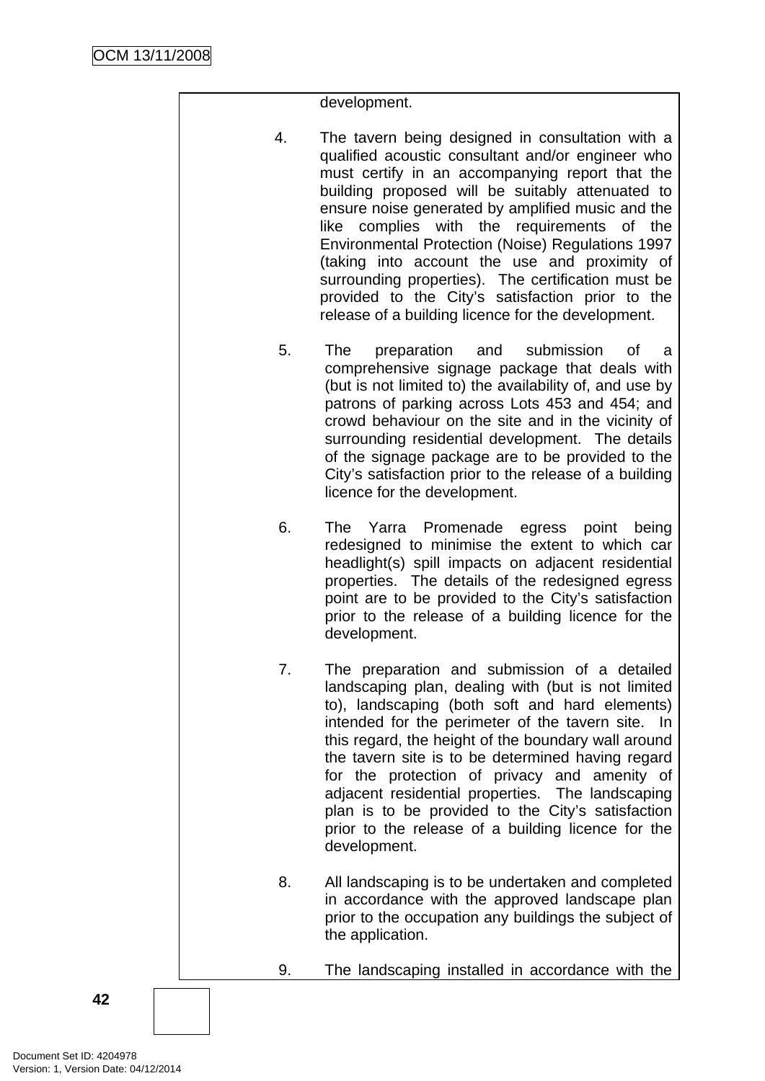#### development.

- 4. The tavern being designed in consultation with a qualified acoustic consultant and/or engineer who must certify in an accompanying report that the building proposed will be suitably attenuated to ensure noise generated by amplified music and the like complies with the requirements of the Environmental Protection (Noise) Regulations 1997 (taking into account the use and proximity of surrounding properties). The certification must be provided to the City's satisfaction prior to the release of a building licence for the development.
- 5. The preparation and submission of a comprehensive signage package that deals with (but is not limited to) the availability of, and use by patrons of parking across Lots 453 and 454; and crowd behaviour on the site and in the vicinity of surrounding residential development. The details of the signage package are to be provided to the City's satisfaction prior to the release of a building licence for the development.
- 6. The Yarra Promenade egress point being redesigned to minimise the extent to which car headlight(s) spill impacts on adjacent residential properties. The details of the redesigned egress point are to be provided to the City's satisfaction prior to the release of a building licence for the development.
- 7. The preparation and submission of a detailed landscaping plan, dealing with (but is not limited to), landscaping (both soft and hard elements) intended for the perimeter of the tavern site. In this regard, the height of the boundary wall around the tavern site is to be determined having regard for the protection of privacy and amenity of adjacent residential properties. The landscaping plan is to be provided to the City's satisfaction prior to the release of a building licence for the development.
- 8. All landscaping is to be undertaken and completed in accordance with the approved landscape plan prior to the occupation any buildings the subject of the application.

9. The landscaping installed in accordance with the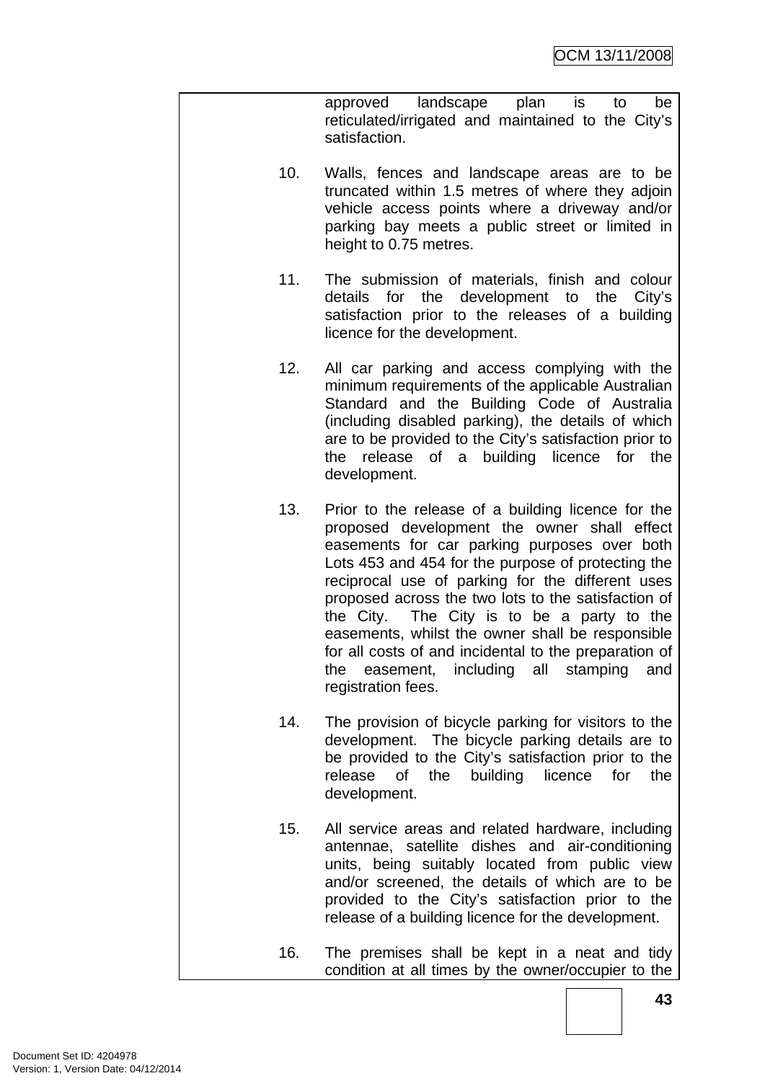|     | landscape<br>plan<br>is<br>approved<br>be<br>to<br>reticulated/irrigated and maintained to the City's<br>satisfaction.                                                                                                                                                                                                                                                                                                                                                                                                                                   |
|-----|----------------------------------------------------------------------------------------------------------------------------------------------------------------------------------------------------------------------------------------------------------------------------------------------------------------------------------------------------------------------------------------------------------------------------------------------------------------------------------------------------------------------------------------------------------|
| 10. | Walls, fences and landscape areas are to be<br>truncated within 1.5 metres of where they adjoin<br>vehicle access points where a driveway and/or<br>parking bay meets a public street or limited in<br>height to 0.75 metres.                                                                                                                                                                                                                                                                                                                            |
| 11. | The submission of materials, finish and colour<br>details for the development to the<br>City's<br>satisfaction prior to the releases of a building<br>licence for the development.                                                                                                                                                                                                                                                                                                                                                                       |
| 12. | All car parking and access complying with the<br>minimum requirements of the applicable Australian<br>Standard and the Building Code of Australia<br>(including disabled parking), the details of which<br>are to be provided to the City's satisfaction prior to<br>the release of a building licence for the<br>development.                                                                                                                                                                                                                           |
| 13. | Prior to the release of a building licence for the<br>proposed development the owner shall effect<br>easements for car parking purposes over both<br>Lots 453 and 454 for the purpose of protecting the<br>reciprocal use of parking for the different uses<br>proposed across the two lots to the satisfaction of<br>the City. The City is to be a party to the<br>easements, whilst the owner shall be responsible<br>for all costs of and incidental to the preparation of<br>easement, including all<br>stamping<br>the<br>and<br>registration fees. |
| 14. | The provision of bicycle parking for visitors to the<br>development. The bicycle parking details are to<br>be provided to the City's satisfaction prior to the<br>building<br>release<br>οf<br>the<br>licence<br>for<br>the<br>development.                                                                                                                                                                                                                                                                                                              |
| 15. | All service areas and related hardware, including<br>antennae, satellite dishes and air-conditioning<br>units, being suitably located from public view<br>and/or screened, the details of which are to be<br>provided to the City's satisfaction prior to the<br>release of a building licence for the development.                                                                                                                                                                                                                                      |
| 16. | The premises shall be kept in a neat and tidy<br>condition at all times by the owner/occupier to the                                                                                                                                                                                                                                                                                                                                                                                                                                                     |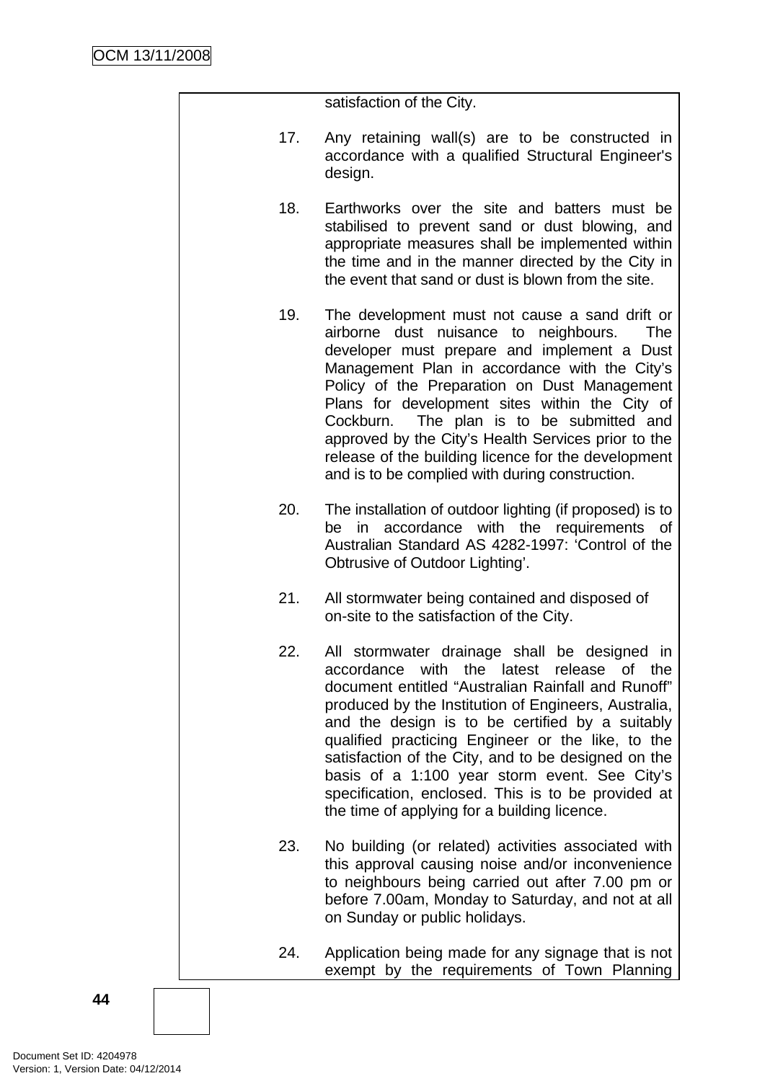|     | satisfaction of the City.                                                                                                                                                                                                                                                                                                                                                                                                                                                                                                              |
|-----|----------------------------------------------------------------------------------------------------------------------------------------------------------------------------------------------------------------------------------------------------------------------------------------------------------------------------------------------------------------------------------------------------------------------------------------------------------------------------------------------------------------------------------------|
| 17. | Any retaining wall(s) are to be constructed in<br>accordance with a qualified Structural Engineer's<br>design.                                                                                                                                                                                                                                                                                                                                                                                                                         |
| 18. | Earthworks over the site and batters must be<br>stabilised to prevent sand or dust blowing, and<br>appropriate measures shall be implemented within<br>the time and in the manner directed by the City in<br>the event that sand or dust is blown from the site.                                                                                                                                                                                                                                                                       |
| 19. | The development must not cause a sand drift or<br>airborne dust nuisance to neighbours.<br><b>The</b><br>developer must prepare and implement a Dust<br>Management Plan in accordance with the City's<br>Policy of the Preparation on Dust Management<br>Plans for development sites within the City of<br>Cockburn. The plan is to be submitted and<br>approved by the City's Health Services prior to the<br>release of the building licence for the development<br>and is to be complied with during construction.                  |
| 20. | The installation of outdoor lighting (if proposed) is to<br>in accordance with the requirements of<br>be<br>Australian Standard AS 4282-1997: 'Control of the<br>Obtrusive of Outdoor Lighting'.                                                                                                                                                                                                                                                                                                                                       |
| 21. | All stormwater being contained and disposed of<br>on-site to the satisfaction of the City.                                                                                                                                                                                                                                                                                                                                                                                                                                             |
| 22. | All stormwater drainage shall be designed<br>in<br>accordance with the latest release<br>the<br>of<br>document entitled "Australian Rainfall and Runoff"<br>produced by the Institution of Engineers, Australia,<br>and the design is to be certified by a suitably<br>qualified practicing Engineer or the like, to the<br>satisfaction of the City, and to be designed on the<br>basis of a 1:100 year storm event. See City's<br>specification, enclosed. This is to be provided at<br>the time of applying for a building licence. |
| 23. | No building (or related) activities associated with<br>this approval causing noise and/or inconvenience<br>to neighbours being carried out after 7.00 pm or<br>before 7.00am, Monday to Saturday, and not at all<br>on Sunday or public holidays.                                                                                                                                                                                                                                                                                      |
| 24. | Application being made for any signage that is not<br>exempt by the requirements of Town Planning                                                                                                                                                                                                                                                                                                                                                                                                                                      |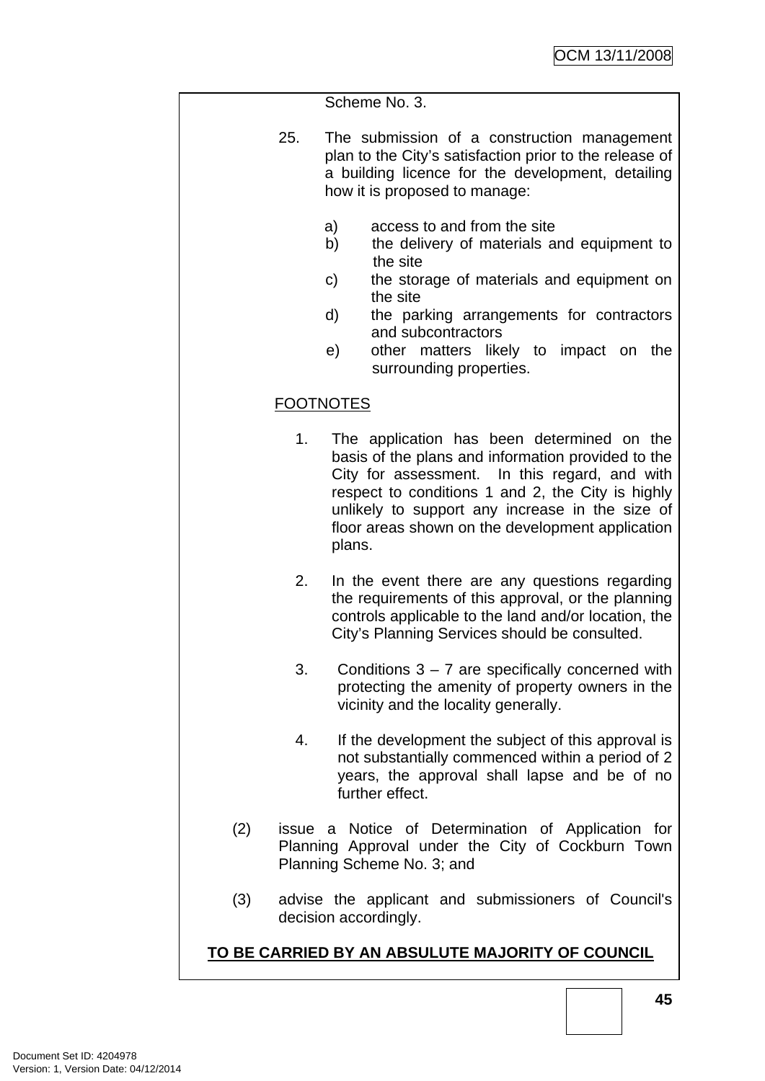|     | Scheme No. 3.                                                                                                                                                                                                                                                                                                                 |
|-----|-------------------------------------------------------------------------------------------------------------------------------------------------------------------------------------------------------------------------------------------------------------------------------------------------------------------------------|
| 25. | The submission of a construction management<br>plan to the City's satisfaction prior to the release of<br>a building licence for the development, detailing<br>how it is proposed to manage:                                                                                                                                  |
|     | access to and from the site<br>a)<br>b)<br>the delivery of materials and equipment to<br>the site<br>the storage of materials and equipment on<br>C)<br>the site<br>the parking arrangements for contractors<br>d)<br>and subcontractors                                                                                      |
|     | e)<br>other matters likely to impact on the<br>surrounding properties.                                                                                                                                                                                                                                                        |
|     | <b>FOOTNOTES</b>                                                                                                                                                                                                                                                                                                              |
|     | 1.<br>The application has been determined on the<br>basis of the plans and information provided to the<br>City for assessment. In this regard, and with<br>respect to conditions 1 and 2, the City is highly<br>unlikely to support any increase in the size of<br>floor areas shown on the development application<br>plans. |
|     | 2.<br>In the event there are any questions regarding<br>the requirements of this approval, or the planning<br>controls applicable to the land and/or location, the<br>City's Planning Services should be consulted.                                                                                                           |
|     | Conditions $3 - 7$ are specifically concerned with<br>3.<br>protecting the amenity of property owners in the<br>vicinity and the locality generally.                                                                                                                                                                          |
|     | 4.<br>If the development the subject of this approval is<br>not substantially commenced within a period of 2<br>years, the approval shall lapse and be of no<br>further effect.                                                                                                                                               |
| (2) | Notice of Determination of Application for<br>issue a<br>Planning Approval under the City of Cockburn Town<br>Planning Scheme No. 3; and                                                                                                                                                                                      |
| (3) | advise the applicant and submissioners of Council's<br>decision accordingly.                                                                                                                                                                                                                                                  |
|     | TO BE CARRIED BY AN ABSULUTE MAJORITY OF COUNCIL                                                                                                                                                                                                                                                                              |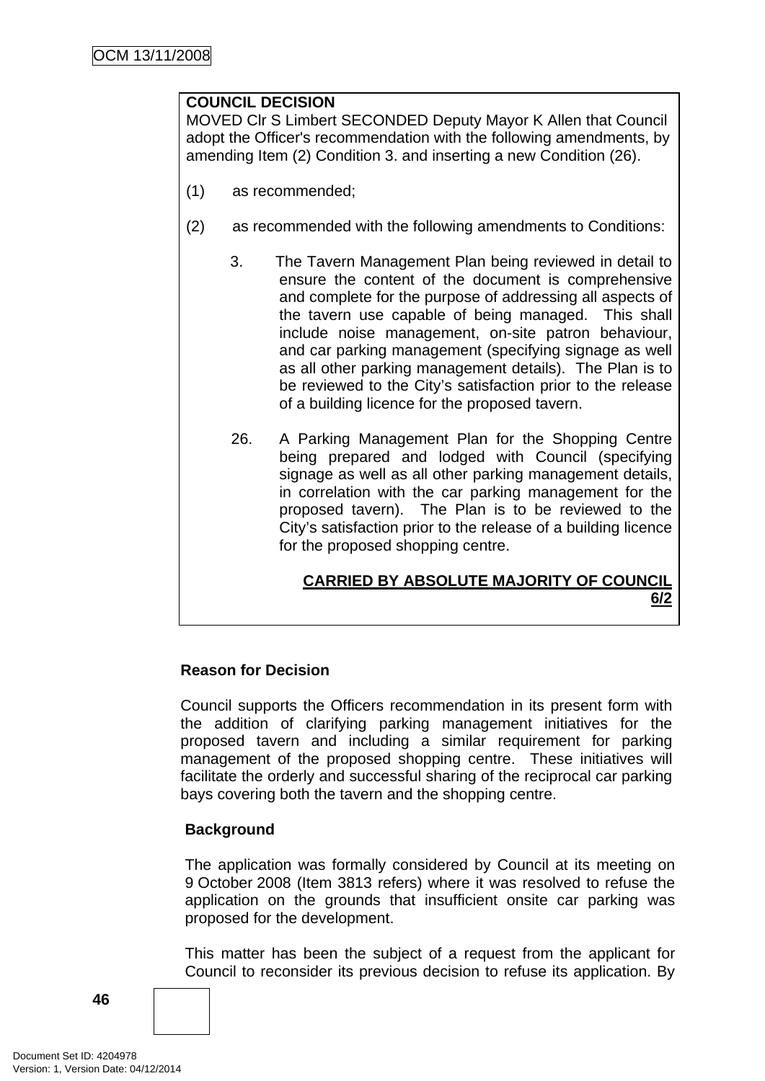# **COUNCIL DECISION**

MOVED Clr S Limbert SECONDED Deputy Mayor K Allen that Council adopt the Officer's recommendation with the following amendments, by amending Item (2) Condition 3. and inserting a new Condition (26).

- (1) as recommended;
- (2) as recommended with the following amendments to Conditions:
	- 3. The Tavern Management Plan being reviewed in detail to ensure the content of the document is comprehensive and complete for the purpose of addressing all aspects of the tavern use capable of being managed. This shall include noise management, on-site patron behaviour, and car parking management (specifying signage as well as all other parking management details). The Plan is to be reviewed to the City's satisfaction prior to the release of a building licence for the proposed tavern.
	- 26. A Parking Management Plan for the Shopping Centre being prepared and lodged with Council (specifying signage as well as all other parking management details, in correlation with the car parking management for the proposed tavern). The Plan is to be reviewed to the City's satisfaction prior to the release of a building licence for the proposed shopping centre.

# **CARRIED BY ABSOLUTE MAJORITY OF COUNCIL 6/2**

#### **Reason for Decision**

Council supports the Officers recommendation in its present form with the addition of clarifying parking management initiatives for the proposed tavern and including a similar requirement for parking management of the proposed shopping centre. These initiatives will facilitate the orderly and successful sharing of the reciprocal car parking bays covering both the tavern and the shopping centre.

#### **Background**

The application was formally considered by Council at its meeting on 9 October 2008 (Item 3813 refers) where it was resolved to refuse the application on the grounds that insufficient onsite car parking was proposed for the development.

This matter has been the subject of a request from the applicant for Council to reconsider its previous decision to refuse its application. By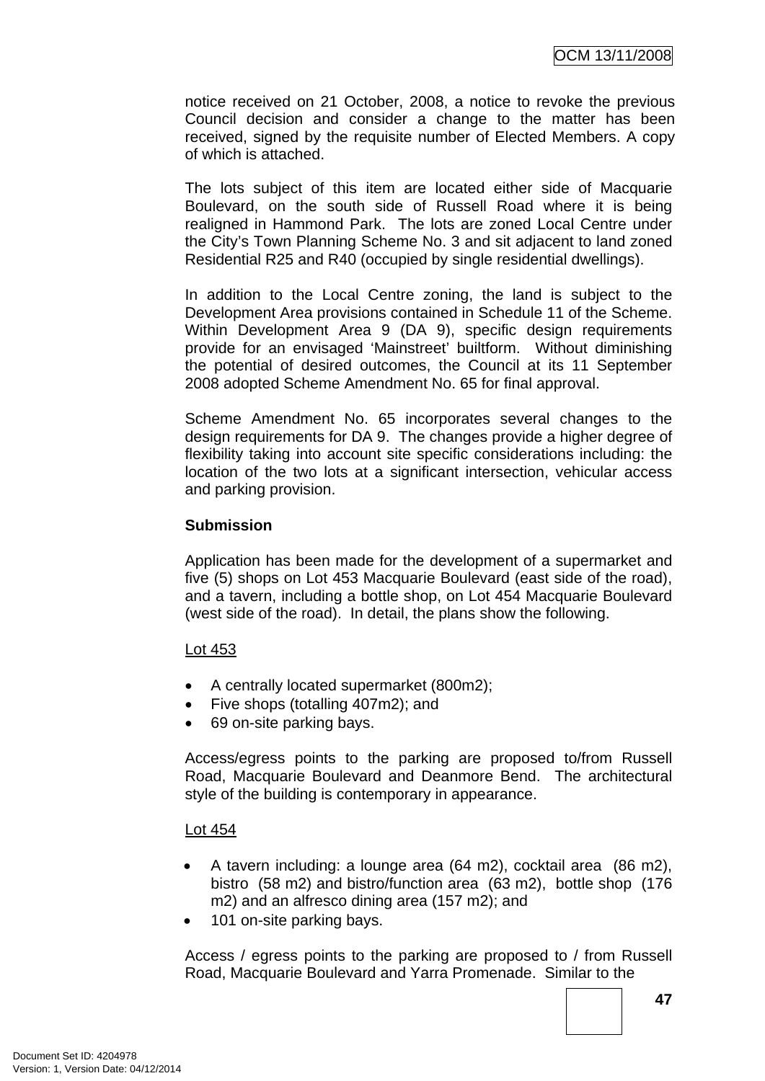notice received on 21 October, 2008, a notice to revoke the previous Council decision and consider a change to the matter has been received, signed by the requisite number of Elected Members. A copy of which is attached.

The lots subject of this item are located either side of Macquarie Boulevard, on the south side of Russell Road where it is being realigned in Hammond Park. The lots are zoned Local Centre under the City's Town Planning Scheme No. 3 and sit adjacent to land zoned Residential R25 and R40 (occupied by single residential dwellings).

In addition to the Local Centre zoning, the land is subject to the Development Area provisions contained in Schedule 11 of the Scheme. Within Development Area 9 (DA 9), specific design requirements provide for an envisaged 'Mainstreet' builtform. Without diminishing the potential of desired outcomes, the Council at its 11 September 2008 adopted Scheme Amendment No. 65 for final approval.

Scheme Amendment No. 65 incorporates several changes to the design requirements for DA 9. The changes provide a higher degree of flexibility taking into account site specific considerations including: the location of the two lots at a significant intersection, vehicular access and parking provision.

## **Submission**

Application has been made for the development of a supermarket and five (5) shops on Lot 453 Macquarie Boulevard (east side of the road), and a tavern, including a bottle shop, on Lot 454 Macquarie Boulevard (west side of the road). In detail, the plans show the following.

#### Lot 453

- A centrally located supermarket (800m2);
- Five shops (totalling 407m2); and
- 69 on-site parking bays.

Access/egress points to the parking are proposed to/from Russell Road, Macquarie Boulevard and Deanmore Bend. The architectural style of the building is contemporary in appearance.

#### Lot 454

- A tavern including: a lounge area (64 m2), cocktail area (86 m2), bistro (58 m2) and bistro/function area (63 m2), bottle shop (176 m2) and an alfresco dining area (157 m2); and
- 101 on-site parking bays.

Access / egress points to the parking are proposed to / from Russell Road, Macquarie Boulevard and Yarra Promenade. Similar to the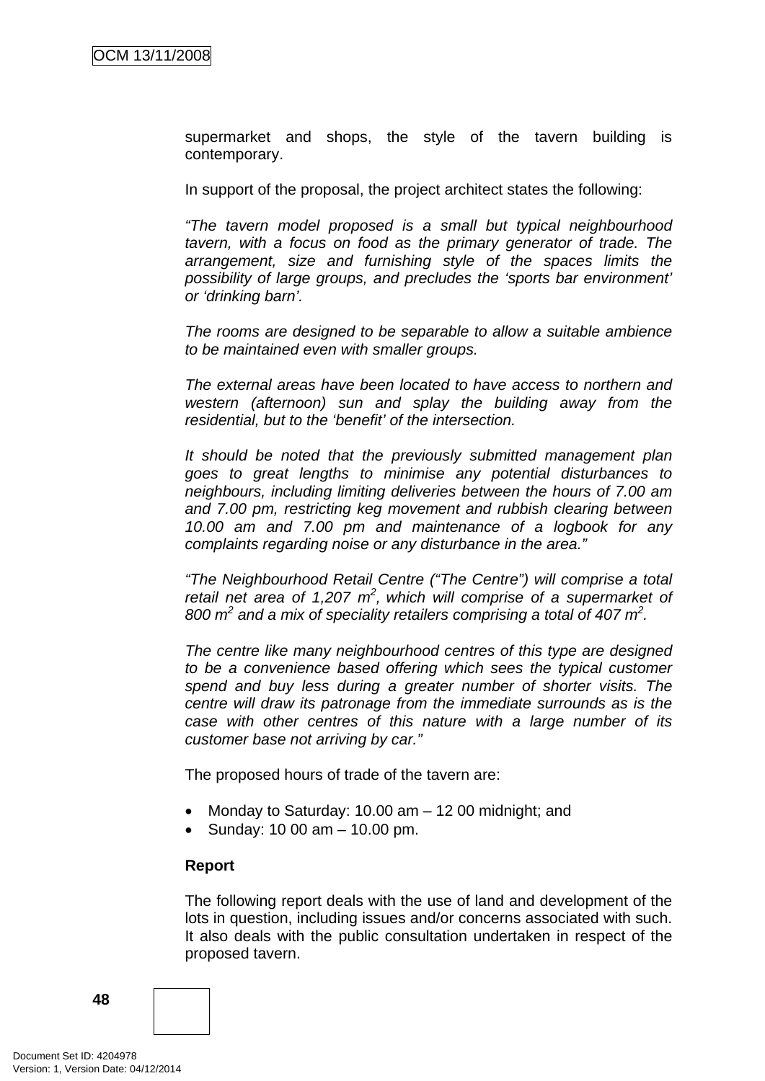supermarket and shops, the style of the tavern building is contemporary.

In support of the proposal, the project architect states the following:

*"The tavern model proposed is a small but typical neighbourhood tavern, with a focus on food as the primary generator of trade. The arrangement, size and furnishing style of the spaces limits the possibility of large groups, and precludes the 'sports bar environment' or 'drinking barn'.* 

*The rooms are designed to be separable to allow a suitable ambience to be maintained even with smaller groups.* 

*The external areas have been located to have access to northern and western (afternoon) sun and splay the building away from the residential, but to the 'benefit' of the intersection.* 

*It should be noted that the previously submitted management plan goes to great lengths to minimise any potential disturbances to neighbours, including limiting deliveries between the hours of 7.00 am and 7.00 pm, restricting keg movement and rubbish clearing between 10.00 am and 7.00 pm and maintenance of a logbook for any complaints regarding noise or any disturbance in the area."* 

*"The Neighbourhood Retail Centre ("The Centre") will comprise a total retail net area of 1,207 m<sup>2</sup> , which will comprise of a supermarket of*   $800 \text{ m}^2$  and a mix of speciality retailers comprising a total of 407  $\text{m}^2$ .

*The centre like many neighbourhood centres of this type are designed to be a convenience based offering which sees the typical customer spend and buy less during a greater number of shorter visits. The centre will draw its patronage from the immediate surrounds as is the case with other centres of this nature with a large number of its customer base not arriving by car."* 

The proposed hours of trade of the tavern are:

- Monday to Saturday: 10.00 am 12 00 midnight; and
- Sunday: 10 00 am  $-$  10.00 pm.

#### **Report**

The following report deals with the use of land and development of the lots in question, including issues and/or concerns associated with such. It also deals with the public consultation undertaken in respect of the proposed tavern.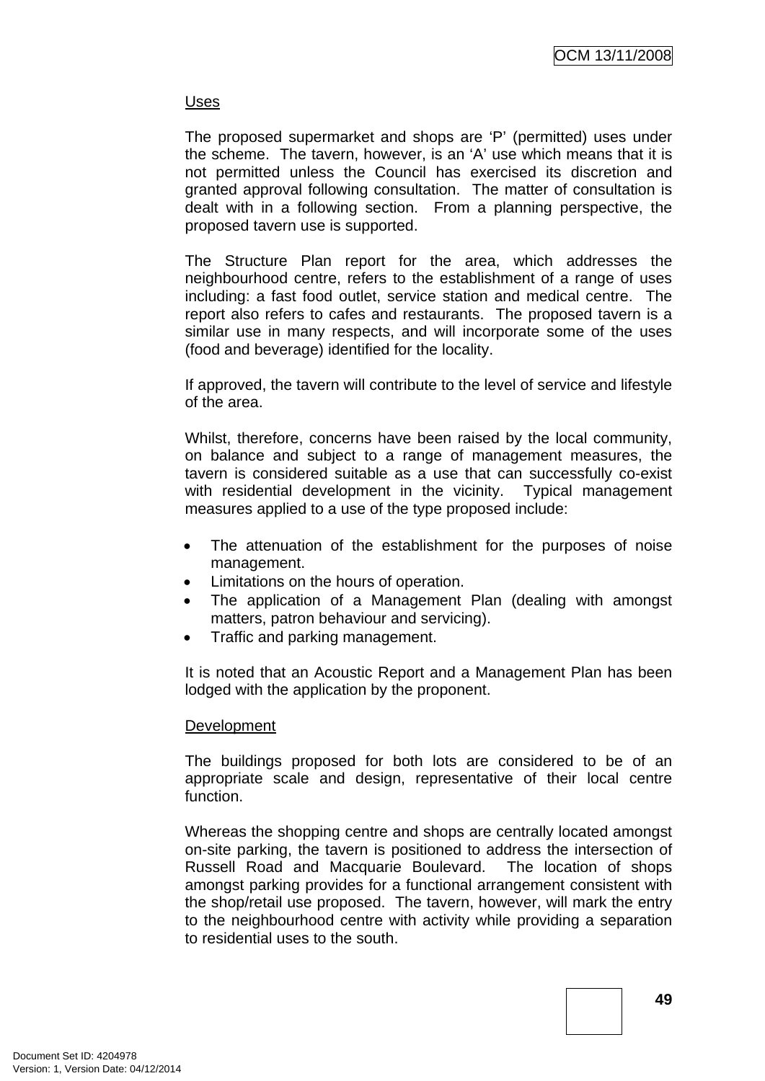#### Uses

The proposed supermarket and shops are 'P' (permitted) uses under the scheme. The tavern, however, is an 'A' use which means that it is not permitted unless the Council has exercised its discretion and granted approval following consultation. The matter of consultation is dealt with in a following section. From a planning perspective, the proposed tavern use is supported.

The Structure Plan report for the area, which addresses the neighbourhood centre, refers to the establishment of a range of uses including: a fast food outlet, service station and medical centre. The report also refers to cafes and restaurants. The proposed tavern is a similar use in many respects, and will incorporate some of the uses (food and beverage) identified for the locality.

If approved, the tavern will contribute to the level of service and lifestyle of the area.

Whilst, therefore, concerns have been raised by the local community, on balance and subject to a range of management measures, the tavern is considered suitable as a use that can successfully co-exist with residential development in the vicinity. Typical management measures applied to a use of the type proposed include:

- The attenuation of the establishment for the purposes of noise management.
- Limitations on the hours of operation.
- The application of a Management Plan (dealing with amongst matters, patron behaviour and servicing).
- Traffic and parking management.

It is noted that an Acoustic Report and a Management Plan has been lodged with the application by the proponent.

#### Development

The buildings proposed for both lots are considered to be of an appropriate scale and design, representative of their local centre function.

Whereas the shopping centre and shops are centrally located amongst on-site parking, the tavern is positioned to address the intersection of Russell Road and Macquarie Boulevard. The location of shops amongst parking provides for a functional arrangement consistent with the shop/retail use proposed. The tavern, however, will mark the entry to the neighbourhood centre with activity while providing a separation to residential uses to the south.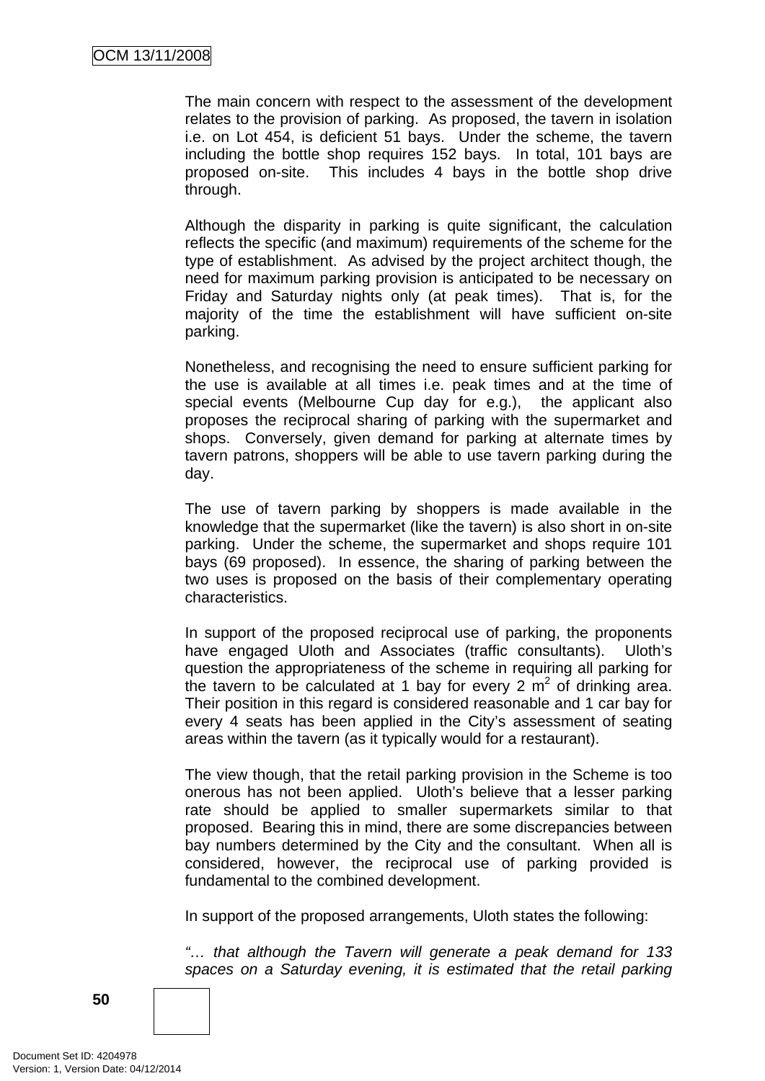The main concern with respect to the assessment of the development relates to the provision of parking. As proposed, the tavern in isolation i.e. on Lot 454, is deficient 51 bays. Under the scheme, the tavern including the bottle shop requires 152 bays. In total, 101 bays are proposed on-site. This includes 4 bays in the bottle shop drive through.

Although the disparity in parking is quite significant, the calculation reflects the specific (and maximum) requirements of the scheme for the type of establishment. As advised by the project architect though, the need for maximum parking provision is anticipated to be necessary on Friday and Saturday nights only (at peak times). That is, for the majority of the time the establishment will have sufficient on-site parking.

Nonetheless, and recognising the need to ensure sufficient parking for the use is available at all times i.e. peak times and at the time of special events (Melbourne Cup day for e.g.), the applicant also proposes the reciprocal sharing of parking with the supermarket and shops. Conversely, given demand for parking at alternate times by tavern patrons, shoppers will be able to use tavern parking during the day.

The use of tavern parking by shoppers is made available in the knowledge that the supermarket (like the tavern) is also short in on-site parking. Under the scheme, the supermarket and shops require 101 bays (69 proposed). In essence, the sharing of parking between the two uses is proposed on the basis of their complementary operating characteristics.

In support of the proposed reciprocal use of parking, the proponents have engaged Uloth and Associates (traffic consultants). Uloth's question the appropriateness of the scheme in requiring all parking for the tavern to be calculated at 1 bay for every 2  $m^2$  of drinking area. Their position in this regard is considered reasonable and 1 car bay for every 4 seats has been applied in the City's assessment of seating areas within the tavern (as it typically would for a restaurant).

The view though, that the retail parking provision in the Scheme is too onerous has not been applied. Uloth's believe that a lesser parking rate should be applied to smaller supermarkets similar to that proposed. Bearing this in mind, there are some discrepancies between bay numbers determined by the City and the consultant. When all is considered, however, the reciprocal use of parking provided is fundamental to the combined development.

In support of the proposed arrangements, Uloth states the following:

*"… that although the Tavern will generate a peak demand for 133 spaces on a Saturday evening, it is estimated that the retail parking*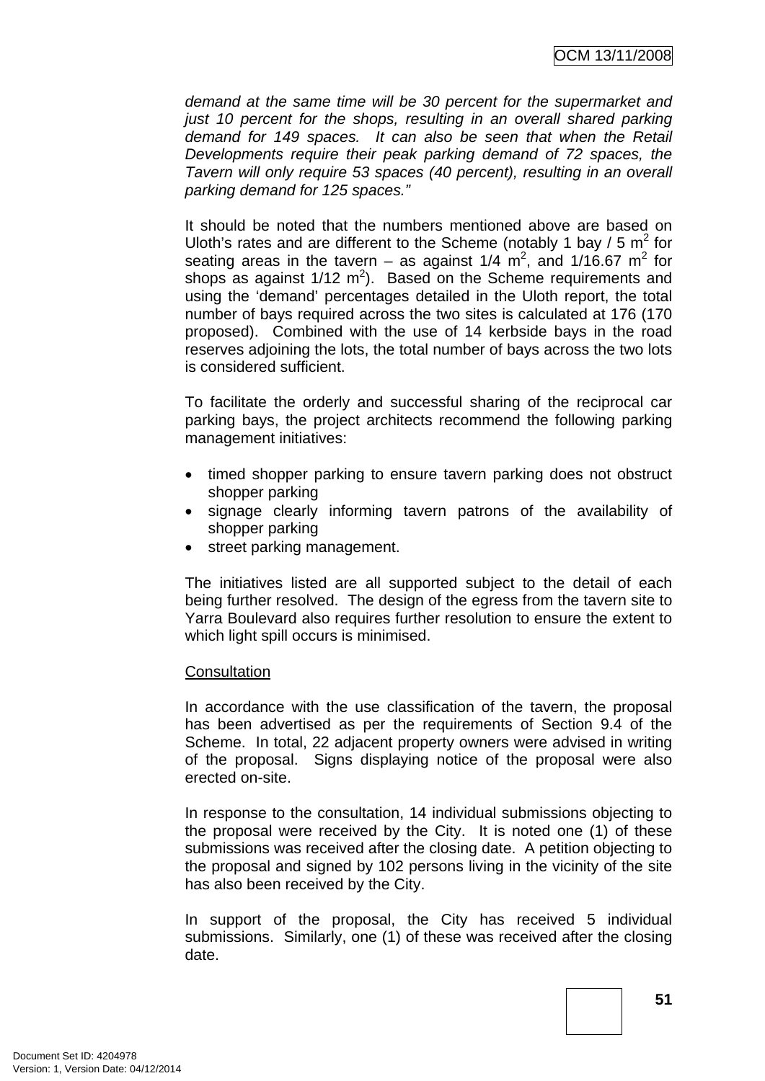*demand at the same time will be 30 percent for the supermarket and*  just 10 percent for the shops, resulting in an overall shared parking *demand for 149 spaces. It can also be seen that when the Retail Developments require their peak parking demand of 72 spaces, the Tavern will only require 53 spaces (40 percent), resulting in an overall parking demand for 125 spaces."* 

It should be noted that the numbers mentioned above are based on Uloth's rates and are different to the Scheme (notably 1 bay / 5  $m^2$  for seating areas in the tavern – as against  $1/4 \, \text{m}^2$ , and  $1/16.67 \, \text{m}^2$  for shops as against  $1/12 \text{ m}^2$ ). Based on the Scheme requirements and using the 'demand' percentages detailed in the Uloth report, the total number of bays required across the two sites is calculated at 176 (170 proposed). Combined with the use of 14 kerbside bays in the road reserves adjoining the lots, the total number of bays across the two lots is considered sufficient.

To facilitate the orderly and successful sharing of the reciprocal car parking bays, the project architects recommend the following parking management initiatives:

- timed shopper parking to ensure tavern parking does not obstruct shopper parking
- signage clearly informing tavern patrons of the availability of shopper parking
- street parking management.

The initiatives listed are all supported subject to the detail of each being further resolved. The design of the egress from the tavern site to Yarra Boulevard also requires further resolution to ensure the extent to which light spill occurs is minimised.

#### **Consultation**

In accordance with the use classification of the tavern, the proposal has been advertised as per the requirements of Section 9.4 of the Scheme. In total, 22 adjacent property owners were advised in writing of the proposal. Signs displaying notice of the proposal were also erected on-site.

In response to the consultation, 14 individual submissions objecting to the proposal were received by the City. It is noted one (1) of these submissions was received after the closing date. A petition objecting to the proposal and signed by 102 persons living in the vicinity of the site has also been received by the City.

In support of the proposal, the City has received 5 individual submissions. Similarly, one (1) of these was received after the closing date.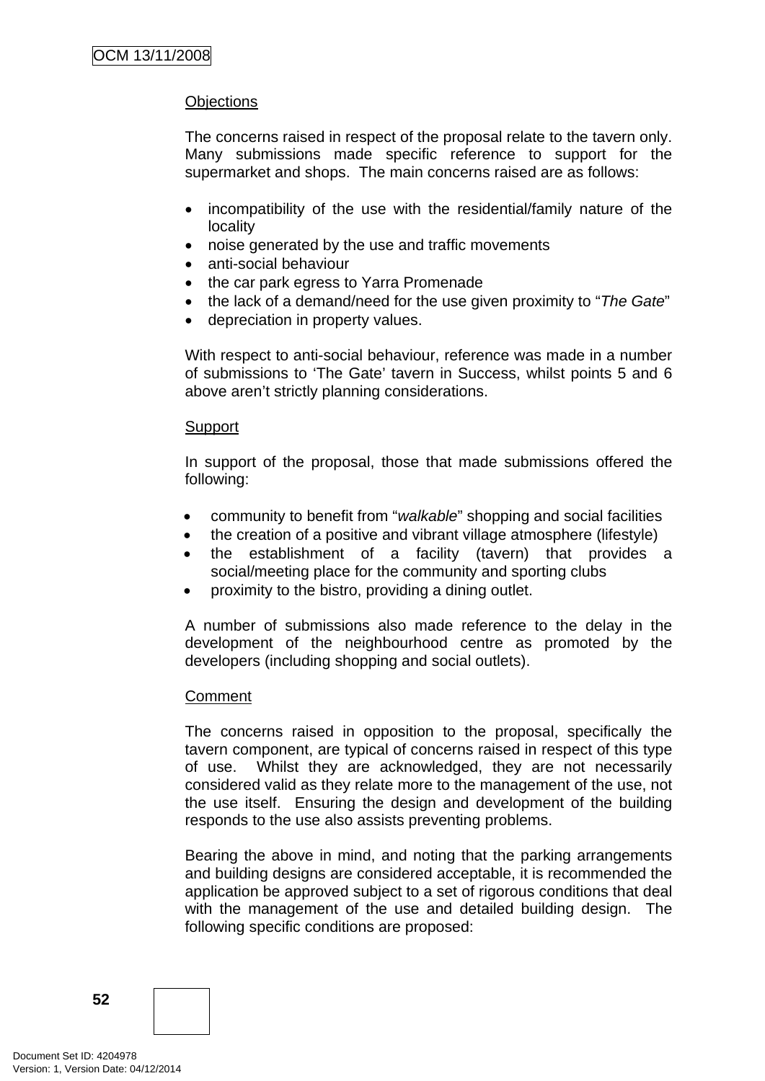## **Objections**

The concerns raised in respect of the proposal relate to the tavern only. Many submissions made specific reference to support for the supermarket and shops. The main concerns raised are as follows:

- incompatibility of the use with the residential/family nature of the locality
- noise generated by the use and traffic movements
- anti-social behaviour
- the car park egress to Yarra Promenade
- the lack of a demand/need for the use given proximity to "*The Gate*"
- depreciation in property values.

With respect to anti-social behaviour, reference was made in a number of submissions to 'The Gate' tavern in Success, whilst points 5 and 6 above aren't strictly planning considerations.

#### **Support**

In support of the proposal, those that made submissions offered the following:

- community to benefit from "*walkable*" shopping and social facilities
- the creation of a positive and vibrant village atmosphere (lifestyle)
- the establishment of a facility (tavern) that provides a social/meeting place for the community and sporting clubs
- proximity to the bistro, providing a dining outlet.

A number of submissions also made reference to the delay in the development of the neighbourhood centre as promoted by the developers (including shopping and social outlets).

#### **Comment**

The concerns raised in opposition to the proposal, specifically the tavern component, are typical of concerns raised in respect of this type of use. Whilst they are acknowledged, they are not necessarily considered valid as they relate more to the management of the use, not the use itself. Ensuring the design and development of the building responds to the use also assists preventing problems.

Bearing the above in mind, and noting that the parking arrangements and building designs are considered acceptable, it is recommended the application be approved subject to a set of rigorous conditions that deal with the management of the use and detailed building design. The following specific conditions are proposed: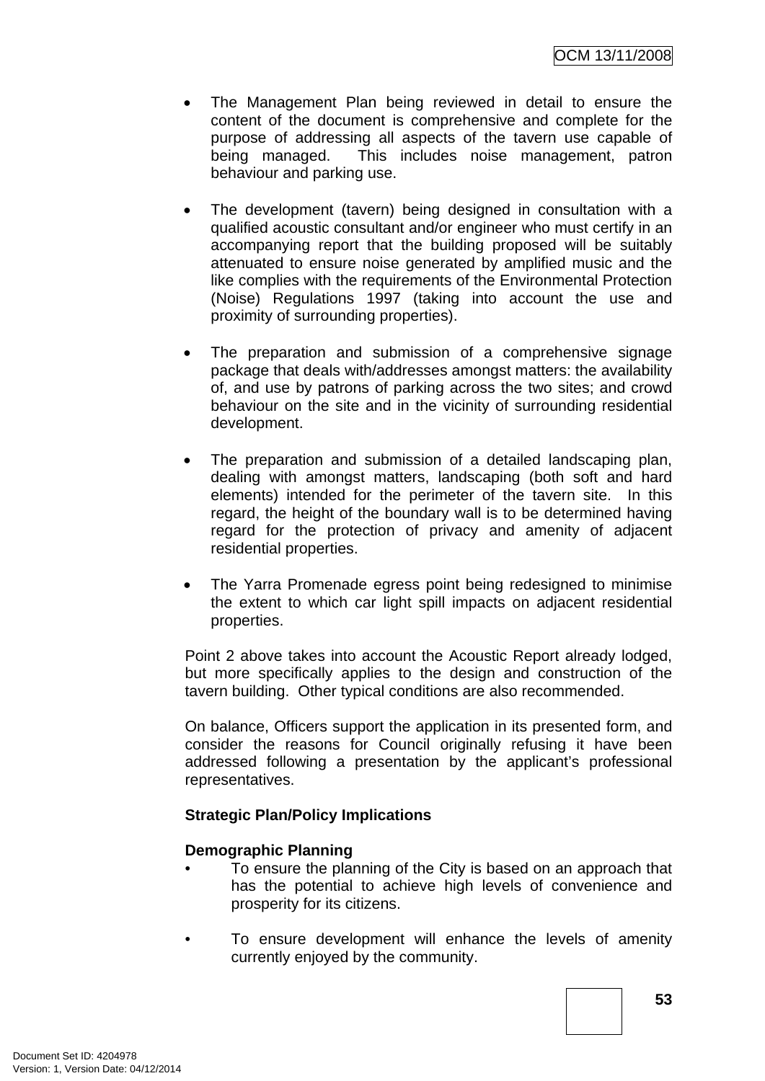- The Management Plan being reviewed in detail to ensure the content of the document is comprehensive and complete for the purpose of addressing all aspects of the tavern use capable of being managed. This includes noise management, patron behaviour and parking use.
- The development (tavern) being designed in consultation with a qualified acoustic consultant and/or engineer who must certify in an accompanying report that the building proposed will be suitably attenuated to ensure noise generated by amplified music and the like complies with the requirements of the Environmental Protection (Noise) Regulations 1997 (taking into account the use and proximity of surrounding properties).
- The preparation and submission of a comprehensive signage package that deals with/addresses amongst matters: the availability of, and use by patrons of parking across the two sites; and crowd behaviour on the site and in the vicinity of surrounding residential development.
- The preparation and submission of a detailed landscaping plan, dealing with amongst matters, landscaping (both soft and hard elements) intended for the perimeter of the tavern site. In this regard, the height of the boundary wall is to be determined having regard for the protection of privacy and amenity of adjacent residential properties.
- The Yarra Promenade egress point being redesigned to minimise the extent to which car light spill impacts on adjacent residential properties.

Point 2 above takes into account the Acoustic Report already lodged, but more specifically applies to the design and construction of the tavern building. Other typical conditions are also recommended.

On balance, Officers support the application in its presented form, and consider the reasons for Council originally refusing it have been addressed following a presentation by the applicant's professional representatives.

# **Strategic Plan/Policy Implications**

#### **Demographic Planning**

- To ensure the planning of the City is based on an approach that has the potential to achieve high levels of convenience and prosperity for its citizens.
- To ensure development will enhance the levels of amenity currently enjoyed by the community.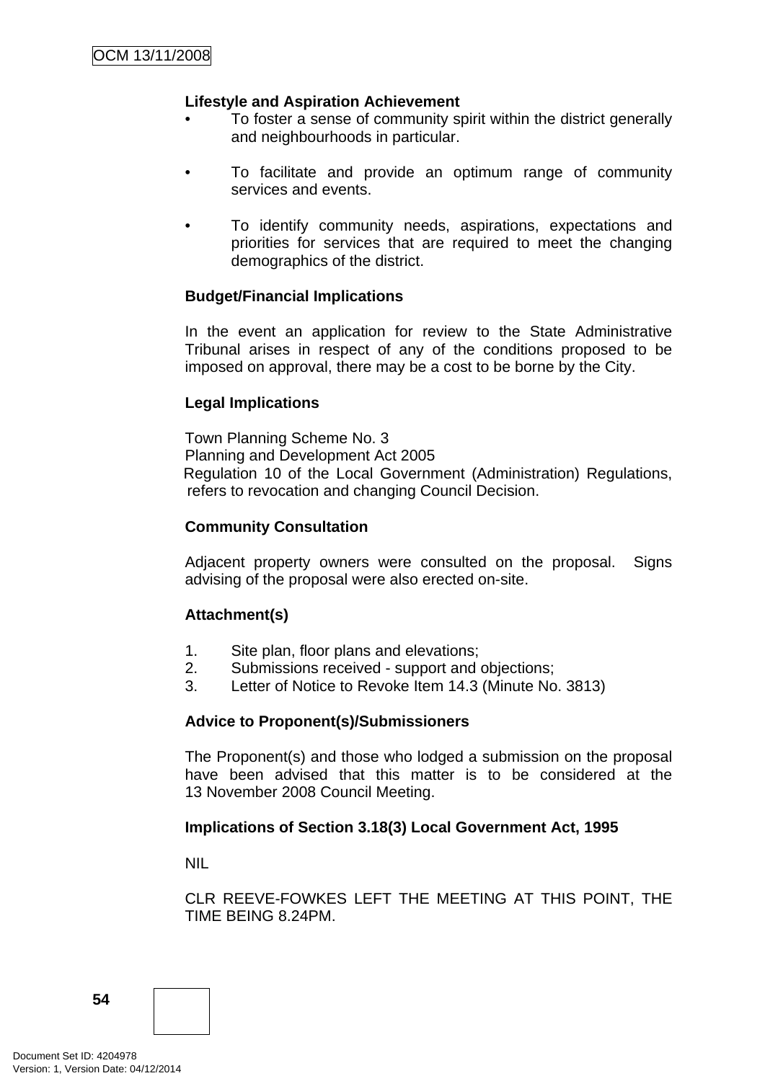## **Lifestyle and Aspiration Achievement**

- To foster a sense of community spirit within the district generally and neighbourhoods in particular.
- To facilitate and provide an optimum range of community services and events.
- To identify community needs, aspirations, expectations and priorities for services that are required to meet the changing demographics of the district.

#### **Budget/Financial Implications**

In the event an application for review to the State Administrative Tribunal arises in respect of any of the conditions proposed to be imposed on approval, there may be a cost to be borne by the City.

## **Legal Implications**

Town Planning Scheme No. 3 Planning and Development Act 2005 Regulation 10 of the Local Government (Administration) Regulations, refers to revocation and changing Council Decision.

## **Community Consultation**

Adjacent property owners were consulted on the proposal. Signs advising of the proposal were also erected on-site.

#### **Attachment(s)**

- 1. Site plan, floor plans and elevations;
- 2. Submissions received support and objections;
- 3. Letter of Notice to Revoke Item 14.3 (Minute No. 3813)

#### **Advice to Proponent(s)/Submissioners**

The Proponent(s) and those who lodged a submission on the proposal have been advised that this matter is to be considered at the 13 November 2008 Council Meeting.

#### **Implications of Section 3.18(3) Local Government Act, 1995**

NIL

CLR REEVE-FOWKES LEFT THE MEETING AT THIS POINT, THE TIME BEING 8.24PM.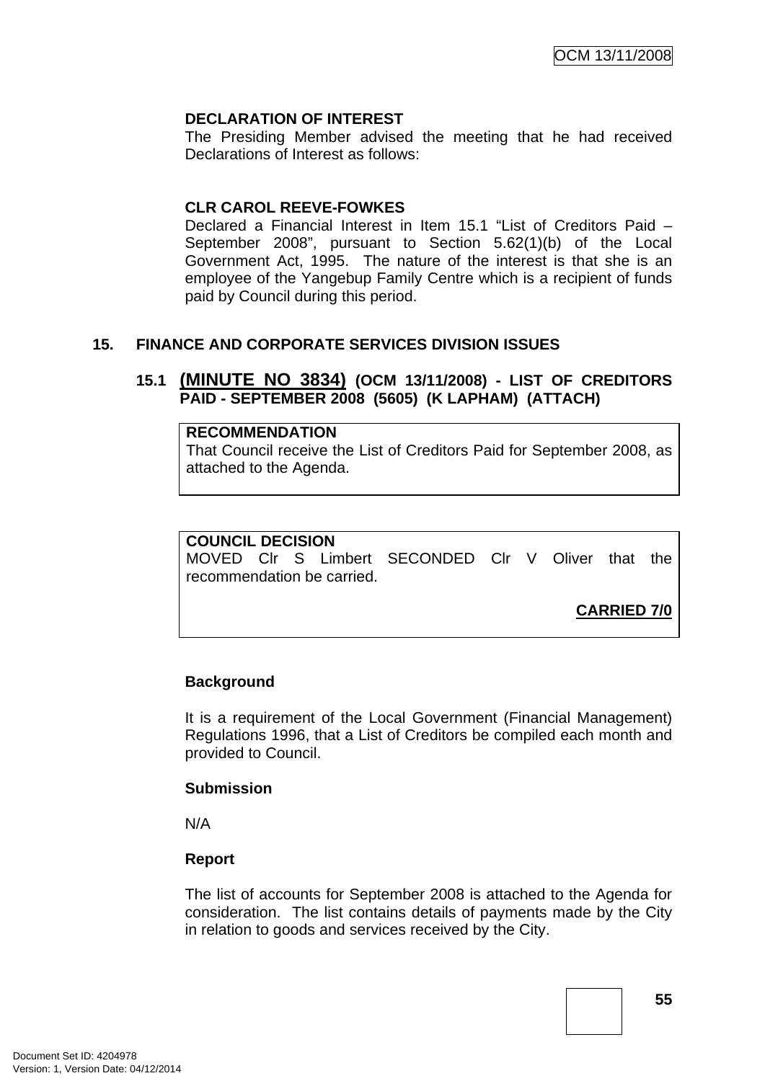#### **DECLARATION OF INTEREST**

The Presiding Member advised the meeting that he had received Declarations of Interest as follows:

#### **CLR CAROL REEVE-FOWKES**

Declared a Financial Interest in Item 15.1 "List of Creditors Paid – September 2008", pursuant to Section 5.62(1)(b) of the Local Government Act, 1995. The nature of the interest is that she is an employee of the Yangebup Family Centre which is a recipient of funds paid by Council during this period.

#### **15. FINANCE AND CORPORATE SERVICES DIVISION ISSUES**

#### **15.1 (MINUTE NO 3834) (OCM 13/11/2008) - LIST OF CREDITORS PAID - SEPTEMBER 2008 (5605) (K LAPHAM) (ATTACH)**

#### **RECOMMENDATION**

That Council receive the List of Creditors Paid for September 2008, as attached to the Agenda.

#### **COUNCIL DECISION**

MOVED Clr S Limbert SECONDED Clr V Oliver that the recommendation be carried.

**CARRIED 7/0**

#### **Background**

It is a requirement of the Local Government (Financial Management) Regulations 1996, that a List of Creditors be compiled each month and provided to Council.

#### **Submission**

N/A

#### **Report**

The list of accounts for September 2008 is attached to the Agenda for consideration. The list contains details of payments made by the City in relation to goods and services received by the City.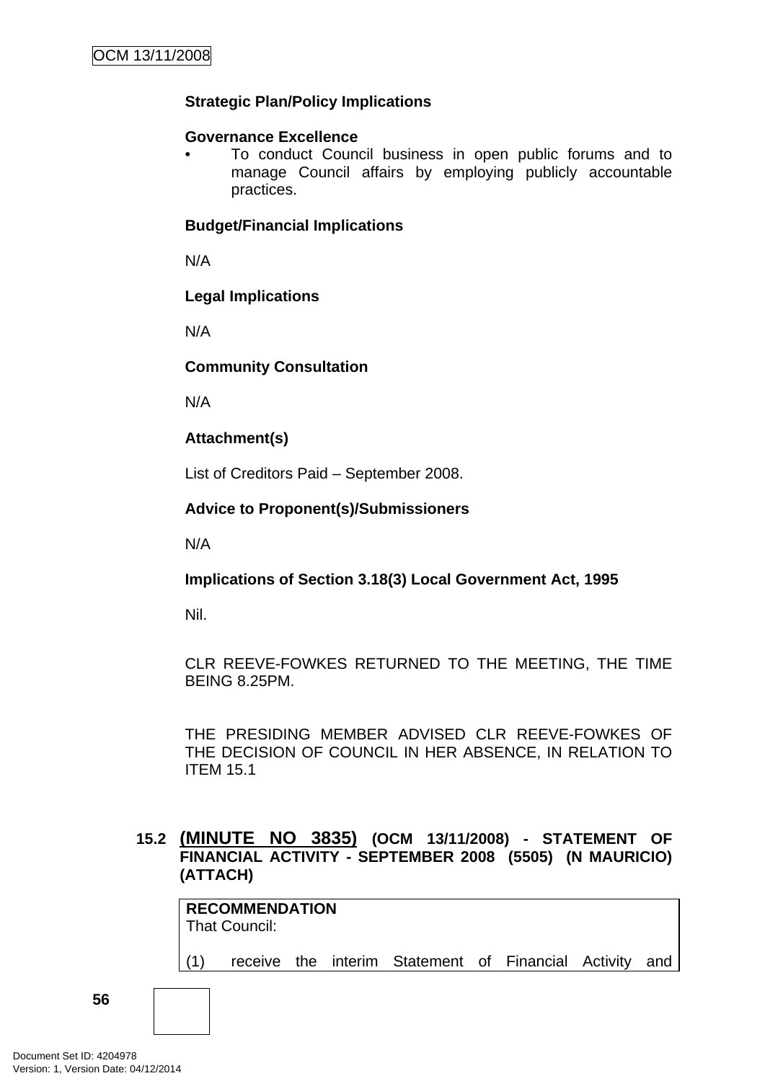## **Strategic Plan/Policy Implications**

#### **Governance Excellence**

• To conduct Council business in open public forums and to manage Council affairs by employing publicly accountable practices.

#### **Budget/Financial Implications**

N/A

#### **Legal Implications**

N/A

#### **Community Consultation**

N/A

#### **Attachment(s)**

List of Creditors Paid – September 2008.

#### **Advice to Proponent(s)/Submissioners**

N/A

#### **Implications of Section 3.18(3) Local Government Act, 1995**

Nil.

CLR REEVE-FOWKES RETURNED TO THE MEETING, THE TIME BEING 8.25PM.

THE PRESIDING MEMBER ADVISED CLR REEVE-FOWKES OF THE DECISION OF COUNCIL IN HER ABSENCE, IN RELATION TO ITEM 15.1

## **15.2 (MINUTE NO 3835) (OCM 13/11/2008) - STATEMENT OF FINANCIAL ACTIVITY - SEPTEMBER 2008 (5505) (N MAURICIO) (ATTACH)**

|     | <b>RECOMMENDATION</b><br>  That Council: |  |                                                         |  |  |
|-----|------------------------------------------|--|---------------------------------------------------------|--|--|
| (1) |                                          |  | receive the interim Statement of Financial Activity and |  |  |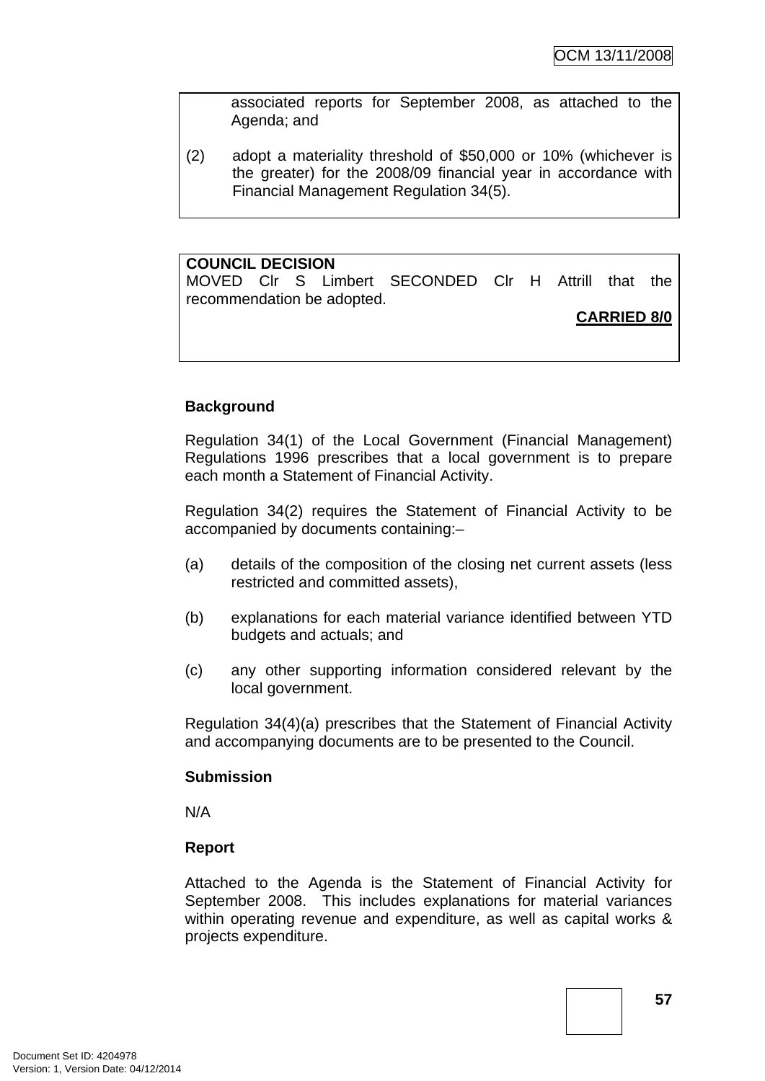associated reports for September 2008, as attached to the Agenda; and

(2) adopt a materiality threshold of \$50,000 or 10% (whichever is the greater) for the 2008/09 financial year in accordance with Financial Management Regulation 34(5).

## **COUNCIL DECISION**

MOVED Clr S Limbert SECONDED Clr H Attrill that the recommendation be adopted.

**CARRIED 8/0**

## **Background**

Regulation 34(1) of the Local Government (Financial Management) Regulations 1996 prescribes that a local government is to prepare each month a Statement of Financial Activity.

Regulation 34(2) requires the Statement of Financial Activity to be accompanied by documents containing:–

- (a) details of the composition of the closing net current assets (less restricted and committed assets),
- (b) explanations for each material variance identified between YTD budgets and actuals; and
- (c) any other supporting information considered relevant by the local government.

Regulation 34(4)(a) prescribes that the Statement of Financial Activity and accompanying documents are to be presented to the Council.

#### **Submission**

N/A

#### **Report**

Attached to the Agenda is the Statement of Financial Activity for September 2008. This includes explanations for material variances within operating revenue and expenditure, as well as capital works & projects expenditure.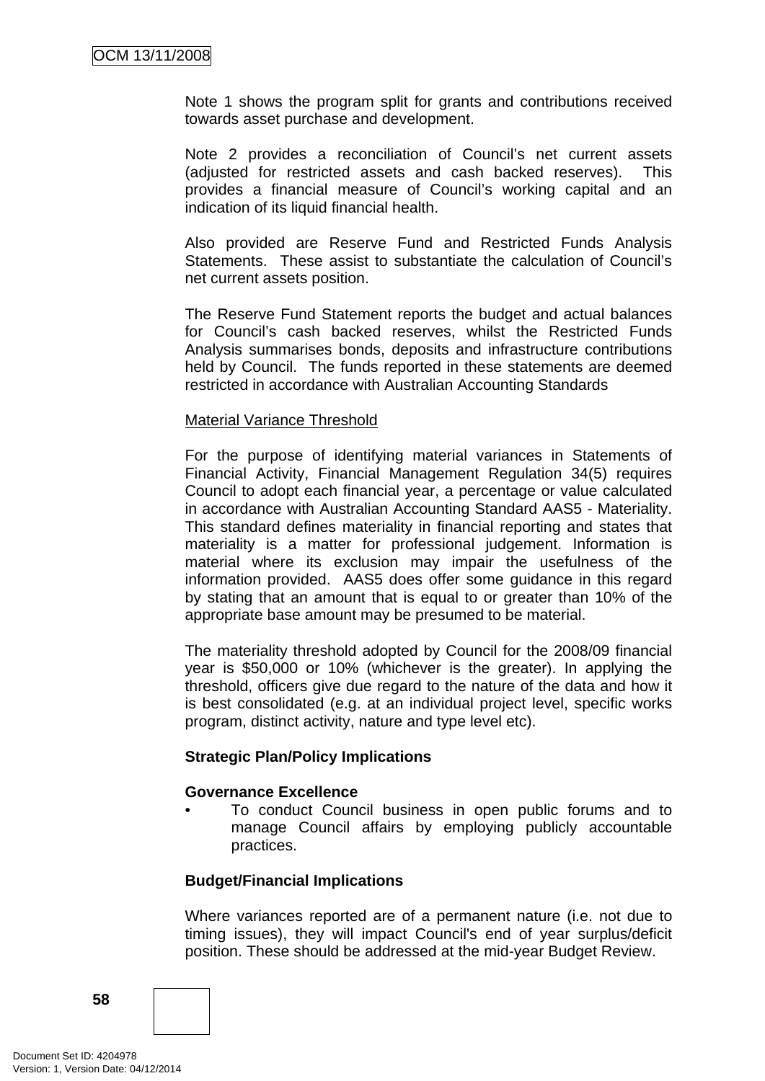Note 1 shows the program split for grants and contributions received towards asset purchase and development.

Note 2 provides a reconciliation of Council's net current assets (adjusted for restricted assets and cash backed reserves). This provides a financial measure of Council's working capital and an indication of its liquid financial health.

Also provided are Reserve Fund and Restricted Funds Analysis Statements. These assist to substantiate the calculation of Council's net current assets position.

The Reserve Fund Statement reports the budget and actual balances for Council's cash backed reserves, whilst the Restricted Funds Analysis summarises bonds, deposits and infrastructure contributions held by Council. The funds reported in these statements are deemed restricted in accordance with Australian Accounting Standards

#### Material Variance Threshold

For the purpose of identifying material variances in Statements of Financial Activity, Financial Management Regulation 34(5) requires Council to adopt each financial year, a percentage or value calculated in accordance with Australian Accounting Standard AAS5 - Materiality. This standard defines materiality in financial reporting and states that materiality is a matter for professional judgement. Information is material where its exclusion may impair the usefulness of the information provided. AAS5 does offer some guidance in this regard by stating that an amount that is equal to or greater than 10% of the appropriate base amount may be presumed to be material.

The materiality threshold adopted by Council for the 2008/09 financial year is \$50,000 or 10% (whichever is the greater). In applying the threshold, officers give due regard to the nature of the data and how it is best consolidated (e.g. at an individual project level, specific works program, distinct activity, nature and type level etc).

#### **Strategic Plan/Policy Implications**

#### **Governance Excellence**

• To conduct Council business in open public forums and to manage Council affairs by employing publicly accountable practices.

#### **Budget/Financial Implications**

Where variances reported are of a permanent nature (i.e. not due to timing issues), they will impact Council's end of year surplus/deficit position. These should be addressed at the mid-year Budget Review.

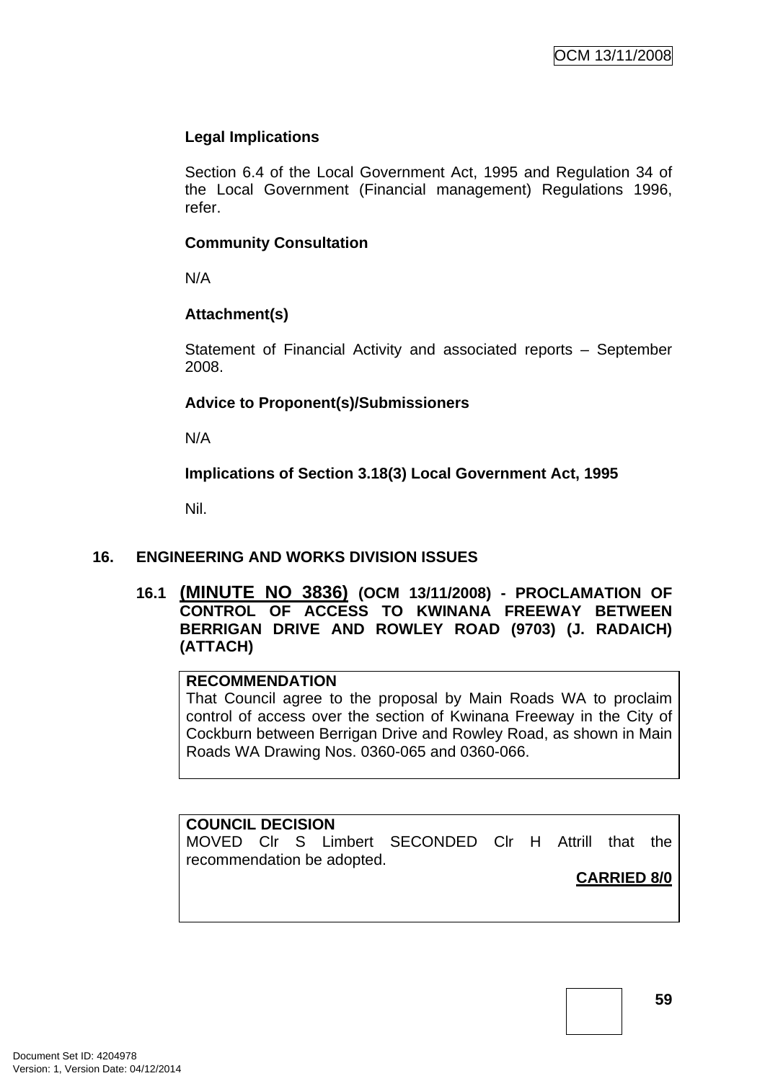## **Legal Implications**

Section 6.4 of the Local Government Act, 1995 and Regulation 34 of the Local Government (Financial management) Regulations 1996, refer.

## **Community Consultation**

N/A

# **Attachment(s)**

Statement of Financial Activity and associated reports – September 2008.

# **Advice to Proponent(s)/Submissioners**

N/A

**Implications of Section 3.18(3) Local Government Act, 1995**

Nil.

# **16. ENGINEERING AND WORKS DIVISION ISSUES**

**16.1 (MINUTE NO 3836) (OCM 13/11/2008) - PROCLAMATION OF CONTROL OF ACCESS TO KWINANA FREEWAY BETWEEN BERRIGAN DRIVE AND ROWLEY ROAD (9703) (J. RADAICH) (ATTACH)** 

#### **RECOMMENDATION**

That Council agree to the proposal by Main Roads WA to proclaim control of access over the section of Kwinana Freeway in the City of Cockburn between Berrigan Drive and Rowley Road, as shown in Main Roads WA Drawing Nos. 0360-065 and 0360-066.

#### **COUNCIL DECISION**

MOVED Clr S Limbert SECONDED Clr H Attrill that the recommendation be adopted.

**CARRIED 8/0**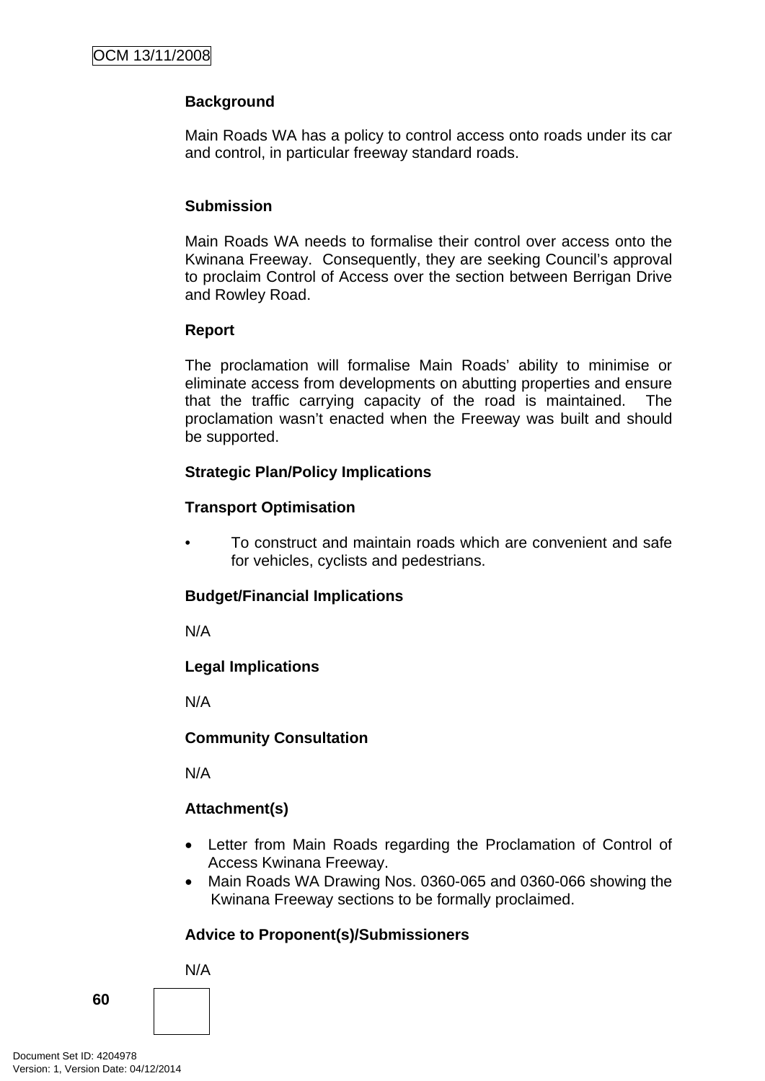# **Background**

Main Roads WA has a policy to control access onto roads under its car and control, in particular freeway standard roads.

## **Submission**

Main Roads WA needs to formalise their control over access onto the Kwinana Freeway. Consequently, they are seeking Council's approval to proclaim Control of Access over the section between Berrigan Drive and Rowley Road.

## **Report**

The proclamation will formalise Main Roads' ability to minimise or eliminate access from developments on abutting properties and ensure that the traffic carrying capacity of the road is maintained. The proclamation wasn't enacted when the Freeway was built and should be supported.

# **Strategic Plan/Policy Implications**

## **Transport Optimisation**

• To construct and maintain roads which are convenient and safe for vehicles, cyclists and pedestrians.

# **Budget/Financial Implications**

N/A

# **Legal Implications**

N/A

# **Community Consultation**

N/A

# **Attachment(s)**

- Letter from Main Roads regarding the Proclamation of Control of Access Kwinana Freeway.
- Main Roads WA Drawing Nos. 0360-065 and 0360-066 showing the Kwinana Freeway sections to be formally proclaimed.

# **Advice to Proponent(s)/Submissioners**

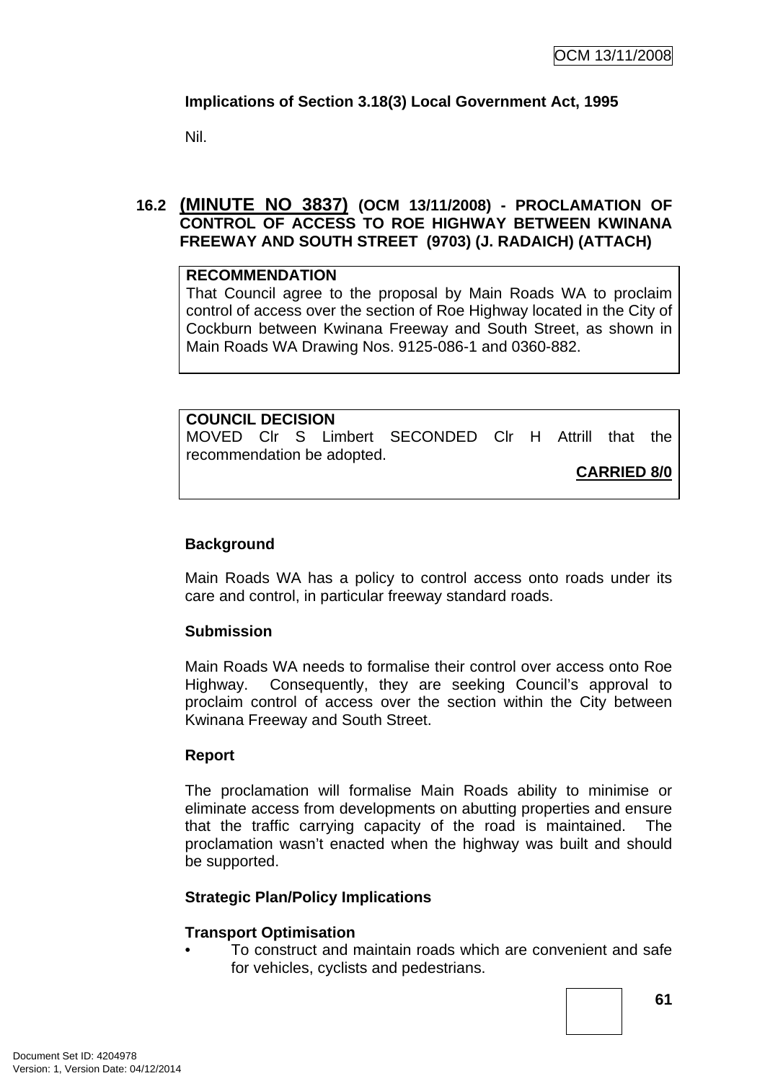## **Implications of Section 3.18(3) Local Government Act, 1995**

Nil.

## **16.2 (MINUTE NO 3837) (OCM 13/11/2008) - PROCLAMATION OF CONTROL OF ACCESS TO ROE HIGHWAY BETWEEN KWINANA FREEWAY AND SOUTH STREET (9703) (J. RADAICH) (ATTACH)**

## **RECOMMENDATION**

That Council agree to the proposal by Main Roads WA to proclaim control of access over the section of Roe Highway located in the City of Cockburn between Kwinana Freeway and South Street, as shown in Main Roads WA Drawing Nos. 9125-086-1 and 0360-882.

#### **COUNCIL DECISION**

MOVED Clr S Limbert SECONDED Clr H Attrill that the recommendation be adopted.

**CARRIED 8/0**

# **Background**

Main Roads WA has a policy to control access onto roads under its care and control, in particular freeway standard roads.

#### **Submission**

Main Roads WA needs to formalise their control over access onto Roe Highway. Consequently, they are seeking Council's approval to proclaim control of access over the section within the City between Kwinana Freeway and South Street.

#### **Report**

The proclamation will formalise Main Roads ability to minimise or eliminate access from developments on abutting properties and ensure that the traffic carrying capacity of the road is maintained. The proclamation wasn't enacted when the highway was built and should be supported.

#### **Strategic Plan/Policy Implications**

#### **Transport Optimisation**

• To construct and maintain roads which are convenient and safe for vehicles, cyclists and pedestrians.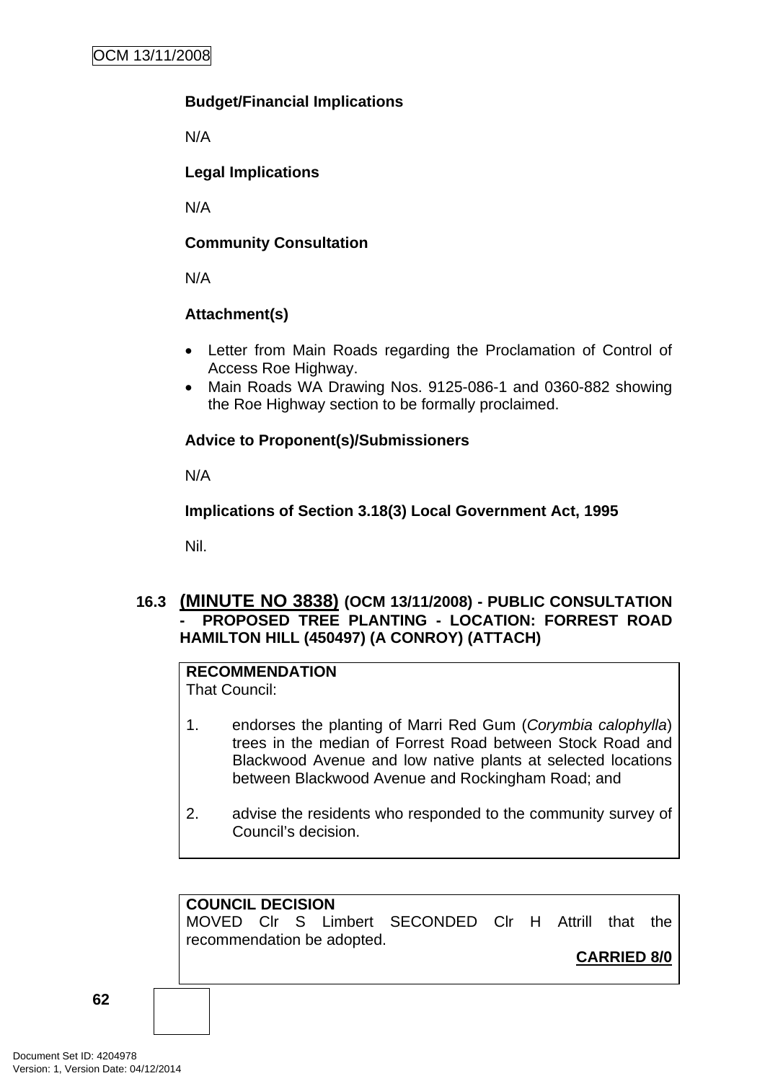# **Budget/Financial Implications**

N/A

## **Legal Implications**

N/A

## **Community Consultation**

N/A

## **Attachment(s)**

- Letter from Main Roads regarding the Proclamation of Control of Access Roe Highway.
- Main Roads WA Drawing Nos. 9125-086-1 and 0360-882 showing the Roe Highway section to be formally proclaimed.

# **Advice to Proponent(s)/Submissioners**

N/A

**Implications of Section 3.18(3) Local Government Act, 1995**

Nil.

## **16.3 (MINUTE NO 3838) (OCM 13/11/2008) - PUBLIC CONSULTATION**  PROPOSED TREE PLANTING - LOCATION: FORREST ROAD **HAMILTON HILL (450497) (A CONROY) (ATTACH)**

# **RECOMMENDATION**

That Council:

- 1. endorses the planting of Marri Red Gum (*Corymbia calophylla*) trees in the median of Forrest Road between Stock Road and Blackwood Avenue and low native plants at selected locations between Blackwood Avenue and Rockingham Road; and
- 2. advise the residents who responded to the community survey of Council's decision.

| <b>COUNCIL DECISION</b>    |  |                                                     |  |                    |  |
|----------------------------|--|-----------------------------------------------------|--|--------------------|--|
|                            |  | MOVED CIr S Limbert SECONDED CIr H Attrill that the |  |                    |  |
| recommendation be adopted. |  |                                                     |  | <b>CARRIED 8/0</b> |  |
|                            |  |                                                     |  |                    |  |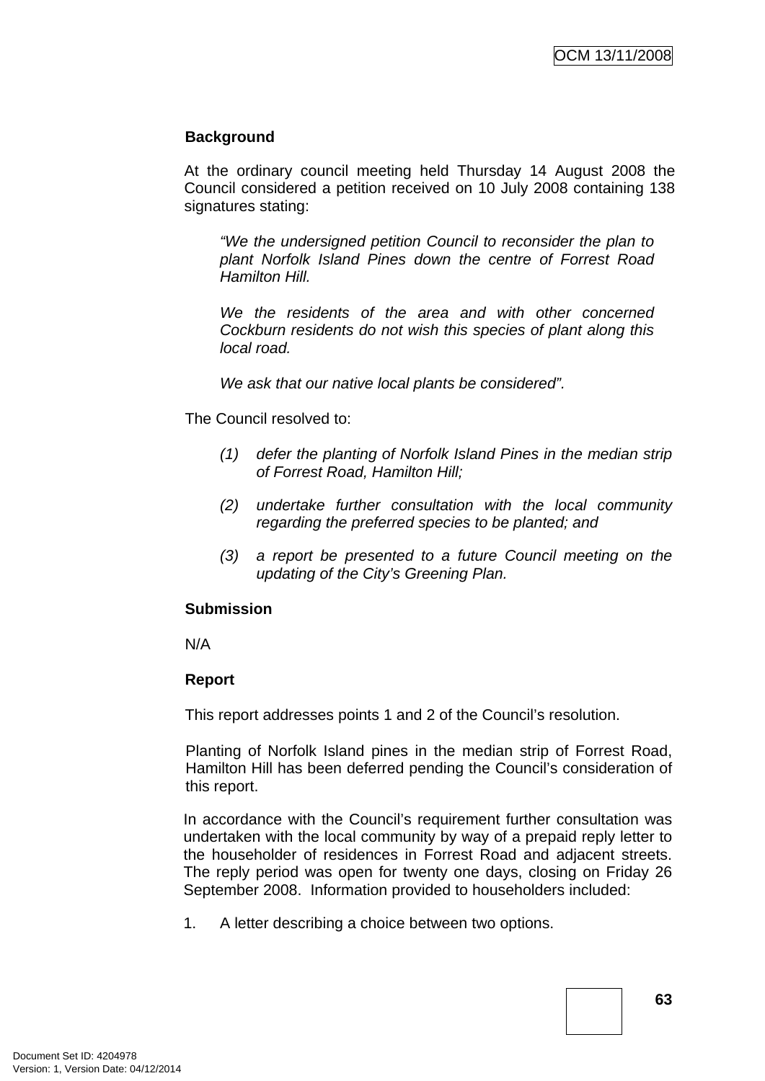#### **Background**

At the ordinary council meeting held Thursday 14 August 2008 the Council considered a petition received on 10 July 2008 containing 138 signatures stating:

*"We the undersigned petition Council to reconsider the plan to plant Norfolk Island Pines down the centre of Forrest Road Hamilton Hill.* 

*We the residents of the area and with other concerned Cockburn residents do not wish this species of plant along this local road.* 

*We ask that our native local plants be considered".* 

The Council resolved to:

- *(1) defer the planting of Norfolk Island Pines in the median strip of Forrest Road, Hamilton Hill;*
- *(2) undertake further consultation with the local community regarding the preferred species to be planted; and*
- *(3) a report be presented to a future Council meeting on the updating of the City's Greening Plan.*

#### **Submission**

N/A

#### **Report**

This report addresses points 1 and 2 of the Council's resolution.

Planting of Norfolk Island pines in the median strip of Forrest Road, Hamilton Hill has been deferred pending the Council's consideration of this report.

In accordance with the Council's requirement further consultation was undertaken with the local community by way of a prepaid reply letter to the householder of residences in Forrest Road and adjacent streets. The reply period was open for twenty one days, closing on Friday 26 September 2008. Information provided to householders included:

1. A letter describing a choice between two options.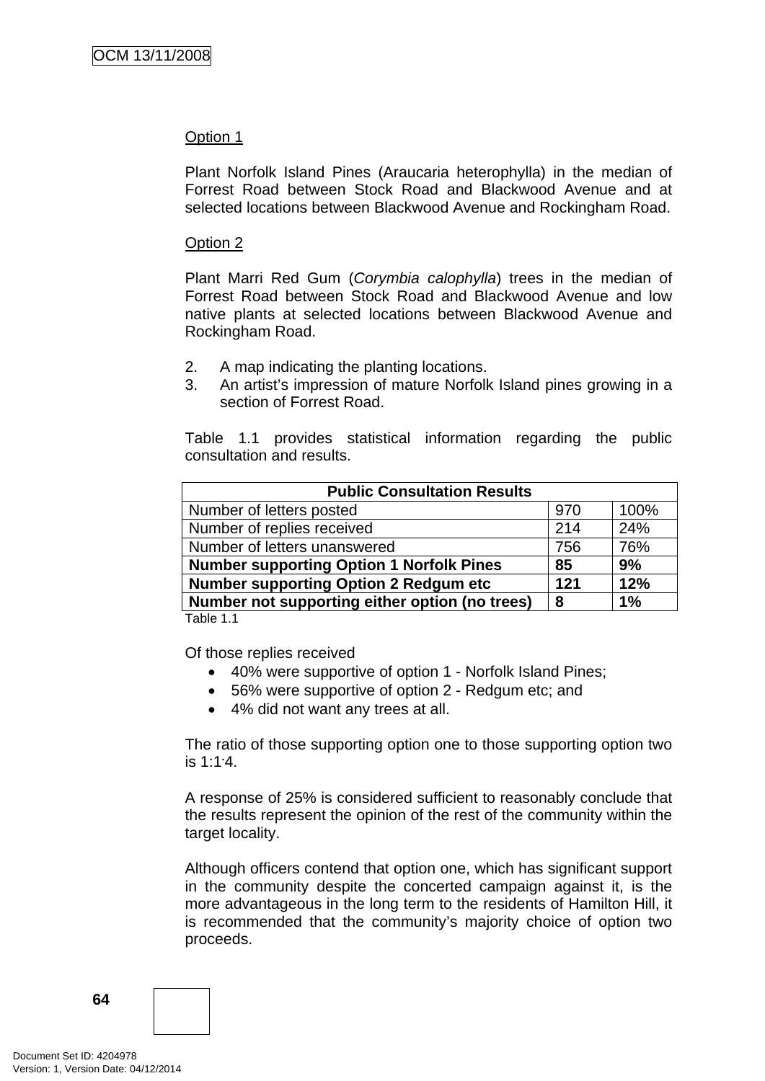#### Option 1

Plant Norfolk Island Pines (Araucaria heterophylla) in the median of Forrest Road between Stock Road and Blackwood Avenue and at selected locations between Blackwood Avenue and Rockingham Road.

#### Option 2

Plant Marri Red Gum (*Corymbia calophylla*) trees in the median of Forrest Road between Stock Road and Blackwood Avenue and low native plants at selected locations between Blackwood Avenue and Rockingham Road.

- 2. A map indicating the planting locations.
- 3. An artist's impression of mature Norfolk Island pines growing in a section of Forrest Road.

Table 1.1 provides statistical information regarding the public consultation and results.

| <b>Public Consultation Results</b>                          |     |      |  |  |  |
|-------------------------------------------------------------|-----|------|--|--|--|
| Number of letters posted                                    | 970 | 100% |  |  |  |
| Number of replies received                                  | 214 | 24%  |  |  |  |
| Number of letters unanswered                                | 756 | 76%  |  |  |  |
| 9%<br><b>Number supporting Option 1 Norfolk Pines</b><br>85 |     |      |  |  |  |
| <b>Number supporting Option 2 Redgum etc</b>                | 121 | 12%  |  |  |  |
| Number not supporting either option (no trees)              | 8   | 1%   |  |  |  |
| Tahla 1 1                                                   |     |      |  |  |  |

Table 1.1

Of those replies received

- 40% were supportive of option 1 Norfolk Island Pines;
- 56% were supportive of option 2 Redgum etc; and
- 4% did not want any trees at all.

The ratio of those supporting option one to those supporting option two is 1:1**.** 4.

A response of 25% is considered sufficient to reasonably conclude that the results represent the opinion of the rest of the community within the target locality.

Although officers contend that option one, which has significant support in the community despite the concerted campaign against it, is the more advantageous in the long term to the residents of Hamilton Hill, it is recommended that the community's majority choice of option two proceeds.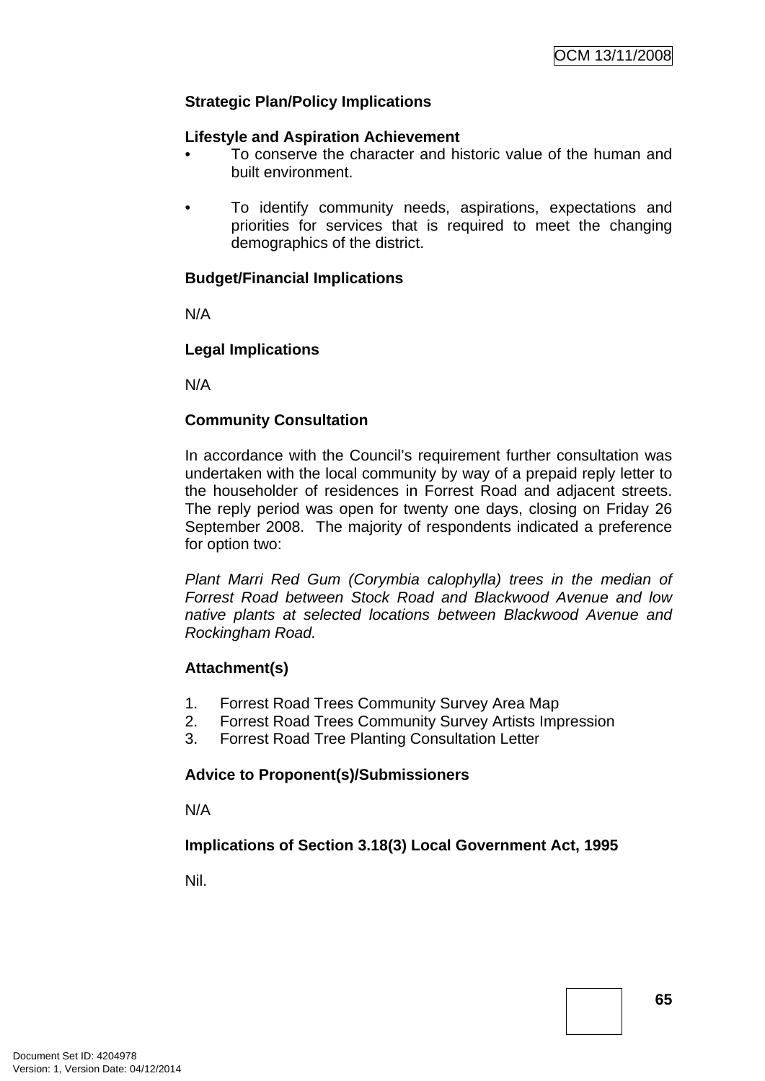# **Strategic Plan/Policy Implications**

## **Lifestyle and Aspiration Achievement**

- To conserve the character and historic value of the human and built environment.
- To identify community needs, aspirations, expectations and priorities for services that is required to meet the changing demographics of the district.

## **Budget/Financial Implications**

N/A

# **Legal Implications**

N/A

# **Community Consultation**

In accordance with the Council's requirement further consultation was undertaken with the local community by way of a prepaid reply letter to the householder of residences in Forrest Road and adjacent streets. The reply period was open for twenty one days, closing on Friday 26 September 2008. The majority of respondents indicated a preference for option two:

*Plant Marri Red Gum (Corymbia calophylla) trees in the median of Forrest Road between Stock Road and Blackwood Avenue and low native plants at selected locations between Blackwood Avenue and Rockingham Road.* 

# **Attachment(s)**

- 1. Forrest Road Trees Community Survey Area Map
- 2. Forrest Road Trees Community Survey Artists Impression
- 3. Forrest Road Tree Planting Consultation Letter

# **Advice to Proponent(s)/Submissioners**

N/A

# **Implications of Section 3.18(3) Local Government Act, 1995**

Nil.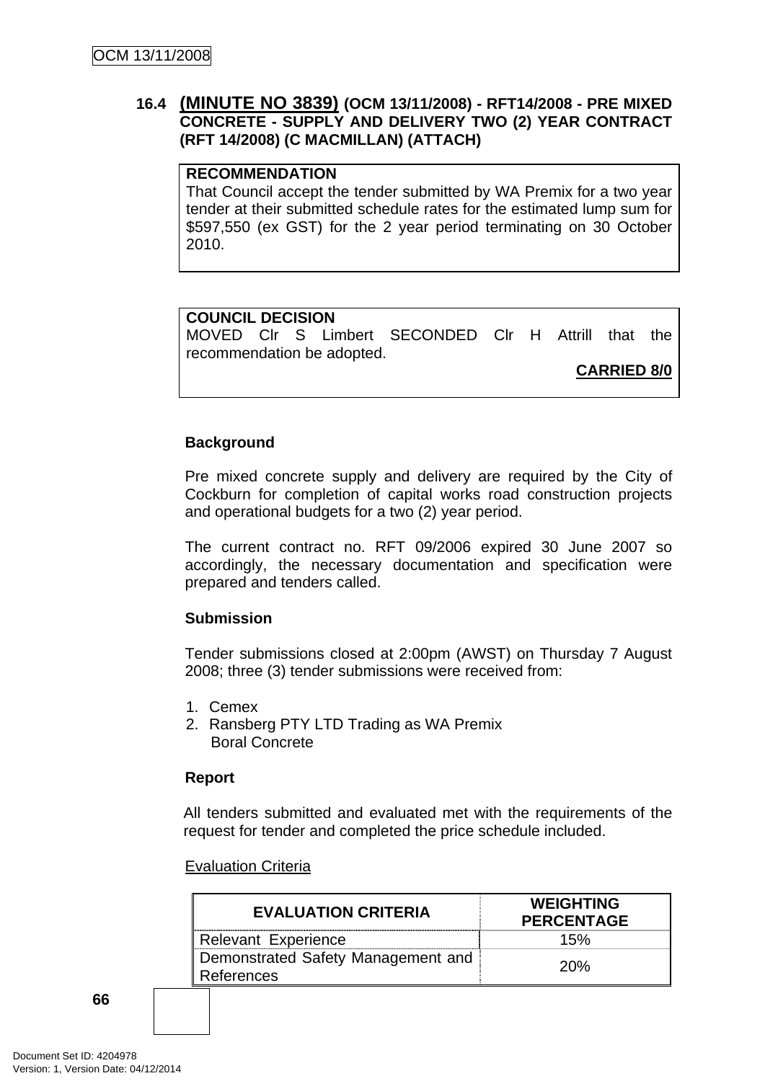# **16.4 (MINUTE NO 3839) (OCM 13/11/2008) - RFT14/2008 - PRE MIXED CONCRETE - SUPPLY AND DELIVERY TWO (2) YEAR CONTRACT (RFT 14/2008) (C MACMILLAN) (ATTACH)**

# **RECOMMENDATION**

That Council accept the tender submitted by WA Premix for a two year tender at their submitted schedule rates for the estimated lump sum for \$597,550 (ex GST) for the 2 year period terminating on 30 October 2010.

# **COUNCIL DECISION**

MOVED Clr S Limbert SECONDED Clr H Attrill that the recommendation be adopted.

**CARRIED 8/0**

# **Background**

Pre mixed concrete supply and delivery are required by the City of Cockburn for completion of capital works road construction projects and operational budgets for a two (2) year period.

The current contract no. RFT 09/2006 expired 30 June 2007 so accordingly, the necessary documentation and specification were prepared and tenders called.

# **Submission**

Tender submissions closed at 2:00pm (AWST) on Thursday 7 August 2008; three (3) tender submissions were received from:

- 1. Cemex
- 2. Ransberg PTY LTD Trading as WA Premix Boral Concrete

#### **Report**

All tenders submitted and evaluated met with the requirements of the request for tender and completed the price schedule included.

Evaluation Criteria

| <b>EVALUATION CRITERIA</b>                       | <b>WEIGHTING</b><br><b>PERCENTAGE</b> |  |  |
|--------------------------------------------------|---------------------------------------|--|--|
| <b>Relevant Experience</b>                       | 15%                                   |  |  |
| Demonstrated Safety Management and<br>References | <b>20%</b>                            |  |  |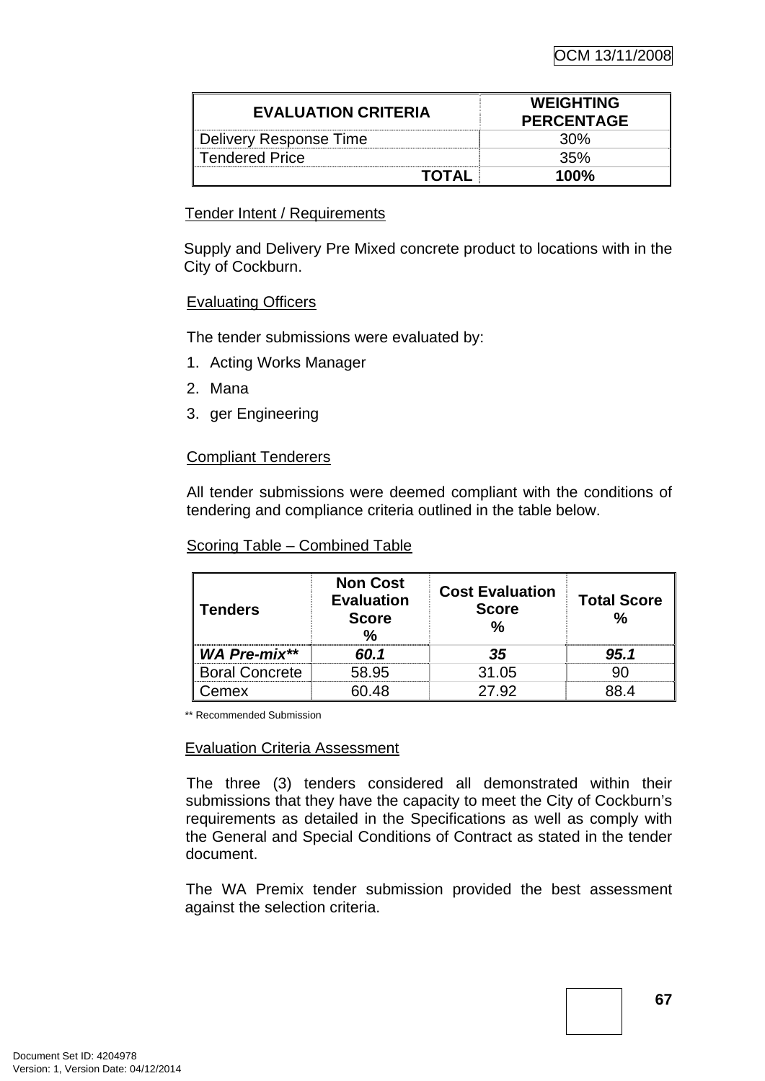| <b>EVALUATION CRITERIA</b> | <b>WEIGHTING</b><br><b>PERCENTAGE</b> |  |  |
|----------------------------|---------------------------------------|--|--|
| Delivery Response Time     | 30%                                   |  |  |
| Tendered Price             | 35%                                   |  |  |
| ΤΟΤΑΙ                      | 100%                                  |  |  |

#### Tender Intent / Requirements

Supply and Delivery Pre Mixed concrete product to locations with in the City of Cockburn.

## Evaluating Officers

The tender submissions were evaluated by:

- 1. Acting Works Manager
- 2. Mana
- 3. ger Engineering

## Compliant Tenderers

All tender submissions were deemed compliant with the conditions of tendering and compliance criteria outlined in the table below.

#### Scoring Table – Combined Table

| Tenders               | <b>Non Cost</b><br><b>Evaluation</b><br><b>Score</b> | <b>Cost Evaluation</b><br><b>Score</b><br>$\frac{0}{0}$ | <b>Total Score</b><br>$\frac{0}{0}$ |  |
|-----------------------|------------------------------------------------------|---------------------------------------------------------|-------------------------------------|--|
| <b>WA Pre-mix**</b>   | 60 1                                                 | -35                                                     | 95.1                                |  |
| <b>Boral Concrete</b> | 58.95                                                | 31.05                                                   |                                     |  |
| Cemex                 | 60.48                                                | 27.92                                                   |                                     |  |

\*\* Recommended Submission

#### Evaluation Criteria Assessment

The three (3) tenders considered all demonstrated within their submissions that they have the capacity to meet the City of Cockburn's requirements as detailed in the Specifications as well as comply with the General and Special Conditions of Contract as stated in the tender document.

The WA Premix tender submission provided the best assessment against the selection criteria.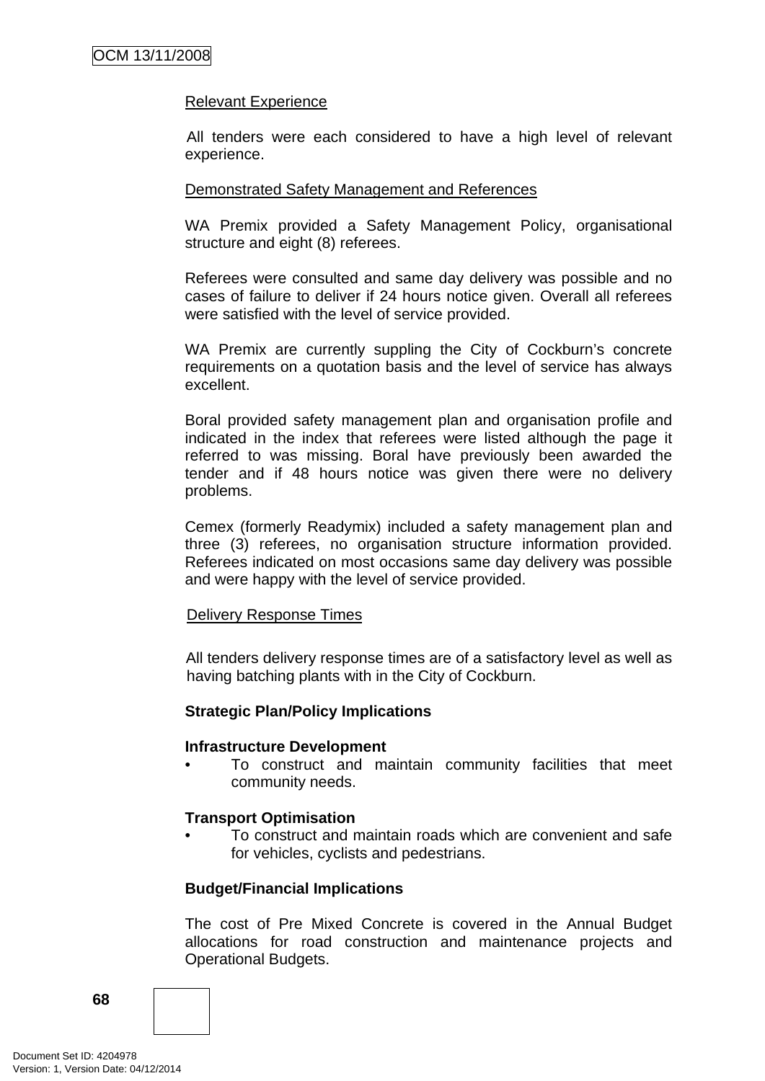#### Relevant Experience

All tenders were each considered to have a high level of relevant experience.

#### Demonstrated Safety Management and References

WA Premix provided a Safety Management Policy, organisational structure and eight (8) referees.

Referees were consulted and same day delivery was possible and no cases of failure to deliver if 24 hours notice given. Overall all referees were satisfied with the level of service provided.

WA Premix are currently suppling the City of Cockburn's concrete requirements on a quotation basis and the level of service has always excellent.

Boral provided safety management plan and organisation profile and indicated in the index that referees were listed although the page it referred to was missing. Boral have previously been awarded the tender and if 48 hours notice was given there were no delivery problems.

Cemex (formerly Readymix) included a safety management plan and three (3) referees, no organisation structure information provided. Referees indicated on most occasions same day delivery was possible and were happy with the level of service provided.

#### Delivery Response Times

All tenders delivery response times are of a satisfactory level as well as having batching plants with in the City of Cockburn.

#### **Strategic Plan/Policy Implications**

#### **Infrastructure Development**

• To construct and maintain community facilities that meet community needs.

#### **Transport Optimisation**

• To construct and maintain roads which are convenient and safe for vehicles, cyclists and pedestrians.

#### **Budget/Financial Implications**

The cost of Pre Mixed Concrete is covered in the Annual Budget allocations for road construction and maintenance projects and Operational Budgets.

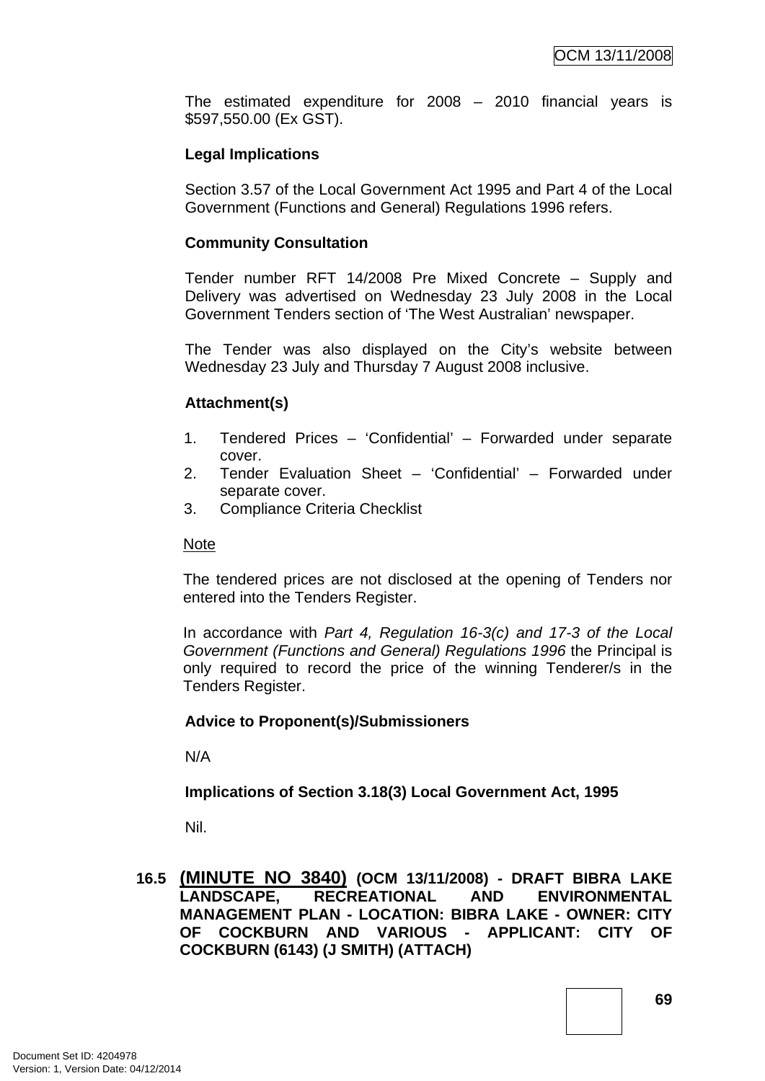The estimated expenditure for 2008 – 2010 financial years is \$597,550.00 (Ex GST).

## **Legal Implications**

Section 3.57 of the Local Government Act 1995 and Part 4 of the Local Government (Functions and General) Regulations 1996 refers.

### **Community Consultation**

Tender number RFT 14/2008 Pre Mixed Concrete – Supply and Delivery was advertised on Wednesday 23 July 2008 in the Local Government Tenders section of 'The West Australian' newspaper.

The Tender was also displayed on the City's website between Wednesday 23 July and Thursday 7 August 2008 inclusive.

## **Attachment(s)**

- 1. Tendered Prices 'Confidential' Forwarded under separate cover.
- 2. Tender Evaluation Sheet 'Confidential' Forwarded under separate cover.
- 3. Compliance Criteria Checklist

### **Note**

The tendered prices are not disclosed at the opening of Tenders nor entered into the Tenders Register.

In accordance with *Part 4, Regulation 16-3(c) and 17-3 of the Local Government (Functions and General) Regulations 1996* the Principal is only required to record the price of the winning Tenderer/s in the Tenders Register.

### **Advice to Proponent(s)/Submissioners**

N/A

**Implications of Section 3.18(3) Local Government Act, 1995**

Nil.

**16.5 (MINUTE NO 3840) (OCM 13/11/2008) - DRAFT BIBRA LAKE LANDSCAPE, RECREATIONAL AND ENVIRONMENTAL MANAGEMENT PLAN - LOCATION: BIBRA LAKE - OWNER: CITY OF COCKBURN AND VARIOUS - APPLICANT: CITY OF COCKBURN (6143) (J SMITH) (ATTACH)**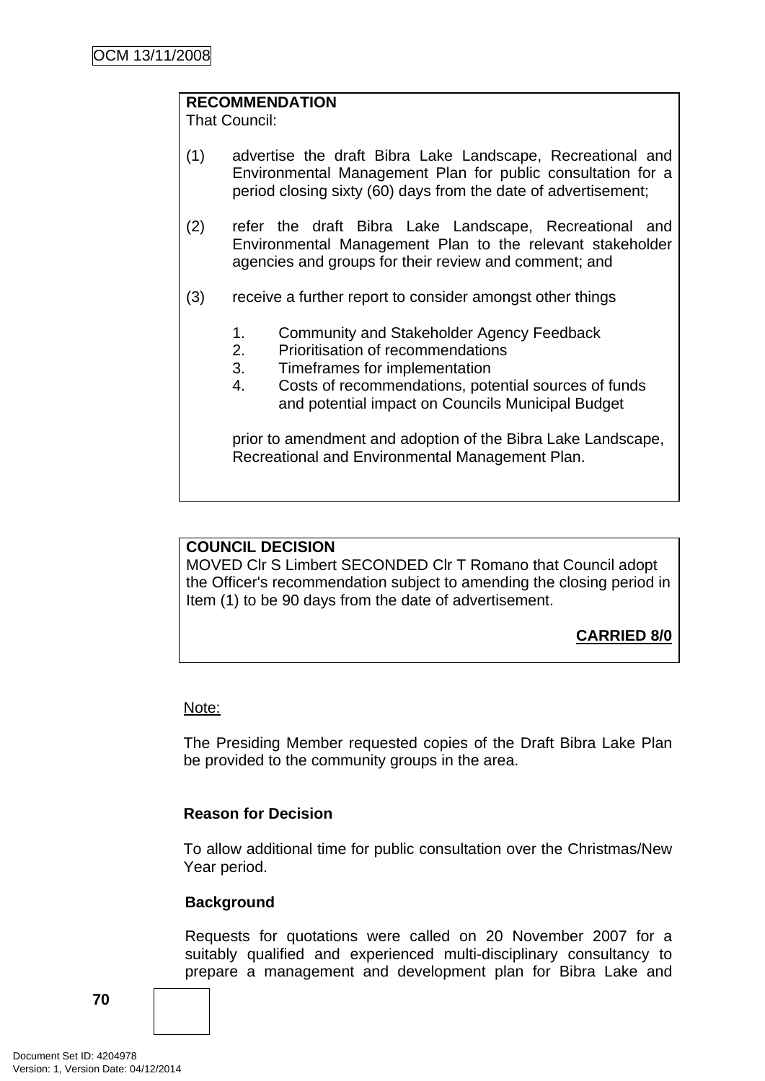## **RECOMMENDATION**

That Council:

- (1) advertise the draft Bibra Lake Landscape, Recreational and Environmental Management Plan for public consultation for a period closing sixty (60) days from the date of advertisement;
- (2) refer the draft Bibra Lake Landscape, Recreational and Environmental Management Plan to the relevant stakeholder agencies and groups for their review and comment; and
- (3) receive a further report to consider amongst other things
	- 1. Community and Stakeholder Agency Feedback
	- 2. Prioritisation of recommendations
	- 3. Timeframes for implementation
	- 4. Costs of recommendations, potential sources of funds and potential impact on Councils Municipal Budget

prior to amendment and adoption of the Bibra Lake Landscape, Recreational and Environmental Management Plan.

## **COUNCIL DECISION**

MOVED Clr S Limbert SECONDED Clr T Romano that Council adopt the Officer's recommendation subject to amending the closing period in Item (1) to be 90 days from the date of advertisement.

## **CARRIED 8/0**

## Note:

The Presiding Member requested copies of the Draft Bibra Lake Plan be provided to the community groups in the area.

## **Reason for Decision**

To allow additional time for public consultation over the Christmas/New Year period.

## **Background**

Requests for quotations were called on 20 November 2007 for a suitably qualified and experienced multi-disciplinary consultancy to prepare a management and development plan for Bibra Lake and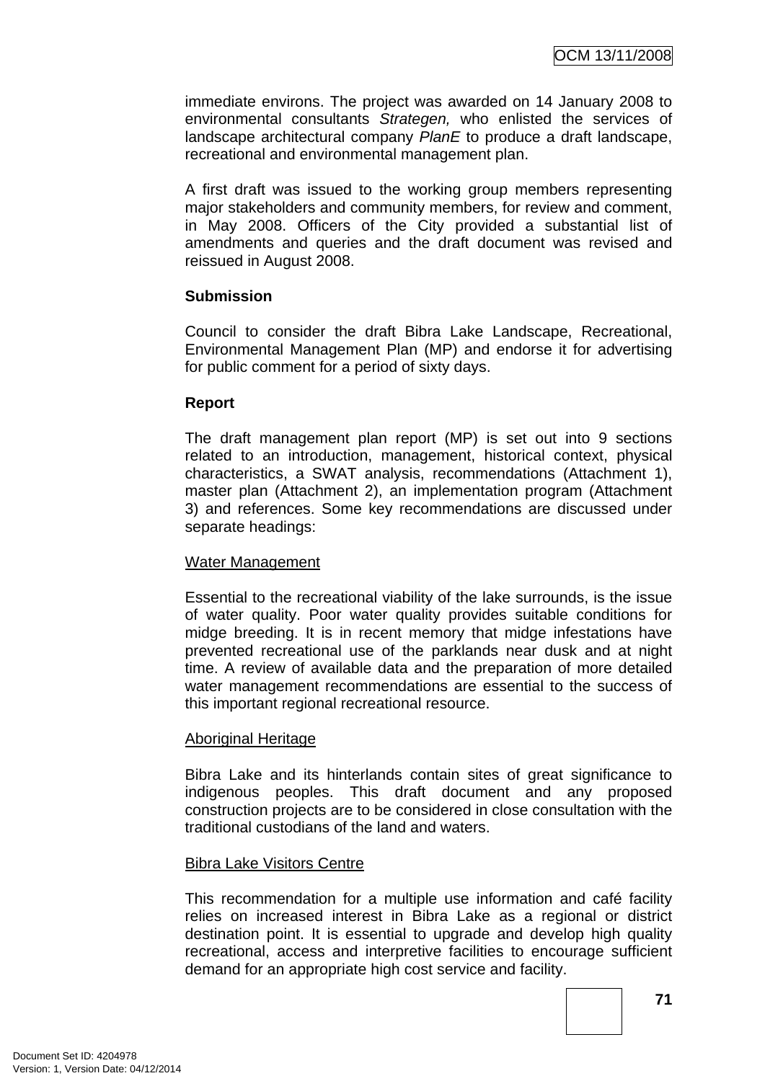immediate environs. The project was awarded on 14 January 2008 to environmental consultants *Strategen,* who enlisted the services of landscape architectural company *PlanE* to produce a draft landscape, recreational and environmental management plan.

A first draft was issued to the working group members representing major stakeholders and community members, for review and comment, in May 2008. Officers of the City provided a substantial list of amendments and queries and the draft document was revised and reissued in August 2008.

### **Submission**

Council to consider the draft Bibra Lake Landscape, Recreational, Environmental Management Plan (MP) and endorse it for advertising for public comment for a period of sixty days.

## **Report**

The draft management plan report (MP) is set out into 9 sections related to an introduction, management, historical context, physical characteristics, a SWAT analysis, recommendations (Attachment 1), master plan (Attachment 2), an implementation program (Attachment 3) and references. Some key recommendations are discussed under separate headings:

### Water Management

Essential to the recreational viability of the lake surrounds, is the issue of water quality. Poor water quality provides suitable conditions for midge breeding. It is in recent memory that midge infestations have prevented recreational use of the parklands near dusk and at night time. A review of available data and the preparation of more detailed water management recommendations are essential to the success of this important regional recreational resource.

### Aboriginal Heritage

Bibra Lake and its hinterlands contain sites of great significance to indigenous peoples. This draft document and any proposed construction projects are to be considered in close consultation with the traditional custodians of the land and waters.

### Bibra Lake Visitors Centre

This recommendation for a multiple use information and café facility relies on increased interest in Bibra Lake as a regional or district destination point. It is essential to upgrade and develop high quality recreational, access and interpretive facilities to encourage sufficient demand for an appropriate high cost service and facility.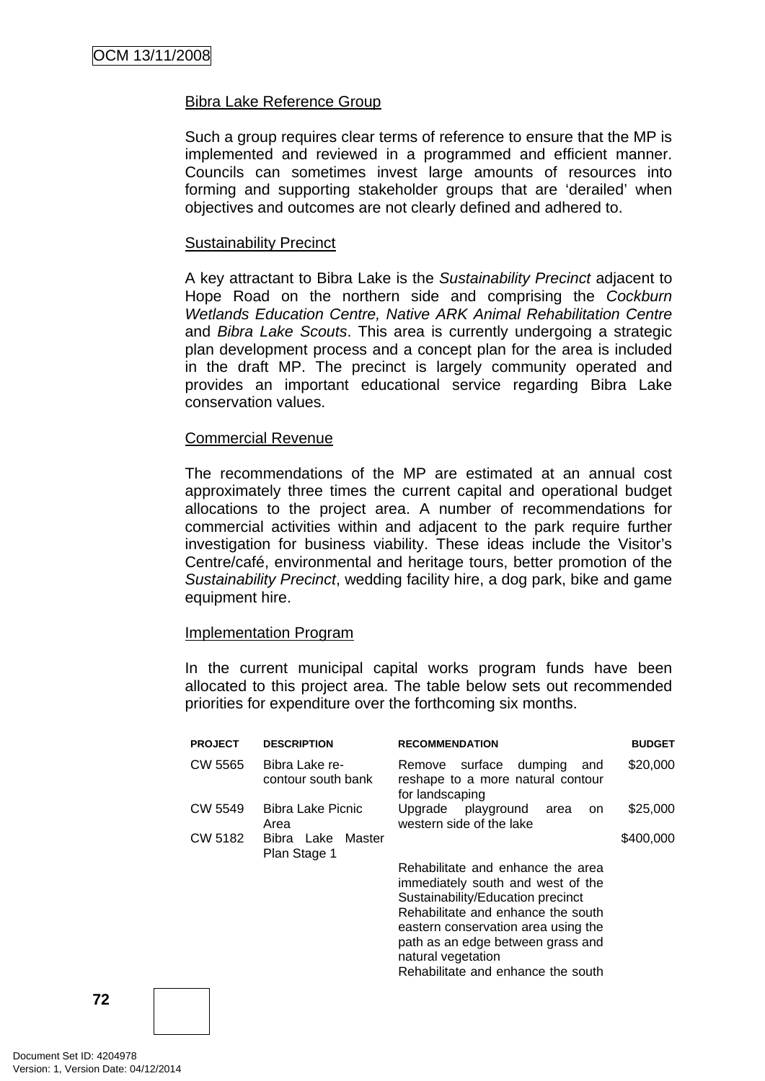### Bibra Lake Reference Group

Such a group requires clear terms of reference to ensure that the MP is implemented and reviewed in a programmed and efficient manner. Councils can sometimes invest large amounts of resources into forming and supporting stakeholder groups that are 'derailed' when objectives and outcomes are not clearly defined and adhered to.

#### Sustainability Precinct

A key attractant to Bibra Lake is the *Sustainability Precinct* adjacent to Hope Road on the northern side and comprising the *Cockburn Wetlands Education Centre, Native ARK Animal Rehabilitation Centre* and *Bibra Lake Scouts*. This area is currently undergoing a strategic plan development process and a concept plan for the area is included in the draft MP. The precinct is largely community operated and provides an important educational service regarding Bibra Lake conservation values.

#### Commercial Revenue

The recommendations of the MP are estimated at an annual cost approximately three times the current capital and operational budget allocations to the project area. A number of recommendations for commercial activities within and adjacent to the park require further investigation for business viability. These ideas include the Visitor's Centre/café, environmental and heritage tours, better promotion of the *Sustainability Precinct*, wedding facility hire, a dog park, bike and game equipment hire.

#### Implementation Program

In the current municipal capital works program funds have been allocated to this project area. The table below sets out recommended priorities for expenditure over the forthcoming six months.

| <b>PROJECT</b> | <b>DESCRIPTION</b>                   | <b>RECOMMENDATION</b>                                                                                                                                                                                                                               | <b>BUDGET</b> |
|----------------|--------------------------------------|-----------------------------------------------------------------------------------------------------------------------------------------------------------------------------------------------------------------------------------------------------|---------------|
| CW 5565        | Bibra Lake re-<br>contour south bank | Remove surface dumping<br>and<br>reshape to a more natural contour<br>for landscaping                                                                                                                                                               | \$20,000      |
| CW 5549        | <b>Bibra Lake Picnic</b><br>Area     | Upgrade playground<br>area<br><b>on</b><br>western side of the lake                                                                                                                                                                                 | \$25,000      |
| CW 5182        | Bibra Lake<br>Master<br>Plan Stage 1 |                                                                                                                                                                                                                                                     | \$400,000     |
|                |                                      | Rehabilitate and enhance the area<br>immediately south and west of the<br>Sustainability/Education precinct<br>Rehabilitate and enhance the south<br>eastern conservation area using the<br>path as an edge between grass and<br>natural vegetation |               |
|                |                                      | Rehabilitate and enhance the south                                                                                                                                                                                                                  |               |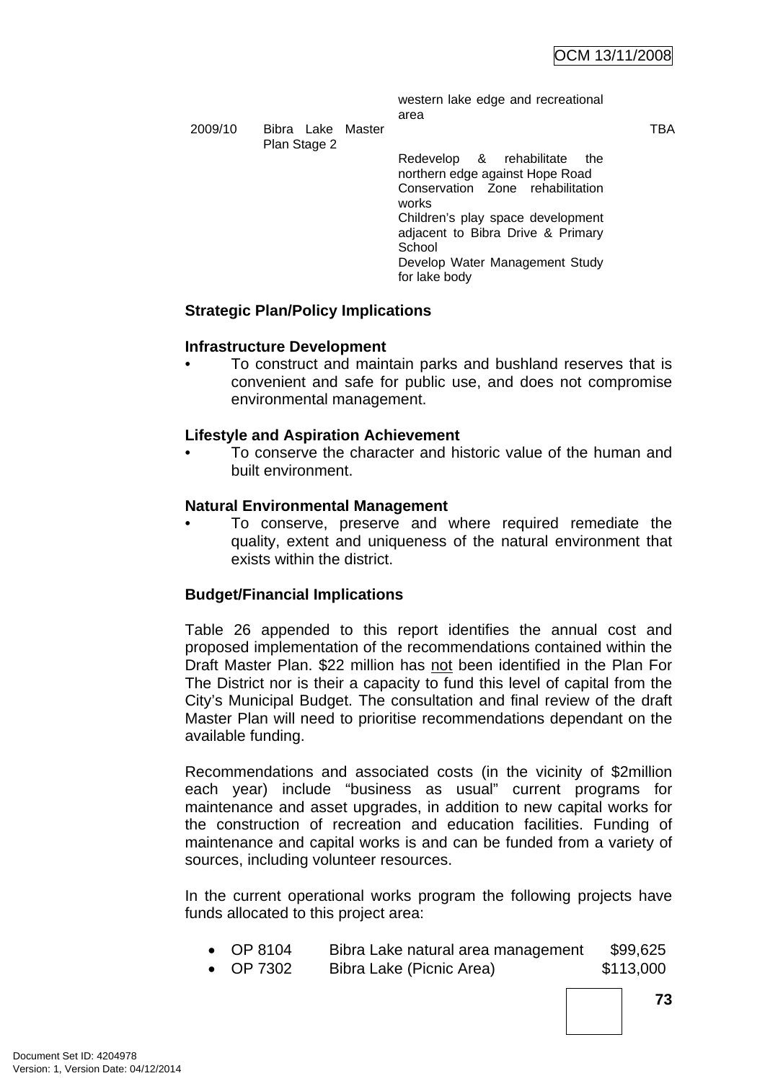|         |                                   | western lake edge and recreational<br>area                                                                                                                                                                                                             |     |
|---------|-----------------------------------|--------------------------------------------------------------------------------------------------------------------------------------------------------------------------------------------------------------------------------------------------------|-----|
| 2009/10 | Bibra Lake Master<br>Plan Stage 2 |                                                                                                                                                                                                                                                        | TBA |
|         |                                   | Redevelop & rehabilitate<br>the<br>northern edge against Hope Road<br>Conservation Zone rehabilitation<br>works<br>Children's play space development<br>adjacent to Bibra Drive & Primary<br>School<br>Develop Water Management Study<br>for lake body |     |

### **Strategic Plan/Policy Implications**

#### **Infrastructure Development**

• To construct and maintain parks and bushland reserves that is convenient and safe for public use, and does not compromise environmental management.

#### **Lifestyle and Aspiration Achievement**

• To conserve the character and historic value of the human and built environment.

#### **Natural Environmental Management**

• To conserve, preserve and where required remediate the quality, extent and uniqueness of the natural environment that exists within the district.

### **Budget/Financial Implications**

Table 26 appended to this report identifies the annual cost and proposed implementation of the recommendations contained within the Draft Master Plan. \$22 million has not been identified in the Plan For The District nor is their a capacity to fund this level of capital from the City's Municipal Budget. The consultation and final review of the draft Master Plan will need to prioritise recommendations dependant on the available funding.

Recommendations and associated costs (in the vicinity of \$2million each year) include "business as usual" current programs for maintenance and asset upgrades, in addition to new capital works for the construction of recreation and education facilities. Funding of maintenance and capital works is and can be funded from a variety of sources, including volunteer resources.

In the current operational works program the following projects have funds allocated to this project area:

- OP 8104 Bibra Lake natural area management \$99,625
- OP 7302 Bibra Lake (Picnic Area) \$113,000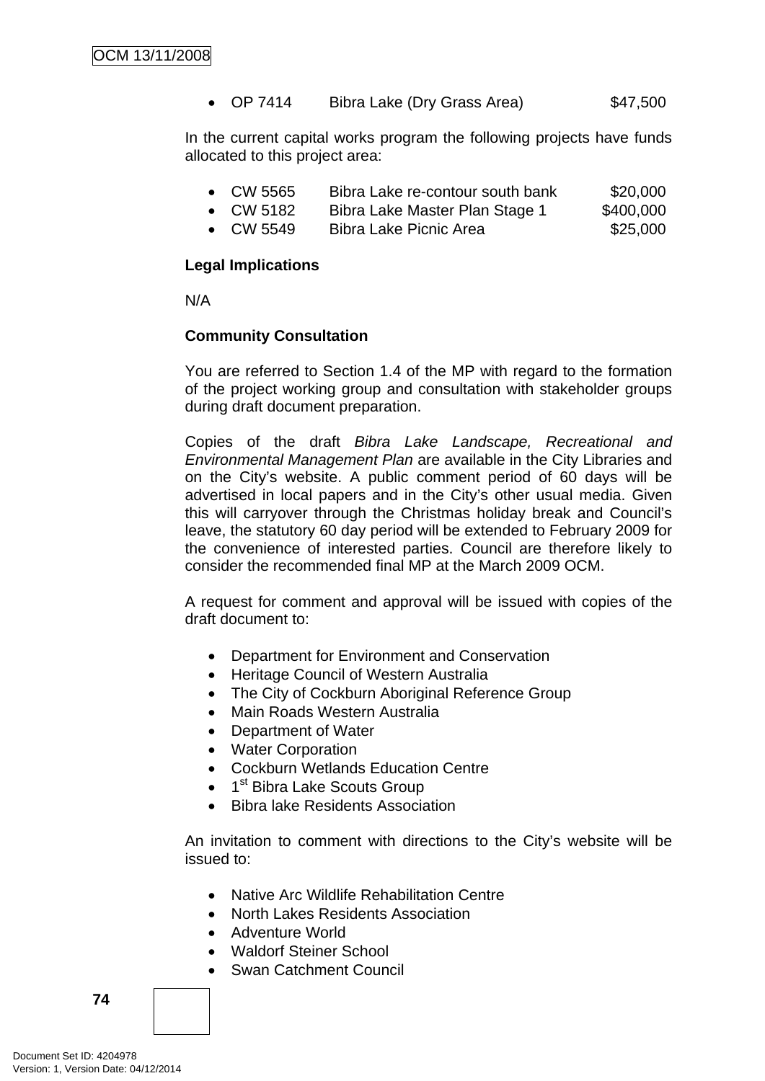• OP 7414 Bibra Lake (Dry Grass Area) \$47,500

In the current capital works program the following projects have funds allocated to this project area:

- CW 5565 Bibra Lake re-contour south bank \$20,000
- CW 5182 Bibra Lake Master Plan Stage 1 \$400,000
- CW 5549 Bibra Lake Picnic Area **\$25,000**

### **Legal Implications**

N/A

## **Community Consultation**

You are referred to Section 1.4 of the MP with regard to the formation of the project working group and consultation with stakeholder groups during draft document preparation.

Copies of the draft *Bibra Lake Landscape, Recreational and Environmental Management Plan* are available in the City Libraries and on the City's website. A public comment period of 60 days will be advertised in local papers and in the City's other usual media. Given this will carryover through the Christmas holiday break and Council's leave, the statutory 60 day period will be extended to February 2009 for the convenience of interested parties. Council are therefore likely to consider the recommended final MP at the March 2009 OCM.

A request for comment and approval will be issued with copies of the draft document to:

- Department for Environment and Conservation
- Heritage Council of Western Australia
- The City of Cockburn Aboriginal Reference Group
- Main Roads Western Australia
- Department of Water
- Water Corporation
- Cockburn Wetlands Education Centre
- $\bullet$  1<sup>st</sup> Bibra Lake Scouts Group
- Bibra lake Residents Association

An invitation to comment with directions to the City's website will be issued to:

- Native Arc Wildlife Rehabilitation Centre
- North Lakes Residents Association
- Adventure World
- Waldorf Steiner School
- Swan Catchment Council

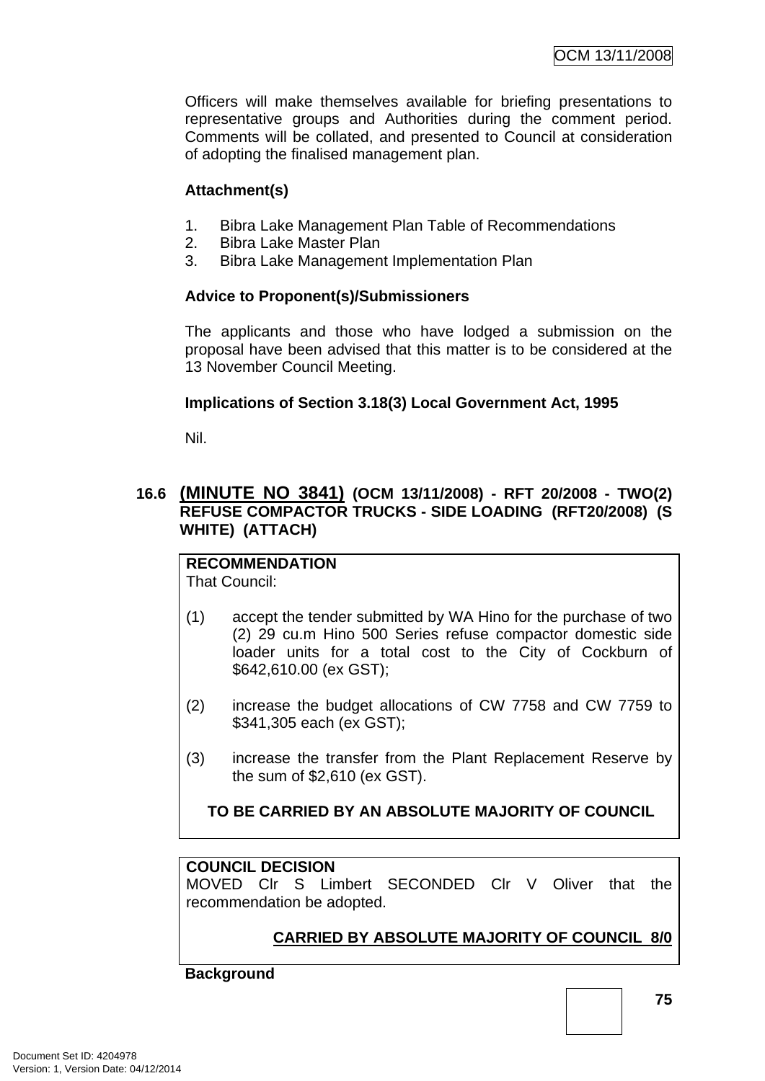Officers will make themselves available for briefing presentations to representative groups and Authorities during the comment period. Comments will be collated, and presented to Council at consideration of adopting the finalised management plan.

## **Attachment(s)**

- 1. Bibra Lake Management Plan Table of Recommendations
- 2. Bibra Lake Master Plan
- 3. Bibra Lake Management Implementation Plan

## **Advice to Proponent(s)/Submissioners**

The applicants and those who have lodged a submission on the proposal have been advised that this matter is to be considered at the 13 November Council Meeting.

## **Implications of Section 3.18(3) Local Government Act, 1995**

Nil.

## **16.6 (MINUTE NO 3841) (OCM 13/11/2008) - RFT 20/2008 - TWO(2) REFUSE COMPACTOR TRUCKS - SIDE LOADING (RFT20/2008) (S WHITE) (ATTACH)**

**RECOMMENDATION** That Council:

- (1) accept the tender submitted by WA Hino for the purchase of two (2) 29 cu.m Hino 500 Series refuse compactor domestic side loader units for a total cost to the City of Cockburn of \$642,610.00 (ex GST);
- (2) increase the budget allocations of CW 7758 and CW 7759 to \$341,305 each (ex GST);
- (3) increase the transfer from the Plant Replacement Reserve by the sum of \$2,610 (ex GST).

**TO BE CARRIED BY AN ABSOLUTE MAJORITY OF COUNCIL** 

### **COUNCIL DECISION**

MOVED Clr S Limbert SECONDED Clr V Oliver that the recommendation be adopted.

## **CARRIED BY ABSOLUTE MAJORITY OF COUNCIL 8/0**

**Background**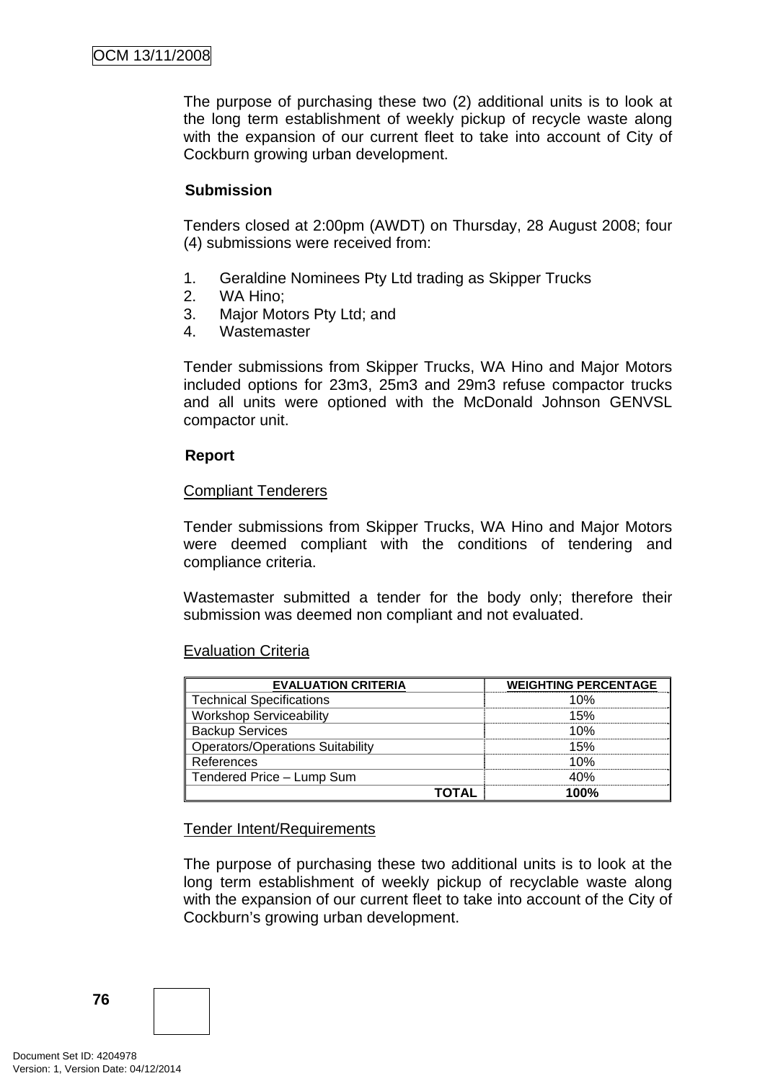The purpose of purchasing these two (2) additional units is to look at the long term establishment of weekly pickup of recycle waste along with the expansion of our current fleet to take into account of City of Cockburn growing urban development.

## **Submission**

Tenders closed at 2:00pm (AWDT) on Thursday, 28 August 2008; four (4) submissions were received from:

- 1. Geraldine Nominees Pty Ltd trading as Skipper Trucks
- 2. WA Hino;
- 3. Major Motors Pty Ltd; and
- 4. Wastemaster

Tender submissions from Skipper Trucks, WA Hino and Major Motors included options for 23m3, 25m3 and 29m3 refuse compactor trucks and all units were optioned with the McDonald Johnson GENVSL compactor unit.

### **Report**

### Compliant Tenderers

Tender submissions from Skipper Trucks, WA Hino and Major Motors were deemed compliant with the conditions of tendering and compliance criteria.

Wastemaster submitted a tender for the body only; therefore their submission was deemed non compliant and not evaluated.

### Evaluation Criteria

| <b>EVALUATION CRITERIA</b>              | <b>WEIGHTING PERCENTAGE</b> |
|-----------------------------------------|-----------------------------|
| <b>Technical Specifications</b>         | 10%                         |
| <b>Workshop Serviceability</b>          | 15%                         |
| <b>Backup Services</b>                  | 10%                         |
| <b>Operators/Operations Suitability</b> | 15%                         |
| References                              | 10%                         |
| Tendered Price - Lump Sum               | 4ሰ%                         |
| ΤΟΤΑL                                   | 100%                        |

#### Tender Intent/Requirements

The purpose of purchasing these two additional units is to look at the long term establishment of weekly pickup of recyclable waste along with the expansion of our current fleet to take into account of the City of Cockburn's growing urban development.

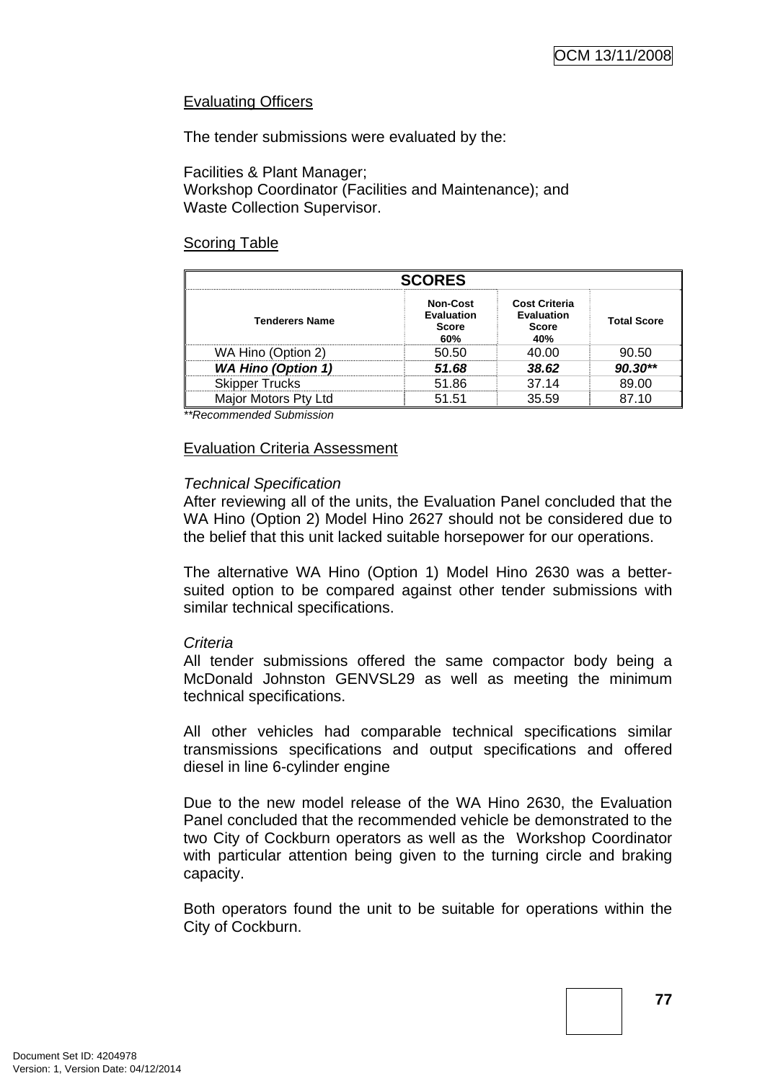## Evaluating Officers

The tender submissions were evaluated by the:

Facilities & Plant Manager; Workshop Coordinator (Facilities and Maintenance); and Waste Collection Supervisor.

### Scoring Table

| <b>SCORES</b>             |                                                             |                                                                  |                    |  |
|---------------------------|-------------------------------------------------------------|------------------------------------------------------------------|--------------------|--|
| <b>Tenderers Name</b>     | <b>Non-Cost</b><br><b>Evaluation</b><br><b>Score</b><br>60% | <b>Cost Criteria</b><br><b>Evaluation</b><br><b>Score</b><br>40% | <b>Total Score</b> |  |
| WA Hino (Option 2)        | 50.50                                                       | 40.00                                                            | 90.50              |  |
| <b>WA Hino (Option 1)</b> | 51.68                                                       | 38.62                                                            | 90.30**            |  |
| <b>Skipper Trucks</b>     | 51.86                                                       | 37.14                                                            | 89.00              |  |
| Major Motors Pty Ltd      | 51.51                                                       | 35.59                                                            | 87.10              |  |

*\*\*Recommended Submission*

#### Evaluation Criteria Assessment

#### *Technical Specification*

After reviewing all of the units, the Evaluation Panel concluded that the WA Hino (Option 2) Model Hino 2627 should not be considered due to the belief that this unit lacked suitable horsepower for our operations.

The alternative WA Hino (Option 1) Model Hino 2630 was a bettersuited option to be compared against other tender submissions with similar technical specifications.

### *Criteria*

All tender submissions offered the same compactor body being a McDonald Johnston GENVSL29 as well as meeting the minimum technical specifications.

All other vehicles had comparable technical specifications similar transmissions specifications and output specifications and offered diesel in line 6-cylinder engine

Due to the new model release of the WA Hino 2630, the Evaluation Panel concluded that the recommended vehicle be demonstrated to the two City of Cockburn operators as well as the Workshop Coordinator with particular attention being given to the turning circle and braking capacity.

Both operators found the unit to be suitable for operations within the City of Cockburn.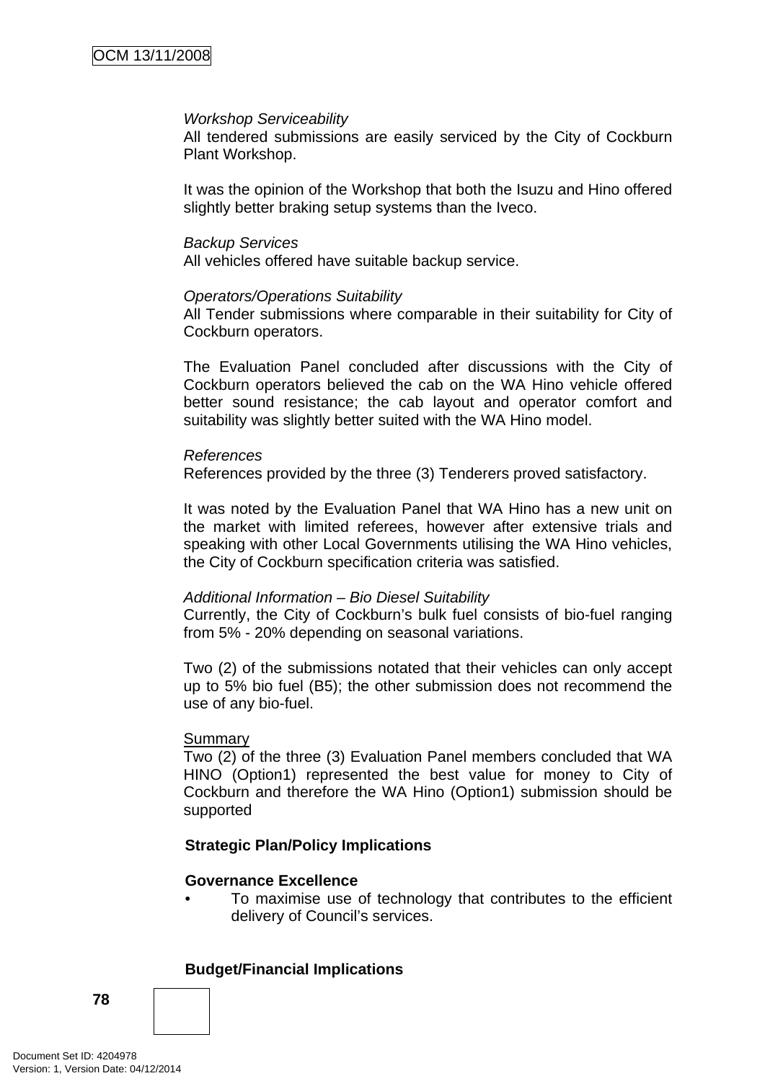#### *Workshop Serviceability*

All tendered submissions are easily serviced by the City of Cockburn Plant Workshop.

It was the opinion of the Workshop that both the Isuzu and Hino offered slightly better braking setup systems than the Iveco.

#### *Backup Services*

All vehicles offered have suitable backup service.

#### *Operators/Operations Suitability*

All Tender submissions where comparable in their suitability for City of Cockburn operators.

The Evaluation Panel concluded after discussions with the City of Cockburn operators believed the cab on the WA Hino vehicle offered better sound resistance; the cab layout and operator comfort and suitability was slightly better suited with the WA Hino model.

#### *References*

References provided by the three (3) Tenderers proved satisfactory.

It was noted by the Evaluation Panel that WA Hino has a new unit on the market with limited referees, however after extensive trials and speaking with other Local Governments utilising the WA Hino vehicles, the City of Cockburn specification criteria was satisfied.

#### *Additional Information – Bio Diesel Suitability*

Currently, the City of Cockburn's bulk fuel consists of bio-fuel ranging from 5% - 20% depending on seasonal variations.

Two (2) of the submissions notated that their vehicles can only accept up to 5% bio fuel (B5); the other submission does not recommend the use of any bio-fuel.

#### **Summary**

Two (2) of the three (3) Evaluation Panel members concluded that WA HINO (Option1) represented the best value for money to City of Cockburn and therefore the WA Hino (Option1) submission should be supported

#### **Strategic Plan/Policy Implications**

#### **Governance Excellence**

• To maximise use of technology that contributes to the efficient delivery of Council's services.

#### **Budget/Financial Implications**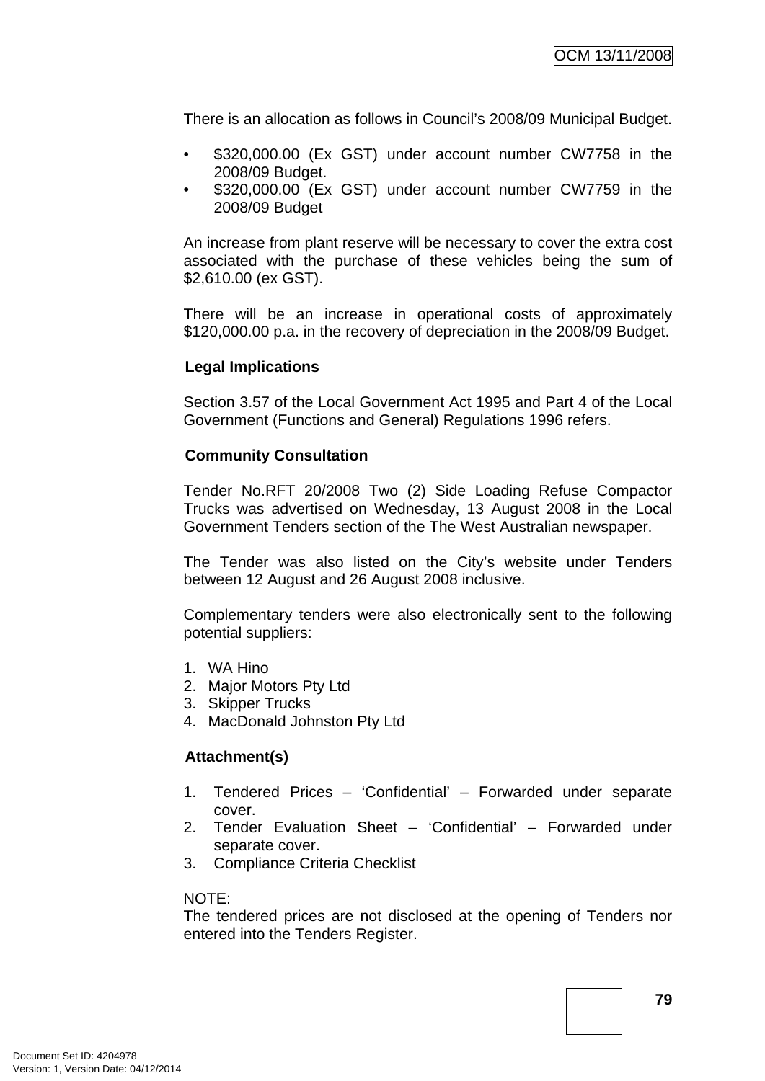There is an allocation as follows in Council's 2008/09 Municipal Budget.

- \$320,000.00 (Ex GST) under account number CW7758 in the 2008/09 Budget.
- \$320,000.00 (Ex GST) under account number CW7759 in the 2008/09 Budget

An increase from plant reserve will be necessary to cover the extra cost associated with the purchase of these vehicles being the sum of \$2,610.00 (ex GST).

There will be an increase in operational costs of approximately \$120,000.00 p.a. in the recovery of depreciation in the 2008/09 Budget.

## **Legal Implications**

Section 3.57 of the Local Government Act 1995 and Part 4 of the Local Government (Functions and General) Regulations 1996 refers.

## **Community Consultation**

Tender No.RFT 20/2008 Two (2) Side Loading Refuse Compactor Trucks was advertised on Wednesday, 13 August 2008 in the Local Government Tenders section of the The West Australian newspaper.

The Tender was also listed on the City's website under Tenders between 12 August and 26 August 2008 inclusive.

Complementary tenders were also electronically sent to the following potential suppliers:

- 1. WA Hino
- 2. Major Motors Pty Ltd
- 3. Skipper Trucks
- 4. MacDonald Johnston Pty Ltd

## **Attachment(s)**

- 1. Tendered Prices 'Confidential' Forwarded under separate cover.
- 2. Tender Evaluation Sheet 'Confidential' Forwarded under separate cover.
- 3. Compliance Criteria Checklist

### NOTE:

The tendered prices are not disclosed at the opening of Tenders nor entered into the Tenders Register.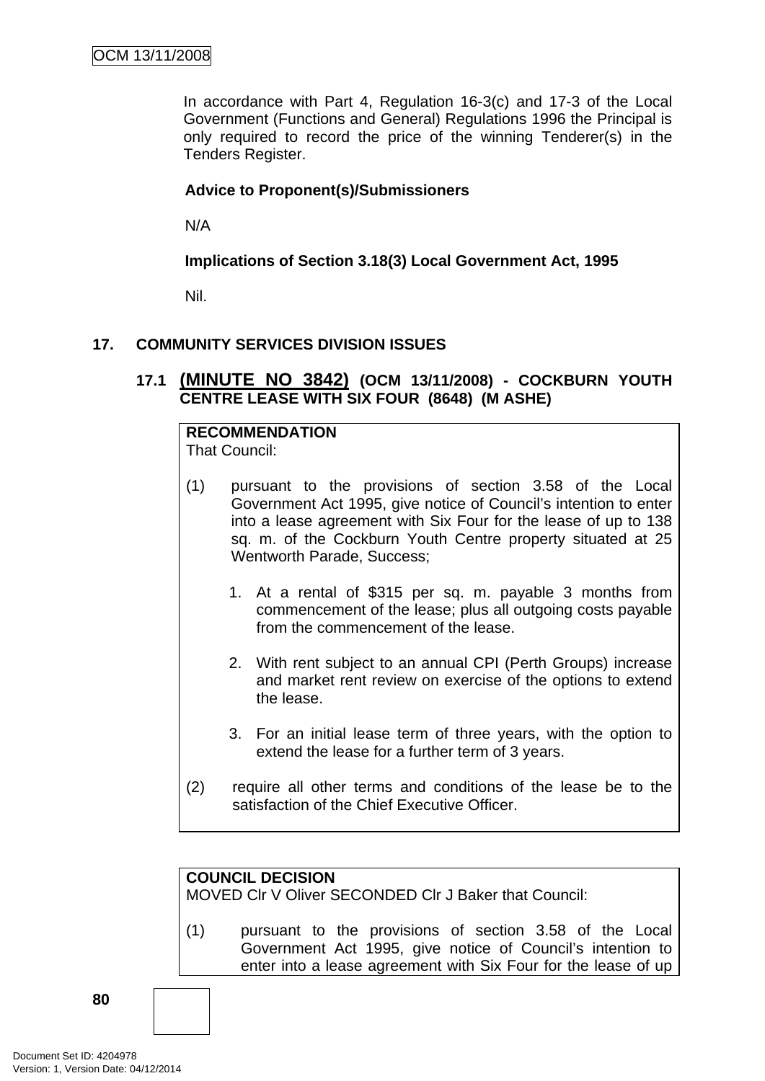In accordance with Part 4, Regulation 16-3(c) and 17-3 of the Local Government (Functions and General) Regulations 1996 the Principal is only required to record the price of the winning Tenderer(s) in the Tenders Register.

## **Advice to Proponent(s)/Submissioners**

N/A

## **Implications of Section 3.18(3) Local Government Act, 1995**

Nil.

## **17. COMMUNITY SERVICES DIVISION ISSUES**

## **17.1 (MINUTE NO 3842) (OCM 13/11/2008) - COCKBURN YOUTH CENTRE LEASE WITH SIX FOUR (8648) (M ASHE)**

**RECOMMENDATION** That Council:

- (1) pursuant to the provisions of section 3.58 of the Local Government Act 1995, give notice of Council's intention to enter into a lease agreement with Six Four for the lease of up to 138 sq. m. of the Cockburn Youth Centre property situated at 25 Wentworth Parade, Success:
	- 1. At a rental of \$315 per sq. m. payable 3 months from commencement of the lease; plus all outgoing costs payable from the commencement of the lease.
	- 2. With rent subject to an annual CPI (Perth Groups) increase and market rent review on exercise of the options to extend the lease.
	- 3. For an initial lease term of three years, with the option to extend the lease for a further term of 3 years.
- (2) require all other terms and conditions of the lease be to the satisfaction of the Chief Executive Officer.

**COUNCIL DECISION** 

MOVED Clr V Oliver SECONDED Clr J Baker that Council:

(1) pursuant to the provisions of section 3.58 of the Local Government Act 1995, give notice of Council's intention to enter into a lease agreement with Six Four for the lease of up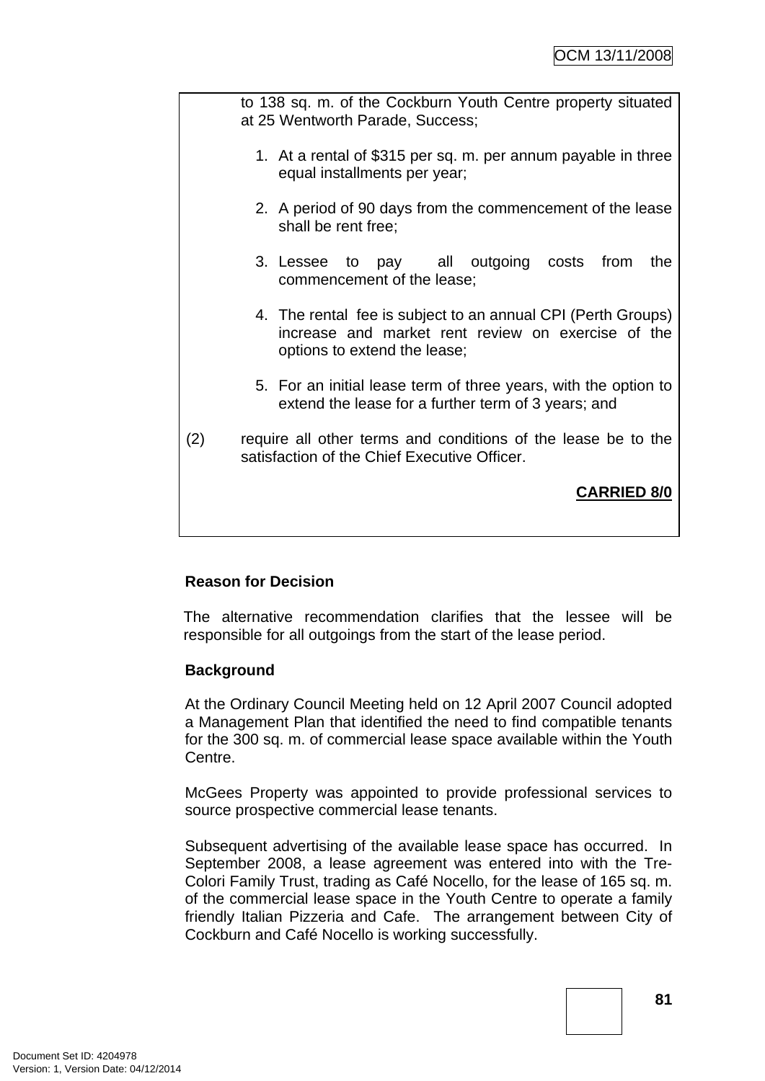| to 138 sq. m. of the Cockburn Youth Centre property situated<br>at 25 Wentworth Parade, Success; |                                                                                                                                                    |  |  |
|--------------------------------------------------------------------------------------------------|----------------------------------------------------------------------------------------------------------------------------------------------------|--|--|
|                                                                                                  | 1. At a rental of \$315 per sq. m. per annum payable in three<br>equal installments per year;                                                      |  |  |
|                                                                                                  | 2. A period of 90 days from the commencement of the lease<br>shall be rent free;                                                                   |  |  |
|                                                                                                  | 3. Lessee to pay all outgoing costs from<br>the<br>commencement of the lease;                                                                      |  |  |
|                                                                                                  | 4. The rental fee is subject to an annual CPI (Perth Groups)<br>increase and market rent review on exercise of the<br>options to extend the lease; |  |  |
|                                                                                                  | 5. For an initial lease term of three years, with the option to<br>extend the lease for a further term of 3 years; and                             |  |  |
| (2)                                                                                              | require all other terms and conditions of the lease be to the<br>satisfaction of the Chief Executive Officer.                                      |  |  |
|                                                                                                  | <b>CARRIED 8/0</b>                                                                                                                                 |  |  |
|                                                                                                  |                                                                                                                                                    |  |  |

## **Reason for Decision**

The alternative recommendation clarifies that the lessee will be responsible for all outgoings from the start of the lease period.

### **Background**

At the Ordinary Council Meeting held on 12 April 2007 Council adopted a Management Plan that identified the need to find compatible tenants for the 300 sq. m. of commercial lease space available within the Youth Centre.

McGees Property was appointed to provide professional services to source prospective commercial lease tenants.

Subsequent advertising of the available lease space has occurred. In September 2008, a lease agreement was entered into with the Tre-Colori Family Trust, trading as Café Nocello, for the lease of 165 sq. m. of the commercial lease space in the Youth Centre to operate a family friendly Italian Pizzeria and Cafe. The arrangement between City of Cockburn and Café Nocello is working successfully.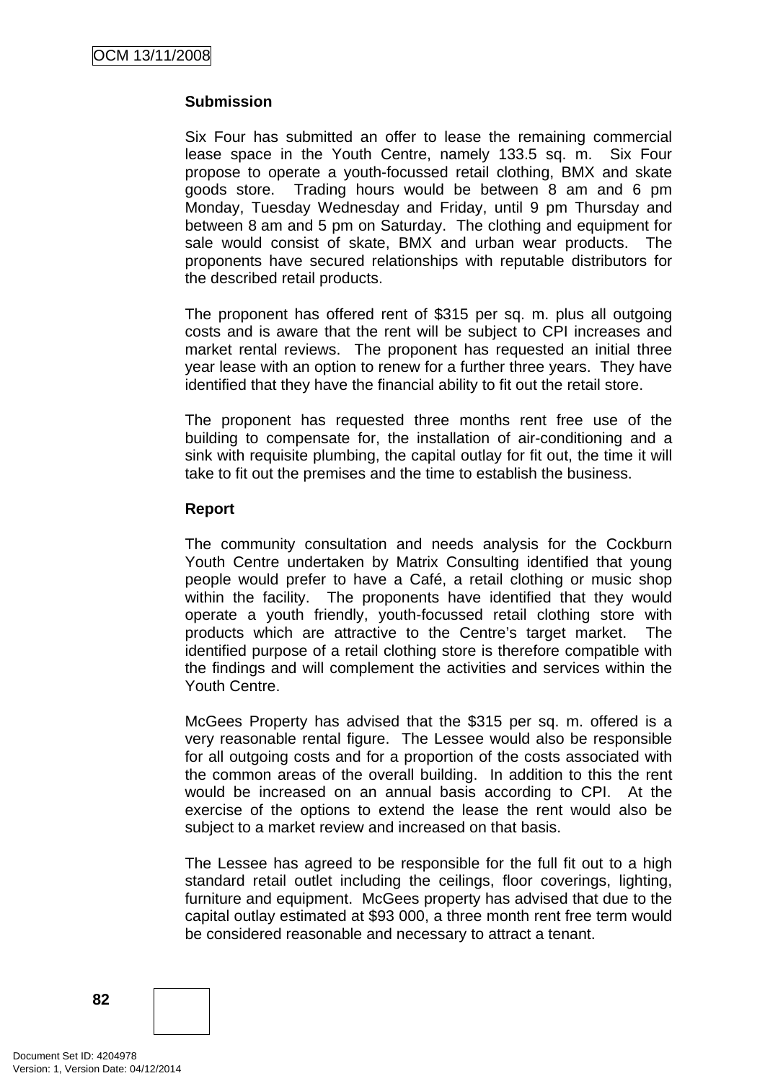### **Submission**

Six Four has submitted an offer to lease the remaining commercial lease space in the Youth Centre, namely 133.5 sq. m. Six Four propose to operate a youth-focussed retail clothing, BMX and skate goods store. Trading hours would be between 8 am and 6 pm Monday, Tuesday Wednesday and Friday, until 9 pm Thursday and between 8 am and 5 pm on Saturday. The clothing and equipment for sale would consist of skate, BMX and urban wear products. The proponents have secured relationships with reputable distributors for the described retail products.

The proponent has offered rent of \$315 per sq. m. plus all outgoing costs and is aware that the rent will be subject to CPI increases and market rental reviews. The proponent has requested an initial three year lease with an option to renew for a further three years. They have identified that they have the financial ability to fit out the retail store.

The proponent has requested three months rent free use of the building to compensate for, the installation of air-conditioning and a sink with requisite plumbing, the capital outlay for fit out, the time it will take to fit out the premises and the time to establish the business.

#### **Report**

The community consultation and needs analysis for the Cockburn Youth Centre undertaken by Matrix Consulting identified that young people would prefer to have a Café, a retail clothing or music shop within the facility. The proponents have identified that they would operate a youth friendly, youth-focussed retail clothing store with products which are attractive to the Centre's target market. The identified purpose of a retail clothing store is therefore compatible with the findings and will complement the activities and services within the Youth Centre.

McGees Property has advised that the \$315 per sq. m. offered is a very reasonable rental figure. The Lessee would also be responsible for all outgoing costs and for a proportion of the costs associated with the common areas of the overall building. In addition to this the rent would be increased on an annual basis according to CPI. At the exercise of the options to extend the lease the rent would also be subject to a market review and increased on that basis.

The Lessee has agreed to be responsible for the full fit out to a high standard retail outlet including the ceilings, floor coverings, lighting, furniture and equipment. McGees property has advised that due to the capital outlay estimated at \$93 000, a three month rent free term would be considered reasonable and necessary to attract a tenant.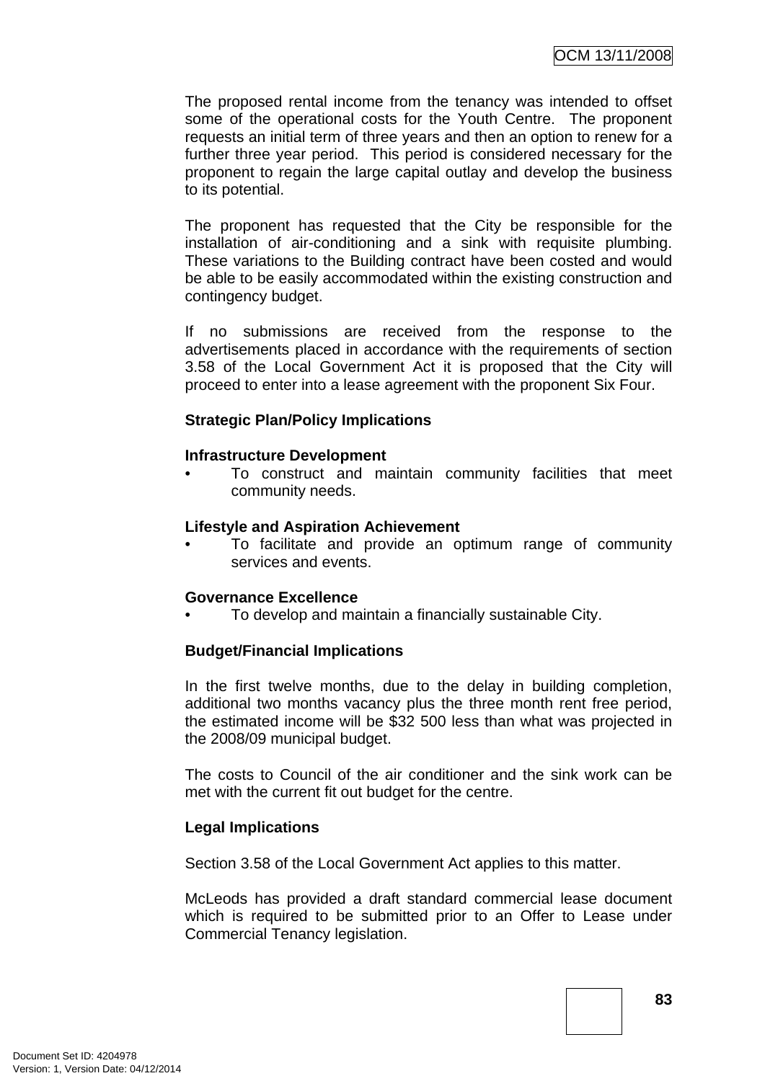The proposed rental income from the tenancy was intended to offset some of the operational costs for the Youth Centre. The proponent requests an initial term of three years and then an option to renew for a further three year period. This period is considered necessary for the proponent to regain the large capital outlay and develop the business to its potential.

The proponent has requested that the City be responsible for the installation of air-conditioning and a sink with requisite plumbing. These variations to the Building contract have been costed and would be able to be easily accommodated within the existing construction and contingency budget.

If no submissions are received from the response to the advertisements placed in accordance with the requirements of section 3.58 of the Local Government Act it is proposed that the City will proceed to enter into a lease agreement with the proponent Six Four.

## **Strategic Plan/Policy Implications**

### **Infrastructure Development**

• To construct and maintain community facilities that meet community needs.

## **Lifestyle and Aspiration Achievement**

• To facilitate and provide an optimum range of community services and events.

### **Governance Excellence**

• To develop and maintain a financially sustainable City.

## **Budget/Financial Implications**

In the first twelve months, due to the delay in building completion, additional two months vacancy plus the three month rent free period, the estimated income will be \$32 500 less than what was projected in the 2008/09 municipal budget.

The costs to Council of the air conditioner and the sink work can be met with the current fit out budget for the centre.

## **Legal Implications**

Section 3.58 of the Local Government Act applies to this matter.

McLeods has provided a draft standard commercial lease document which is required to be submitted prior to an Offer to Lease under Commercial Tenancy legislation.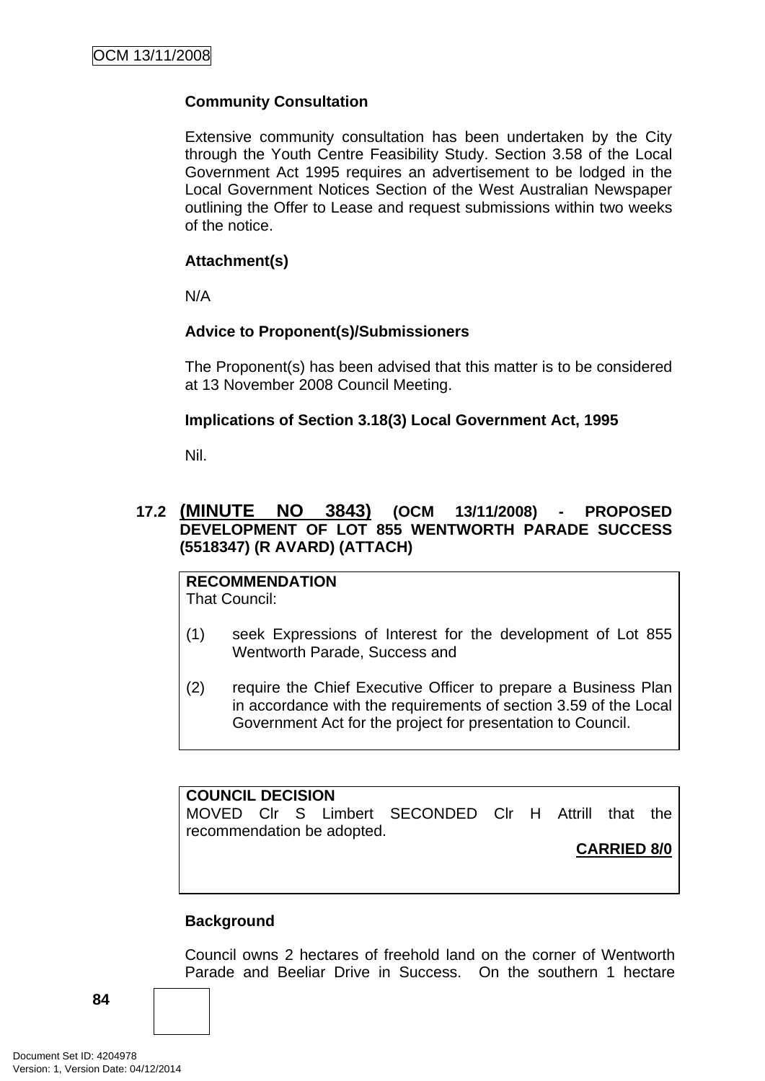## **Community Consultation**

Extensive community consultation has been undertaken by the City through the Youth Centre Feasibility Study. Section 3.58 of the Local Government Act 1995 requires an advertisement to be lodged in the Local Government Notices Section of the West Australian Newspaper outlining the Offer to Lease and request submissions within two weeks of the notice.

## **Attachment(s)**

N/A

## **Advice to Proponent(s)/Submissioners**

The Proponent(s) has been advised that this matter is to be considered at 13 November 2008 Council Meeting.

## **Implications of Section 3.18(3) Local Government Act, 1995**

Nil.

## **17.2 (MINUTE NO 3843) (OCM 13/11/2008) - PROPOSED DEVELOPMENT OF LOT 855 WENTWORTH PARADE SUCCESS (5518347) (R AVARD) (ATTACH)**

**RECOMMENDATION** That Council:

- (1) seek Expressions of Interest for the development of Lot 855 Wentworth Parade, Success and
- (2) require the Chief Executive Officer to prepare a Business Plan in accordance with the requirements of section 3.59 of the Local Government Act for the project for presentation to Council.

### **COUNCIL DECISION**  MOVED Clr S Limbert SECONDED Clr H Attrill that the recommendation be adopted. **CARRIED 8/0**

## **Background**

Council owns 2 hectares of freehold land on the corner of Wentworth Parade and Beeliar Drive in Success. On the southern 1 hectare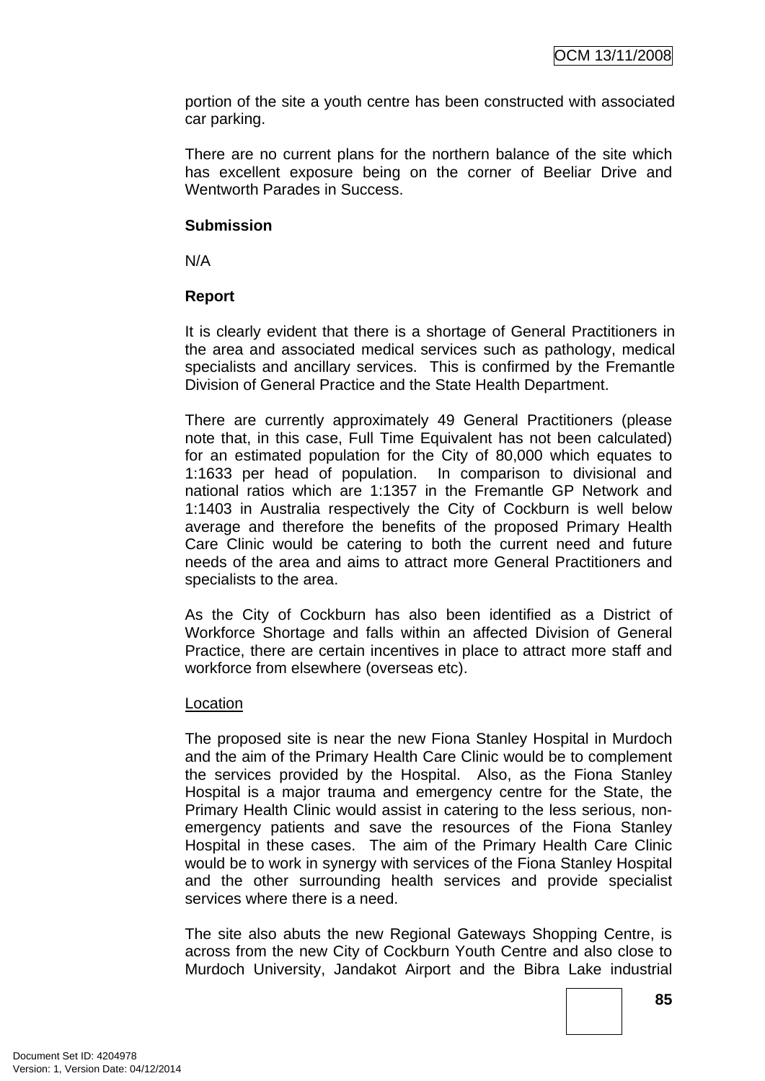portion of the site a youth centre has been constructed with associated car parking.

There are no current plans for the northern balance of the site which has excellent exposure being on the corner of Beeliar Drive and Wentworth Parades in Success.

### **Submission**

N/A

## **Report**

It is clearly evident that there is a shortage of General Practitioners in the area and associated medical services such as pathology, medical specialists and ancillary services. This is confirmed by the Fremantle Division of General Practice and the State Health Department.

There are currently approximately 49 General Practitioners (please note that, in this case, Full Time Equivalent has not been calculated) for an estimated population for the City of 80,000 which equates to 1:1633 per head of population. In comparison to divisional and national ratios which are 1:1357 in the Fremantle GP Network and 1:1403 in Australia respectively the City of Cockburn is well below average and therefore the benefits of the proposed Primary Health Care Clinic would be catering to both the current need and future needs of the area and aims to attract more General Practitioners and specialists to the area.

As the City of Cockburn has also been identified as a District of Workforce Shortage and falls within an affected Division of General Practice, there are certain incentives in place to attract more staff and workforce from elsewhere (overseas etc).

### Location

The proposed site is near the new Fiona Stanley Hospital in Murdoch and the aim of the Primary Health Care Clinic would be to complement the services provided by the Hospital. Also, as the Fiona Stanley Hospital is a major trauma and emergency centre for the State, the Primary Health Clinic would assist in catering to the less serious, nonemergency patients and save the resources of the Fiona Stanley Hospital in these cases. The aim of the Primary Health Care Clinic would be to work in synergy with services of the Fiona Stanley Hospital and the other surrounding health services and provide specialist services where there is a need.

The site also abuts the new Regional Gateways Shopping Centre, is across from the new City of Cockburn Youth Centre and also close to Murdoch University, Jandakot Airport and the Bibra Lake industrial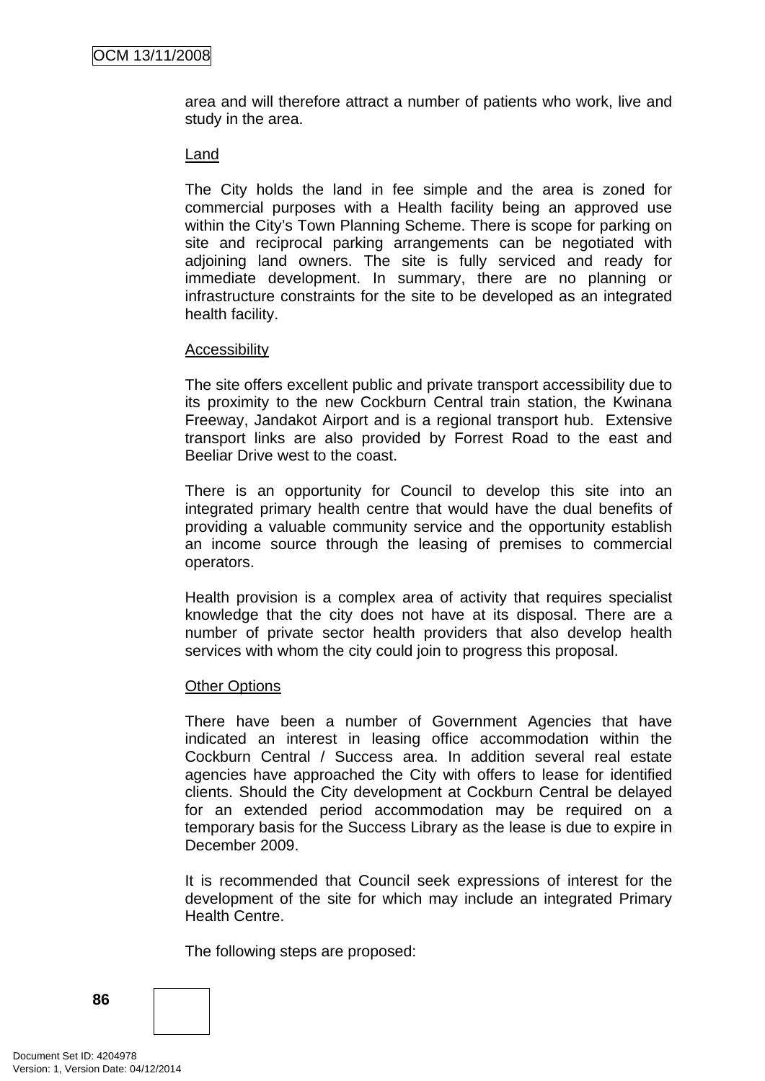area and will therefore attract a number of patients who work, live and study in the area.

#### Land

The City holds the land in fee simple and the area is zoned for commercial purposes with a Health facility being an approved use within the City's Town Planning Scheme. There is scope for parking on site and reciprocal parking arrangements can be negotiated with adjoining land owners. The site is fully serviced and ready for immediate development. In summary, there are no planning or infrastructure constraints for the site to be developed as an integrated health facility.

#### **Accessibility**

The site offers excellent public and private transport accessibility due to its proximity to the new Cockburn Central train station, the Kwinana Freeway, Jandakot Airport and is a regional transport hub. Extensive transport links are also provided by Forrest Road to the east and Beeliar Drive west to the coast.

There is an opportunity for Council to develop this site into an integrated primary health centre that would have the dual benefits of providing a valuable community service and the opportunity establish an income source through the leasing of premises to commercial operators.

Health provision is a complex area of activity that requires specialist knowledge that the city does not have at its disposal. There are a number of private sector health providers that also develop health services with whom the city could join to progress this proposal.

### Other Options

There have been a number of Government Agencies that have indicated an interest in leasing office accommodation within the Cockburn Central / Success area. In addition several real estate agencies have approached the City with offers to lease for identified clients. Should the City development at Cockburn Central be delayed for an extended period accommodation may be required on a temporary basis for the Success Library as the lease is due to expire in December 2009.

It is recommended that Council seek expressions of interest for the development of the site for which may include an integrated Primary Health Centre.

The following steps are proposed:

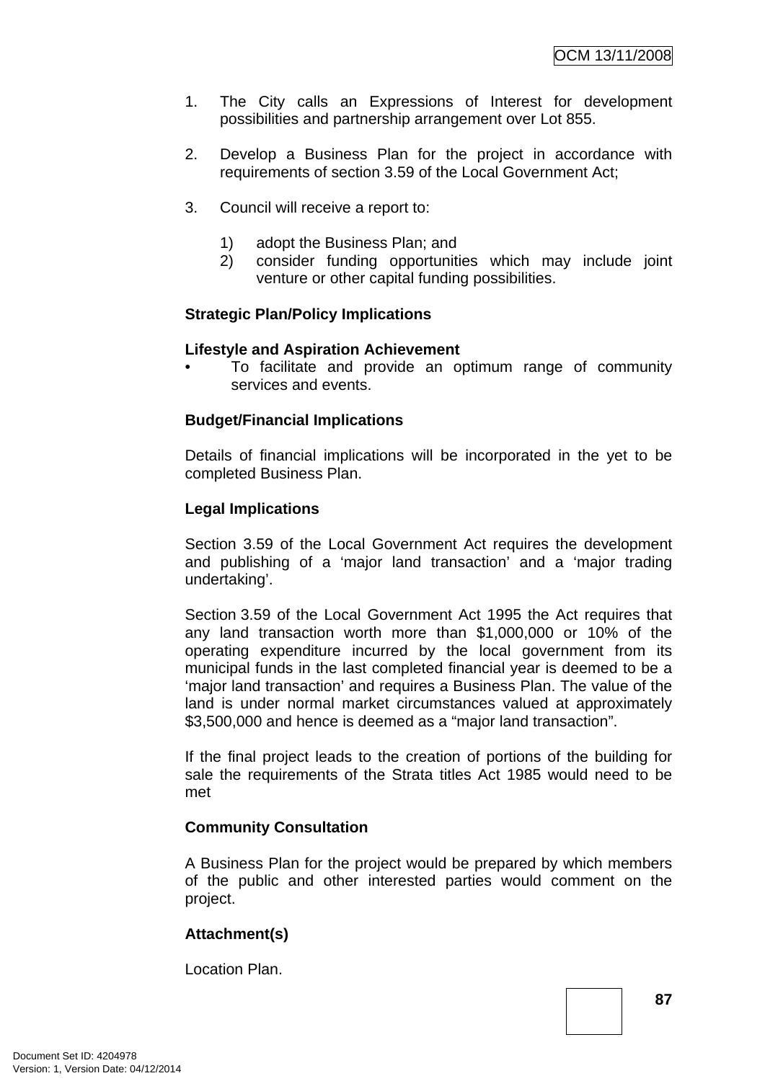- 1. The City calls an Expressions of Interest for development possibilities and partnership arrangement over Lot 855.
- 2. Develop a Business Plan for the project in accordance with requirements of section 3.59 of the Local Government Act;
- 3. Council will receive a report to:
	- 1) adopt the Business Plan; and
	- 2) consider funding opportunities which may include joint venture or other capital funding possibilities.

### **Strategic Plan/Policy Implications**

### **Lifestyle and Aspiration Achievement**

• To facilitate and provide an optimum range of community services and events.

## **Budget/Financial Implications**

Details of financial implications will be incorporated in the yet to be completed Business Plan.

### **Legal Implications**

Section 3.59 of the Local Government Act requires the development and publishing of a 'major land transaction' and a 'major trading undertaking'.

Section 3.59 of the Local Government Act 1995 the Act requires that any land transaction worth more than \$1,000,000 or 10% of the operating expenditure incurred by the local government from its municipal funds in the last completed financial year is deemed to be a 'major land transaction' and requires a Business Plan. The value of the land is under normal market circumstances valued at approximately \$3,500,000 and hence is deemed as a "major land transaction".

If the final project leads to the creation of portions of the building for sale the requirements of the Strata titles Act 1985 would need to be met

### **Community Consultation**

A Business Plan for the project would be prepared by which members of the public and other interested parties would comment on the project.

## **Attachment(s)**

Location Plan.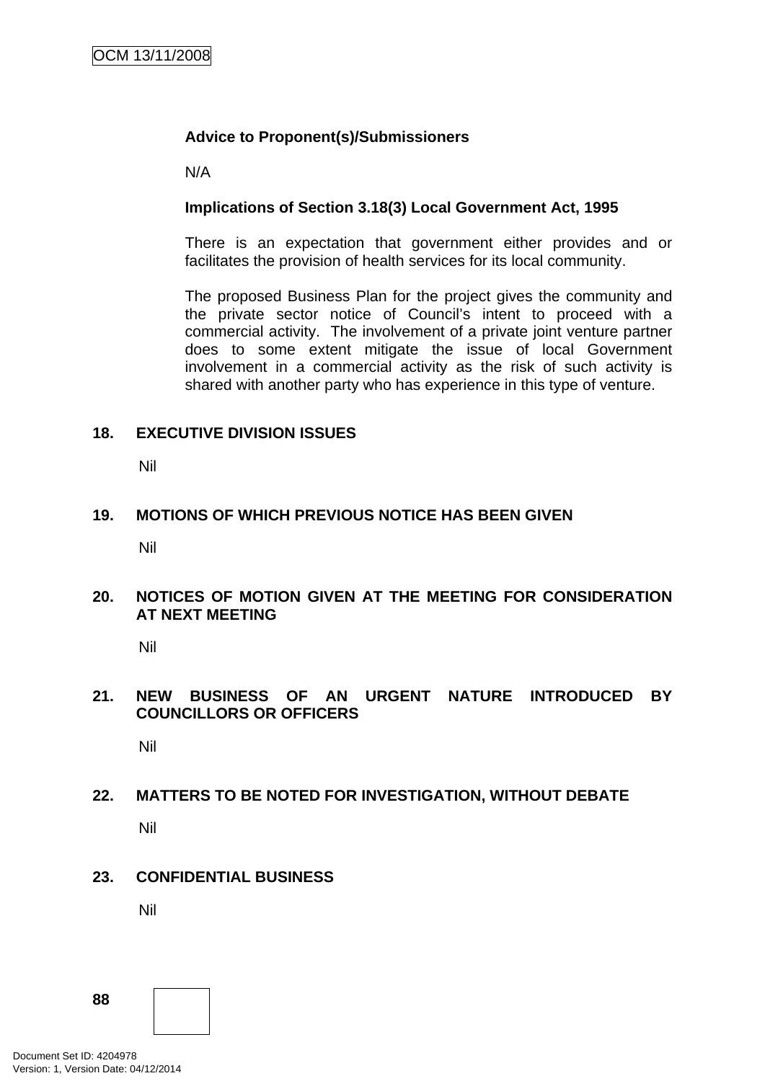## **Advice to Proponent(s)/Submissioners**

N/A

### **Implications of Section 3.18(3) Local Government Act, 1995**

There is an expectation that government either provides and or facilitates the provision of health services for its local community.

The proposed Business Plan for the project gives the community and the private sector notice of Council's intent to proceed with a commercial activity. The involvement of a private joint venture partner does to some extent mitigate the issue of local Government involvement in a commercial activity as the risk of such activity is shared with another party who has experience in this type of venture.

## **18. EXECUTIVE DIVISION ISSUES**

Nil

## **19. MOTIONS OF WHICH PREVIOUS NOTICE HAS BEEN GIVEN**

Nil

### **20. NOTICES OF MOTION GIVEN AT THE MEETING FOR CONSIDERATION AT NEXT MEETING**

Nil

## **21. NEW BUSINESS OF AN URGENT NATURE INTRODUCED BY COUNCILLORS OR OFFICERS**

Nil

## **22. MATTERS TO BE NOTED FOR INVESTIGATION, WITHOUT DEBATE**

Nil

### **23. CONFIDENTIAL BUSINESS**

Nil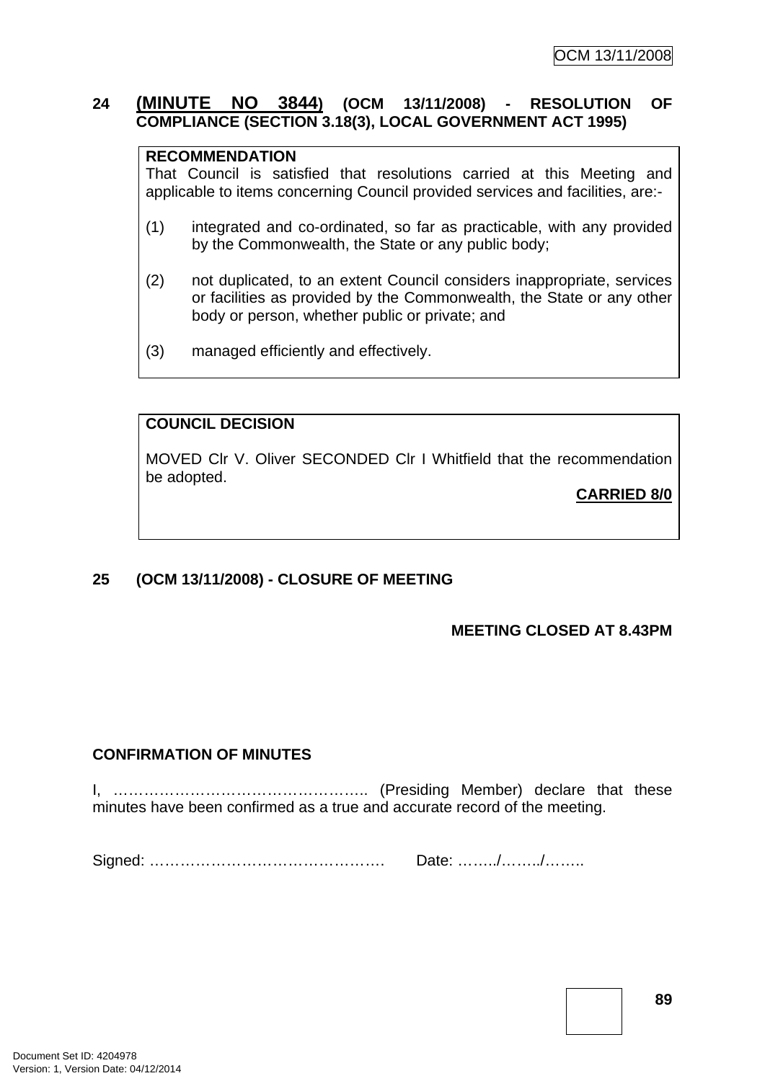## **24 (MINUTE NO 3844) (OCM 13/11/2008) - RESOLUTION OF COMPLIANCE (SECTION 3.18(3), LOCAL GOVERNMENT ACT 1995)**

#### **RECOMMENDATION**

That Council is satisfied that resolutions carried at this Meeting and applicable to items concerning Council provided services and facilities, are:-

- (1) integrated and co-ordinated, so far as practicable, with any provided by the Commonwealth, the State or any public body;
- (2) not duplicated, to an extent Council considers inappropriate, services or facilities as provided by the Commonwealth, the State or any other body or person, whether public or private; and
- (3) managed efficiently and effectively.

## **COUNCIL DECISION**

MOVED Clr V. Oliver SECONDED Clr I Whitfield that the recommendation be adopted.

**CARRIED 8/0**

## **25 (OCM 13/11/2008) - CLOSURE OF MEETING**

### **MEETING CLOSED AT 8.43PM**

## **CONFIRMATION OF MINUTES**

I, ………………………………………….. (Presiding Member) declare that these minutes have been confirmed as a true and accurate record of the meeting.

Signed: ………………………………………. Date: ……../……../……..